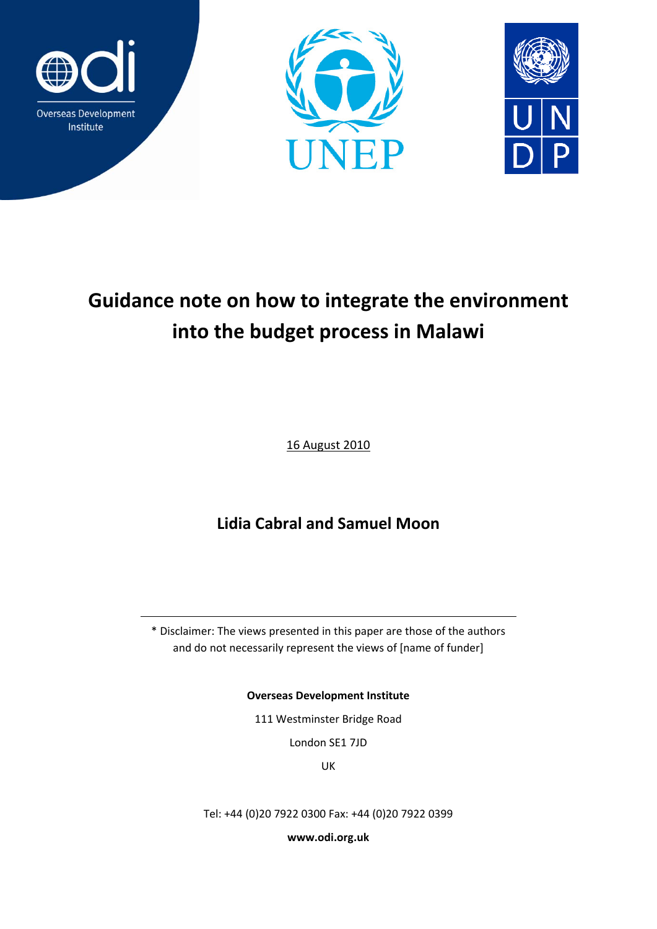





# **Guidance note on how to integrate the environment into the budget process in Malawi**

16 August 2010

**Lidia Cabral and Samuel Moon** 

\* Disclaimer: The views presented in this paper are those of the authors and do not necessarily represent the views of [name of funder]

**Overseas Development Institute**

111 Westminster Bridge Road

London SE1 7JD

UK

Tel: +44 (0)20 7922 0300 Fax: +44 (0)20 7922 0399

**www.odi.org.uk**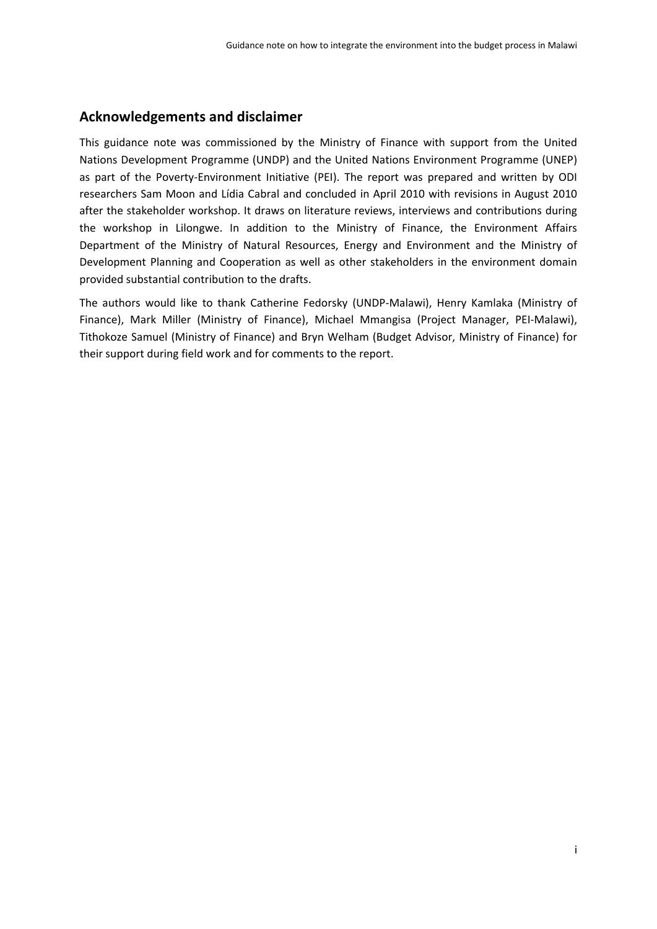# **Acknowledgements and disclaimer**

This guidance note was commissioned by the Ministry of Finance with support from the United Nations Development Programme (UNDP) and the United Nations Environment Programme (UNEP) as part of the Poverty-Environment Initiative (PEI). The report was prepared and written by ODI researchers Sam Moon and Lídia Cabral and concluded in April 2010 with revisions in August 2010 after the stakeholder workshop. It draws on literature reviews, interviews and contributions during the workshop in Lilongwe. In addition to the Ministry of Finance, the Environment Affairs Department of the Ministry of Natural Resources, Energy and Environment and the Ministry of Development Planning and Cooperation as well as other stakeholders in the environment domain provided substantial contribution to the drafts.

The authors would like to thank Catherine Fedorsky (UNDP‐Malawi), Henry Kamlaka (Ministry of Finance), Mark Miller (Ministry of Finance), Michael Mmangisa (Project Manager, PEI‐Malawi), Tithokoze Samuel (Ministry of Finance) and Bryn Welham (Budget Advisor, Ministry of Finance) for their support during field work and for comments to the report.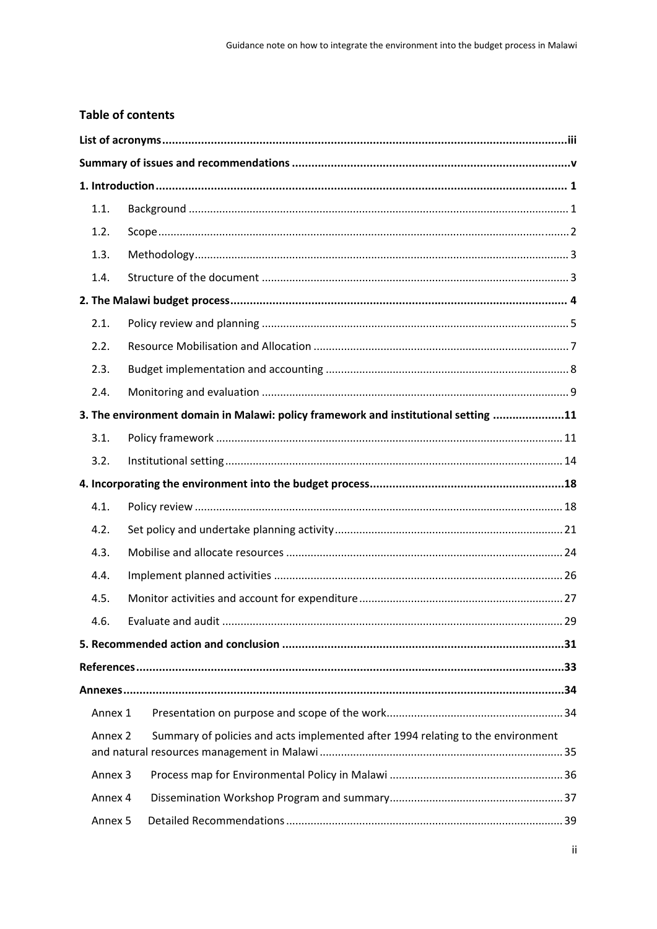# **Table of contents**

| 1.1.               |                                                                                    |  |  |
|--------------------|------------------------------------------------------------------------------------|--|--|
| 1.2.               |                                                                                    |  |  |
| 1.3.               |                                                                                    |  |  |
| 1.4.               |                                                                                    |  |  |
|                    |                                                                                    |  |  |
| 2.1.               |                                                                                    |  |  |
| 2.2.               |                                                                                    |  |  |
| 2.3.               |                                                                                    |  |  |
| 2.4.               |                                                                                    |  |  |
|                    | 3. The environment domain in Malawi: policy framework and institutional setting 11 |  |  |
| 3.1.               |                                                                                    |  |  |
| 3.2.               |                                                                                    |  |  |
|                    |                                                                                    |  |  |
| 4.1.               |                                                                                    |  |  |
| 4.2.               |                                                                                    |  |  |
| 4.3.               |                                                                                    |  |  |
| 4.4.               |                                                                                    |  |  |
| 4.5.               |                                                                                    |  |  |
| 4.6.               |                                                                                    |  |  |
|                    |                                                                                    |  |  |
|                    |                                                                                    |  |  |
|                    |                                                                                    |  |  |
| Annex 1            |                                                                                    |  |  |
| Annex 2            | Summary of policies and acts implemented after 1994 relating to the environment    |  |  |
| Annex <sub>3</sub> |                                                                                    |  |  |
| Annex 4            |                                                                                    |  |  |
| Annex 5            |                                                                                    |  |  |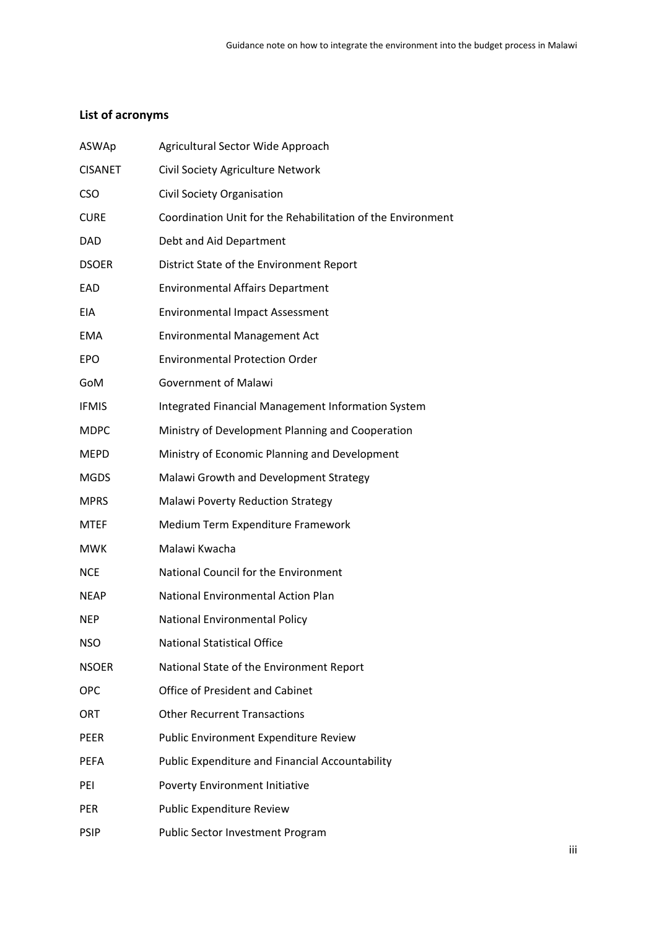# **List of acronyms**

| ASWAp          | Agricultural Sector Wide Approach                           |
|----------------|-------------------------------------------------------------|
| <b>CISANET</b> | Civil Society Agriculture Network                           |
| <b>CSO</b>     | Civil Society Organisation                                  |
| <b>CURE</b>    | Coordination Unit for the Rehabilitation of the Environment |
| <b>DAD</b>     | Debt and Aid Department                                     |
| <b>DSOER</b>   | District State of the Environment Report                    |
| EAD            | <b>Environmental Affairs Department</b>                     |
| EIA            | <b>Environmental Impact Assessment</b>                      |
| <b>EMA</b>     | <b>Environmental Management Act</b>                         |
| <b>EPO</b>     | <b>Environmental Protection Order</b>                       |
| GoM            | <b>Government of Malawi</b>                                 |
| <b>IFMIS</b>   | Integrated Financial Management Information System          |
| <b>MDPC</b>    | Ministry of Development Planning and Cooperation            |
| <b>MEPD</b>    | Ministry of Economic Planning and Development               |
| <b>MGDS</b>    | Malawi Growth and Development Strategy                      |
| <b>MPRS</b>    | <b>Malawi Poverty Reduction Strategy</b>                    |
| <b>MTEF</b>    | Medium Term Expenditure Framework                           |
| <b>MWK</b>     | Malawi Kwacha                                               |
| <b>NCE</b>     | National Council for the Environment                        |
| <b>NEAP</b>    | <b>National Environmental Action Plan</b>                   |
| <b>NEP</b>     | <b>National Environmental Policy</b>                        |
| <b>NSO</b>     | <b>National Statistical Office</b>                          |
| <b>NSOER</b>   | National State of the Environment Report                    |
| <b>OPC</b>     | <b>Office of President and Cabinet</b>                      |
| ORT            | <b>Other Recurrent Transactions</b>                         |
| <b>PEER</b>    | Public Environment Expenditure Review                       |
| <b>PEFA</b>    | Public Expenditure and Financial Accountability             |
| PEI            | Poverty Environment Initiative                              |
| <b>PER</b>     | Public Expenditure Review                                   |
| <b>PSIP</b>    | Public Sector Investment Program                            |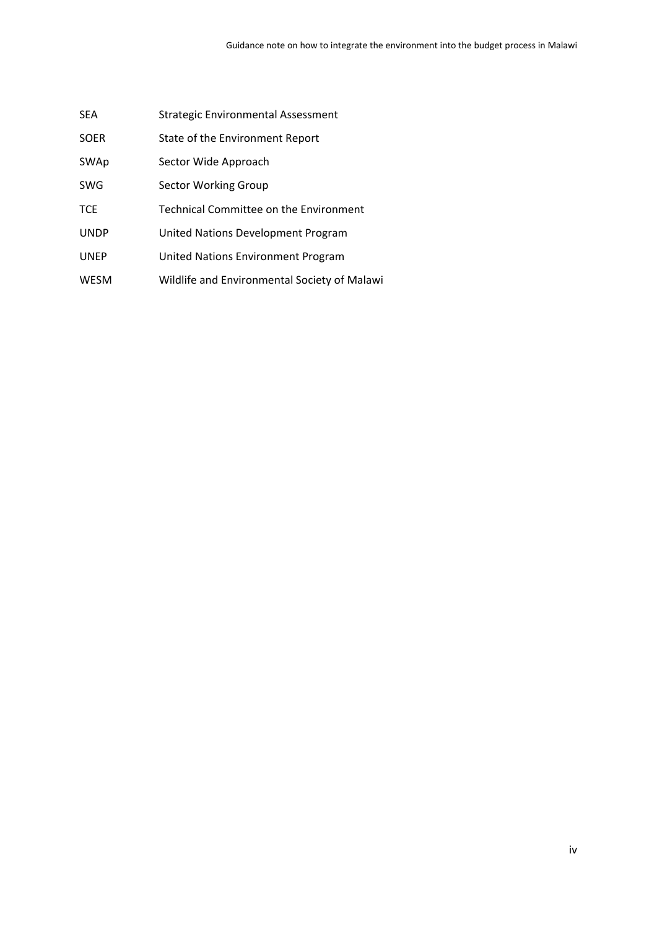| <b>SEA</b>  | Strategic Environmental Assessment           |
|-------------|----------------------------------------------|
| <b>SOER</b> | State of the Environment Report              |
| SWAp        | Sector Wide Approach                         |
| <b>SWG</b>  | Sector Working Group                         |
| <b>TCE</b>  | Technical Committee on the Environment       |
| <b>UNDP</b> | United Nations Development Program           |
| <b>UNEP</b> | United Nations Environment Program           |
| <b>WESM</b> | Wildlife and Environmental Society of Malawi |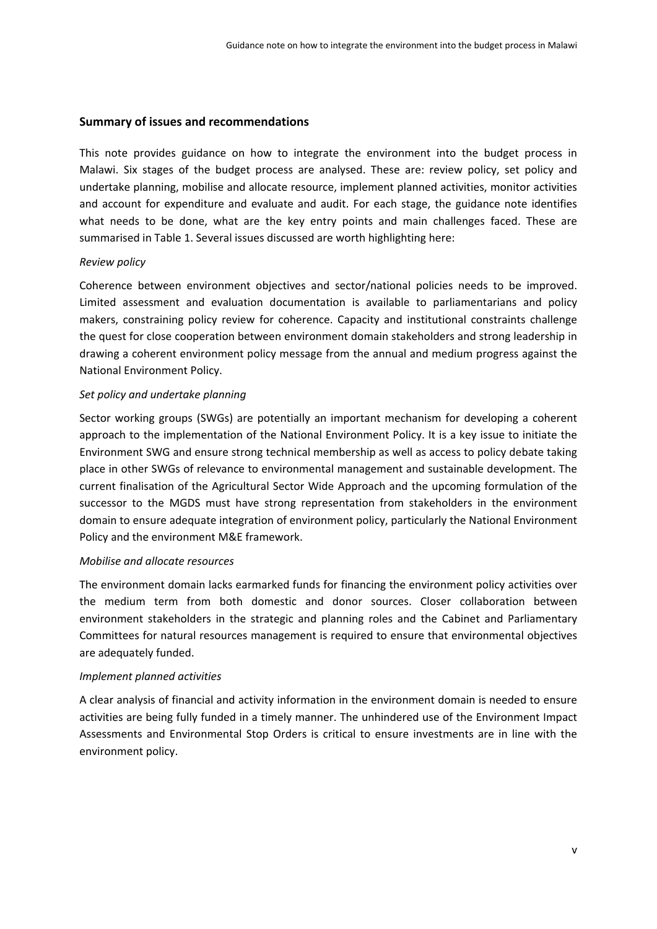#### **Summary of issues and recommendations**

This note provides guidance on how to integrate the environment into the budget process in Malawi. Six stages of the budget process are analysed. These are: review policy, set policy and undertake planning, mobilise and allocate resource, implement planned activities, monitor activities and account for expenditure and evaluate and audit. For each stage, the guidance note identifies what needs to be done, what are the key entry points and main challenges faced. These are summarised in Table 1. Several issues discussed are worth highlighting here:

#### *Review policy*

Coherence between environment objectives and sector/national policies needs to be improved. Limited assessment and evaluation documentation is available to parliamentarians and policy makers, constraining policy review for coherence. Capacity and institutional constraints challenge the quest for close cooperation between environment domain stakeholders and strong leadership in drawing a coherent environment policy message from the annual and medium progress against the National Environment Policy.

#### *Set policy and undertake planning*

Sector working groups (SWGs) are potentially an important mechanism for developing a coherent approach to the implementation of the National Environment Policy. It is a key issue to initiate the Environment SWG and ensure strong technical membership as well as access to policy debate taking place in other SWGs of relevance to environmental management and sustainable development. The current finalisation of the Agricultural Sector Wide Approach and the upcoming formulation of the successor to the MGDS must have strong representation from stakeholders in the environment domain to ensure adequate integration of environment policy, particularly the National Environment Policy and the environment M&E framework.

#### *Mobilise and allocate resources*

The environment domain lacks earmarked funds for financing the environment policy activities over the medium term from both domestic and donor sources. Closer collaboration between environment stakeholders in the strategic and planning roles and the Cabinet and Parliamentary Committees for natural resources management is required to ensure that environmental objectives are adequately funded.

#### *Implement planned activities*

A clear analysis of financial and activity information in the environment domain is needed to ensure activities are being fully funded in a timely manner. The unhindered use of the Environment Impact Assessments and Environmental Stop Orders is critical to ensure investments are in line with the environment policy.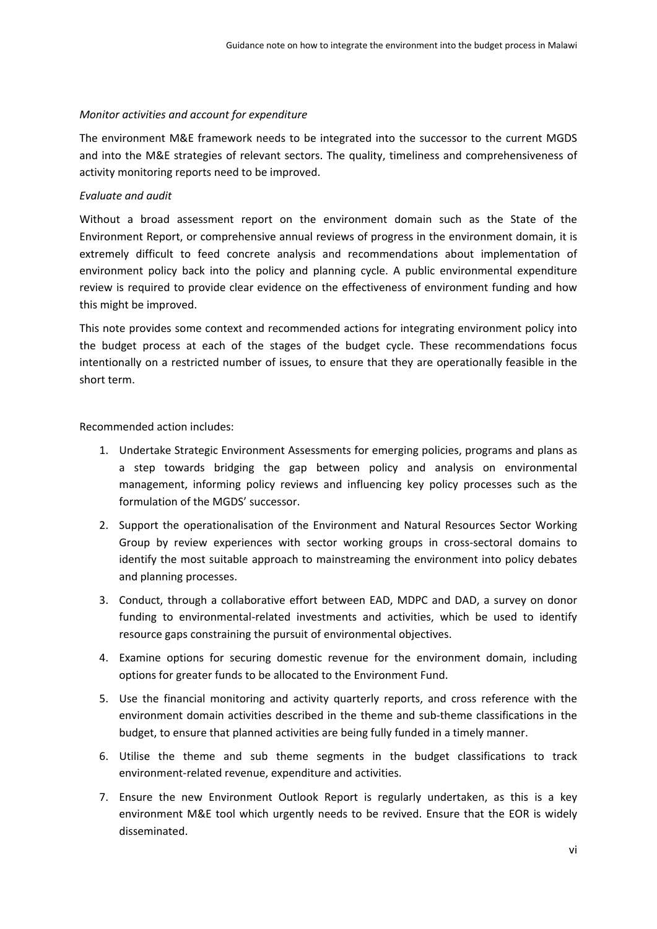#### *Monitor activities and account for expenditure*

The environment M&E framework needs to be integrated into the successor to the current MGDS and into the M&E strategies of relevant sectors. The quality, timeliness and comprehensiveness of activity monitoring reports need to be improved.

#### *Evaluate and audit*

Without a broad assessment report on the environment domain such as the State of the Environment Report, or comprehensive annual reviews of progress in the environment domain, it is extremely difficult to feed concrete analysis and recommendations about implementation of environment policy back into the policy and planning cycle. A public environmental expenditure review is required to provide clear evidence on the effectiveness of environment funding and how this might be improved.

This note provides some context and recommended actions for integrating environment policy into the budget process at each of the stages of the budget cycle. These recommendations focus intentionally on a restricted number of issues, to ensure that they are operationally feasible in the short term.

#### Recommended action includes:

- 1. Undertake Strategic Environment Assessments for emerging policies, programs and plans as a step towards bridging the gap between policy and analysis on environmental management, informing policy reviews and influencing key policy processes such as the formulation of the MGDS' successor.
- 2. Support the operationalisation of the Environment and Natural Resources Sector Working Group by review experiences with sector working groups in cross‐sectoral domains to identify the most suitable approach to mainstreaming the environment into policy debates and planning processes.
- 3. Conduct, through a collaborative effort between EAD, MDPC and DAD, a survey on donor funding to environmental-related investments and activities, which be used to identify resource gaps constraining the pursuit of environmental objectives.
- 4. Examine options for securing domestic revenue for the environment domain, including options for greater funds to be allocated to the Environment Fund.
- 5. Use the financial monitoring and activity quarterly reports, and cross reference with the environment domain activities described in the theme and sub‐theme classifications in the budget, to ensure that planned activities are being fully funded in a timely manner.
- 6. Utilise the theme and sub theme segments in the budget classifications to track environment‐related revenue, expenditure and activities.
- 7. Ensure the new Environment Outlook Report is regularly undertaken, as this is a key environment M&E tool which urgently needs to be revived. Ensure that the EOR is widely disseminated.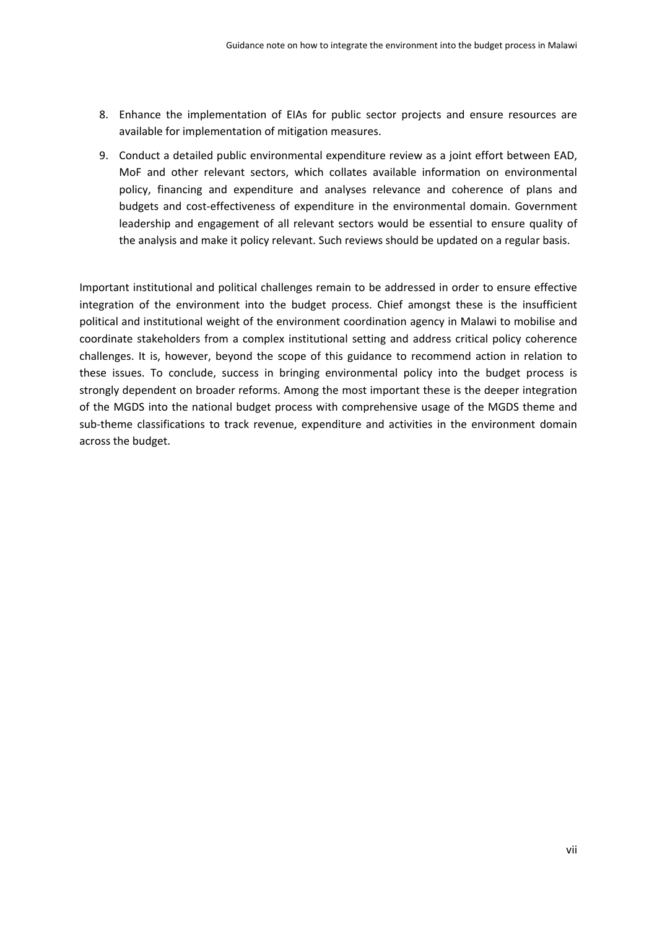- 8. Enhance the implementation of EIAs for public sector projects and ensure resources are available for implementation of mitigation measures.
- 9. Conduct a detailed public environmental expenditure review as a joint effort between EAD, MoF and other relevant sectors, which collates available information on environmental policy, financing and expenditure and analyses relevance and coherence of plans and budgets and cost‐effectiveness of expenditure in the environmental domain. Government leadership and engagement of all relevant sectors would be essential to ensure quality of the analysis and make it policy relevant. Such reviews should be updated on a regular basis.

Important institutional and political challenges remain to be addressed in order to ensure effective integration of the environment into the budget process. Chief amongst these is the insufficient political and institutional weight of the environment coordination agency in Malawi to mobilise and coordinate stakeholders from a complex institutional setting and address critical policy coherence challenges. It is, however, beyond the scope of this guidance to recommend action in relation to these issues. To conclude, success in bringing environmental policy into the budget process is strongly dependent on broader reforms. Among the most important these is the deeper integration of the MGDS into the national budget process with comprehensive usage of the MGDS theme and sub-theme classifications to track revenue, expenditure and activities in the environment domain across the budget.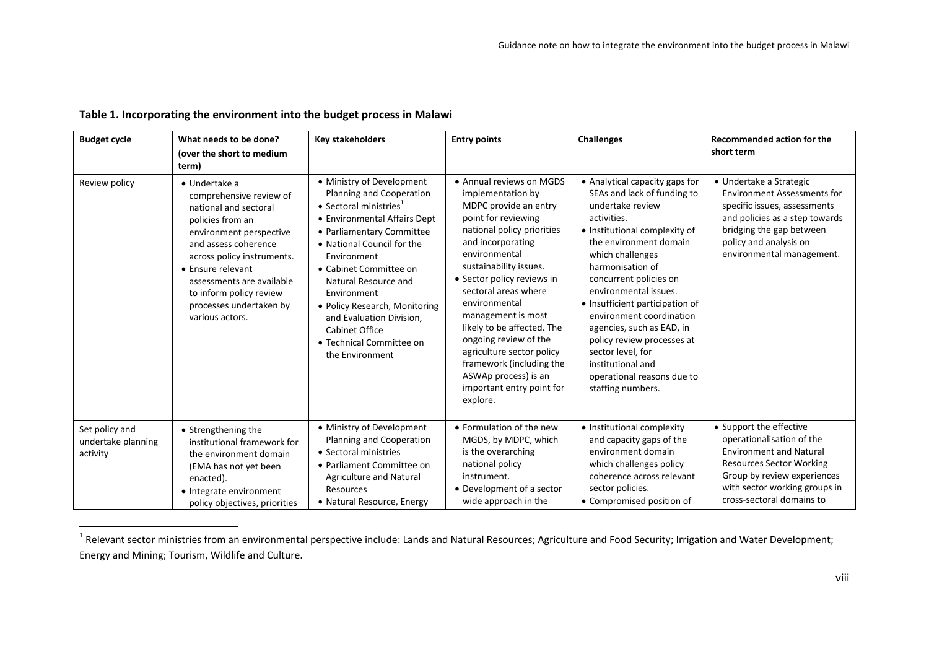| <b>Budget cycle</b>                              | What needs to be done?<br>(over the short to medium<br>term)                                                                                                                                                                                                                                              | <b>Key stakeholders</b>                                                                                                                                                                                                                                                                                                                                                                                             | <b>Entry points</b>                                                                                                                                                                                                                                                                                                                                                                                                                                                       | <b>Challenges</b>                                                                                                                                                                                                                                                                                                                                                                                                                                                             | <b>Recommended action for the</b><br>short term                                                                                                                                                                        |
|--------------------------------------------------|-----------------------------------------------------------------------------------------------------------------------------------------------------------------------------------------------------------------------------------------------------------------------------------------------------------|---------------------------------------------------------------------------------------------------------------------------------------------------------------------------------------------------------------------------------------------------------------------------------------------------------------------------------------------------------------------------------------------------------------------|---------------------------------------------------------------------------------------------------------------------------------------------------------------------------------------------------------------------------------------------------------------------------------------------------------------------------------------------------------------------------------------------------------------------------------------------------------------------------|-------------------------------------------------------------------------------------------------------------------------------------------------------------------------------------------------------------------------------------------------------------------------------------------------------------------------------------------------------------------------------------------------------------------------------------------------------------------------------|------------------------------------------------------------------------------------------------------------------------------------------------------------------------------------------------------------------------|
| Review policy                                    | $\bullet$ Undertake a<br>comprehensive review of<br>national and sectoral<br>policies from an<br>environment perspective<br>and assess coherence<br>across policy instruments.<br>• Ensure relevant<br>assessments are available<br>to inform policy review<br>processes undertaken by<br>various actors. | • Ministry of Development<br>Planning and Cooperation<br>$\bullet$ Sectoral ministries <sup>1</sup><br>• Environmental Affairs Dept<br>• Parliamentary Committee<br>• National Council for the<br>Environment<br>• Cabinet Committee on<br>Natural Resource and<br>Environment<br>• Policy Research, Monitoring<br>and Evaluation Division,<br><b>Cabinet Office</b><br>• Technical Committee on<br>the Environment | • Annual reviews on MGDS<br>implementation by<br>MDPC provide an entry<br>point for reviewing<br>national policy priorities<br>and incorporating<br>environmental<br>sustainability issues.<br>• Sector policy reviews in<br>sectoral areas where<br>environmental<br>management is most<br>likely to be affected. The<br>ongoing review of the<br>agriculture sector policy<br>framework (including the<br>ASWAp process) is an<br>important entry point for<br>explore. | • Analytical capacity gaps for<br>SEAs and lack of funding to<br>undertake review<br>activities.<br>• Institutional complexity of<br>the environment domain<br>which challenges<br>harmonisation of<br>concurrent policies on<br>environmental issues.<br>• Insufficient participation of<br>environment coordination<br>agencies, such as EAD, in<br>policy review processes at<br>sector level, for<br>institutional and<br>operational reasons due to<br>staffing numbers. | • Undertake a Strategic<br><b>Environment Assessments for</b><br>specific issues, assessments<br>and policies as a step towards<br>bridging the gap between<br>policy and analysis on<br>environmental management.     |
| Set policy and<br>undertake planning<br>activity | • Strengthening the<br>institutional framework for<br>the environment domain<br>(EMA has not yet been<br>enacted).<br>• Integrate environment<br>policy objectives, priorities                                                                                                                            | • Ministry of Development<br>Planning and Cooperation<br>• Sectoral ministries<br>• Parliament Committee on<br>Agriculture and Natural<br>Resources<br>· Natural Resource, Energy                                                                                                                                                                                                                                   | • Formulation of the new<br>MGDS, by MDPC, which<br>is the overarching<br>national policy<br>instrument.<br>• Development of a sector<br>wide approach in the                                                                                                                                                                                                                                                                                                             | • Institutional complexity<br>and capacity gaps of the<br>environment domain<br>which challenges policy<br>coherence across relevant<br>sector policies.<br>• Compromised position of                                                                                                                                                                                                                                                                                         | • Support the effective<br>operationalisation of the<br><b>Environment and Natural</b><br><b>Resources Sector Working</b><br>Group by review experiences<br>with sector working groups in<br>cross-sectoral domains to |

#### **Table 1. Incorporating the environment into the budget process in Malawi**

 $^1$  Relevant sector ministries from an environmental perspective include: Lands and Natural Resources; Agriculture and Food Security; Irrigation and Water Development; Energy and Mining; Tourism, Wildlife and Culture.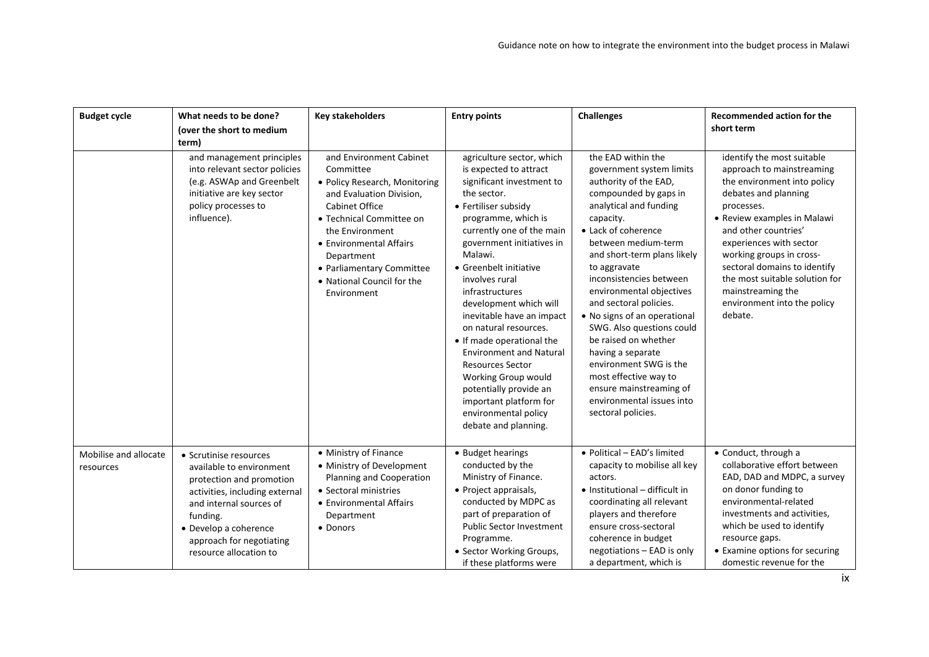| <b>Budget cycle</b>                | What needs to be done?<br>(over the short to medium<br>term)                                                                                                                                                                           | <b>Key stakeholders</b>                                                                                                                                                                                                                                                                      | <b>Entry points</b>                                                                                                                                                                                                                                                                                                                                                                                                                                                                                                                                                                     | <b>Challenges</b>                                                                                                                                                                                                                                                                                                                                                                                                                                                                                                                                                | <b>Recommended action for the</b><br>short term                                                                                                                                                                                                                                                                                                                             |
|------------------------------------|----------------------------------------------------------------------------------------------------------------------------------------------------------------------------------------------------------------------------------------|----------------------------------------------------------------------------------------------------------------------------------------------------------------------------------------------------------------------------------------------------------------------------------------------|-----------------------------------------------------------------------------------------------------------------------------------------------------------------------------------------------------------------------------------------------------------------------------------------------------------------------------------------------------------------------------------------------------------------------------------------------------------------------------------------------------------------------------------------------------------------------------------------|------------------------------------------------------------------------------------------------------------------------------------------------------------------------------------------------------------------------------------------------------------------------------------------------------------------------------------------------------------------------------------------------------------------------------------------------------------------------------------------------------------------------------------------------------------------|-----------------------------------------------------------------------------------------------------------------------------------------------------------------------------------------------------------------------------------------------------------------------------------------------------------------------------------------------------------------------------|
|                                    | and management principles<br>into relevant sector policies<br>(e.g. ASWAp and Greenbelt<br>initiative are key sector<br>policy processes to<br>influence).                                                                             | and Environment Cabinet<br>Committee<br>• Policy Research, Monitoring<br>and Evaluation Division,<br><b>Cabinet Office</b><br>• Technical Committee on<br>the Environment<br>• Environmental Affairs<br>Department<br>• Parliamentary Committee<br>• National Council for the<br>Environment | agriculture sector, which<br>is expected to attract<br>significant investment to<br>the sector.<br>• Fertiliser subsidy<br>programme, which is<br>currently one of the main<br>government initiatives in<br>Malawi.<br>• Greenbelt initiative<br>involves rural<br>infrastructures<br>development which will<br>inevitable have an impact<br>on natural resources.<br>• If made operational the<br><b>Environment and Natural</b><br><b>Resources Sector</b><br>Working Group would<br>potentially provide an<br>important platform for<br>environmental policy<br>debate and planning. | the EAD within the<br>government system limits<br>authority of the EAD,<br>compounded by gaps in<br>analytical and funding<br>capacity.<br>• Lack of coherence<br>between medium-term<br>and short-term plans likely<br>to aggravate<br>inconsistencies between<br>environmental objectives<br>and sectoral policies.<br>• No signs of an operational<br>SWG. Also questions could<br>be raised on whether<br>having a separate<br>environment SWG is the<br>most effective way to<br>ensure mainstreaming of<br>environmental issues into<br>sectoral policies. | identify the most suitable<br>approach to mainstreaming<br>the environment into policy<br>debates and planning<br>processes.<br>• Review examples in Malawi<br>and other countries'<br>experiences with sector<br>working groups in cross-<br>sectoral domains to identify<br>the most suitable solution for<br>mainstreaming the<br>environment into the policy<br>debate. |
| Mobilise and allocate<br>resources | • Scrutinise resources<br>available to environment<br>protection and promotion<br>activities, including external<br>and internal sources of<br>funding.<br>• Develop a coherence<br>approach for negotiating<br>resource allocation to | • Ministry of Finance<br>• Ministry of Development<br>Planning and Cooperation<br>• Sectoral ministries<br>• Environmental Affairs<br>Department<br>• Donors                                                                                                                                 | • Budget hearings<br>conducted by the<br>Ministry of Finance.<br>• Project appraisals,<br>conducted by MDPC as<br>part of preparation of<br><b>Public Sector Investment</b><br>Programme.<br>· Sector Working Groups,<br>if these platforms were                                                                                                                                                                                                                                                                                                                                        | • Political - EAD's limited<br>capacity to mobilise all key<br>actors.<br>• Institutional - difficult in<br>coordinating all relevant<br>players and therefore<br>ensure cross-sectoral<br>coherence in budget<br>negotiations - EAD is only<br>a department, which is                                                                                                                                                                                                                                                                                           | • Conduct, through a<br>collaborative effort between<br>EAD, DAD and MDPC, a survey<br>on donor funding to<br>environmental-related<br>investments and activities,<br>which be used to identify<br>resource gaps.<br>• Examine options for securing<br>domestic revenue for the                                                                                             |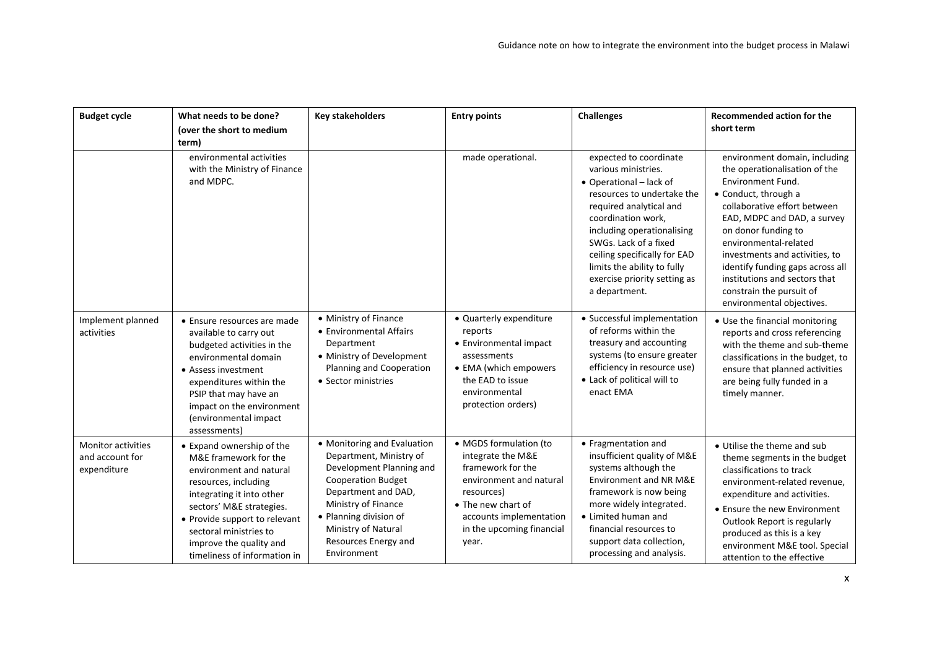| <b>Budget cycle</b>                                         | What needs to be done?<br>(over the short to medium<br>term)                                                                                                                                                                                                                         | <b>Key stakeholders</b>                                                                                                                                                                                                                               | <b>Entry points</b>                                                                                                                                                                              | <b>Challenges</b>                                                                                                                                                                                                                                                                                                              | <b>Recommended action for the</b><br>short term                                                                                                                                                                                                                                                                                                                                                   |
|-------------------------------------------------------------|--------------------------------------------------------------------------------------------------------------------------------------------------------------------------------------------------------------------------------------------------------------------------------------|-------------------------------------------------------------------------------------------------------------------------------------------------------------------------------------------------------------------------------------------------------|--------------------------------------------------------------------------------------------------------------------------------------------------------------------------------------------------|--------------------------------------------------------------------------------------------------------------------------------------------------------------------------------------------------------------------------------------------------------------------------------------------------------------------------------|---------------------------------------------------------------------------------------------------------------------------------------------------------------------------------------------------------------------------------------------------------------------------------------------------------------------------------------------------------------------------------------------------|
|                                                             | environmental activities<br>with the Ministry of Finance<br>and MDPC.                                                                                                                                                                                                                |                                                                                                                                                                                                                                                       | made operational.                                                                                                                                                                                | expected to coordinate<br>various ministries.<br>• Operational - lack of<br>resources to undertake the<br>required analytical and<br>coordination work,<br>including operationalising<br>SWGs. Lack of a fixed<br>ceiling specifically for EAD<br>limits the ability to fully<br>exercise priority setting as<br>a department. | environment domain, including<br>the operationalisation of the<br><b>Environment Fund.</b><br>• Conduct, through a<br>collaborative effort between<br>EAD, MDPC and DAD, a survey<br>on donor funding to<br>environmental-related<br>investments and activities, to<br>identify funding gaps across all<br>institutions and sectors that<br>constrain the pursuit of<br>environmental objectives. |
| Implement planned<br>activities                             | • Ensure resources are made<br>available to carry out<br>budgeted activities in the<br>environmental domain<br>• Assess investment<br>expenditures within the<br>PSIP that may have an<br>impact on the environment<br>(environmental impact<br>assessments)                         | • Ministry of Finance<br>• Environmental Affairs<br>Department<br>• Ministry of Development<br>Planning and Cooperation<br>• Sector ministries                                                                                                        | • Quarterly expenditure<br>reports<br>• Environmental impact<br>assessments<br>• EMA (which empowers<br>the EAD to issue<br>environmental<br>protection orders)                                  | • Successful implementation<br>of reforms within the<br>treasury and accounting<br>systems (to ensure greater<br>efficiency in resource use)<br>• Lack of political will to<br>enact EMA                                                                                                                                       | • Use the financial monitoring<br>reports and cross referencing<br>with the theme and sub-theme<br>classifications in the budget, to<br>ensure that planned activities<br>are being fully funded in a<br>timely manner.                                                                                                                                                                           |
| <b>Monitor activities</b><br>and account for<br>expenditure | • Expand ownership of the<br>M&E framework for the<br>environment and natural<br>resources, including<br>integrating it into other<br>sectors' M&E strategies.<br>• Provide support to relevant<br>sectoral ministries to<br>improve the quality and<br>timeliness of information in | • Monitoring and Evaluation<br>Department, Ministry of<br>Development Planning and<br><b>Cooperation Budget</b><br>Department and DAD,<br>Ministry of Finance<br>• Planning division of<br>Ministry of Natural<br>Resources Energy and<br>Environment | • MGDS formulation (to<br>integrate the M&E<br>framework for the<br>environment and natural<br>resources)<br>• The new chart of<br>accounts implementation<br>in the upcoming financial<br>year. | • Fragmentation and<br>insufficient quality of M&E<br>systems although the<br>Environment and NR M&E<br>framework is now being<br>more widely integrated.<br>• Limited human and<br>financial resources to<br>support data collection,<br>processing and analysis.                                                             | • Utilise the theme and sub<br>theme segments in the budget<br>classifications to track<br>environment-related revenue.<br>expenditure and activities.<br>• Ensure the new Environment<br>Outlook Report is regularly<br>produced as this is a key<br>environment M&E tool. Special<br>attention to the effective                                                                                 |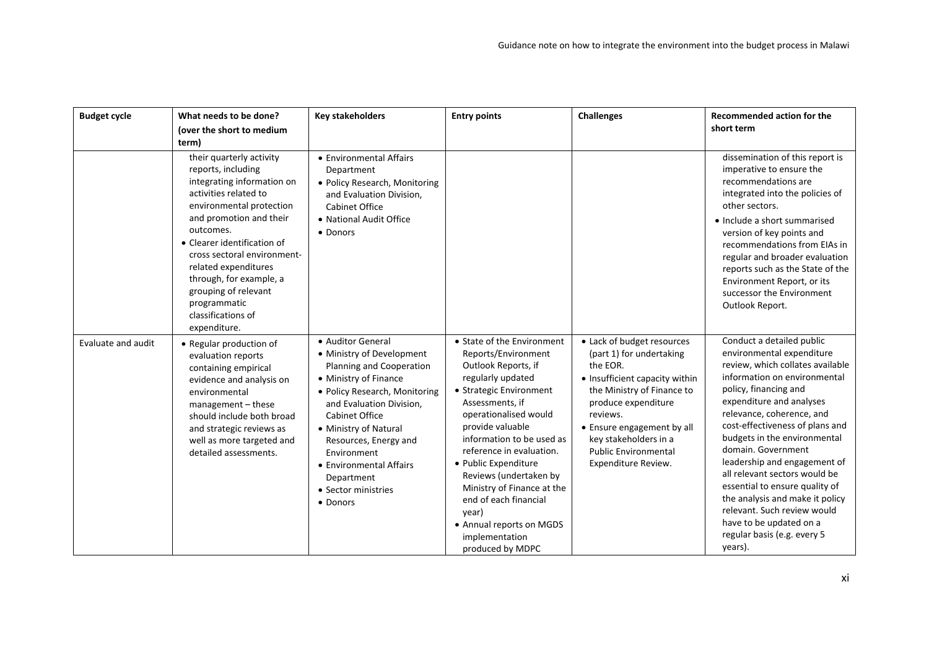| <b>Budget cycle</b> | What needs to be done?<br>(over the short to medium<br>term)                                                                                                                                                                                                                                                                                                             | <b>Key stakeholders</b>                                                                                                                                                                                                                                                                                                         | <b>Entry points</b>                                                                                                                                                                                                                                                                                                                                                                                                                   | <b>Challenges</b>                                                                                                                                                                                                                                                                  | <b>Recommended action for the</b><br>short term                                                                                                                                                                                                                                                                                                                                                                                                                                                                                                 |
|---------------------|--------------------------------------------------------------------------------------------------------------------------------------------------------------------------------------------------------------------------------------------------------------------------------------------------------------------------------------------------------------------------|---------------------------------------------------------------------------------------------------------------------------------------------------------------------------------------------------------------------------------------------------------------------------------------------------------------------------------|---------------------------------------------------------------------------------------------------------------------------------------------------------------------------------------------------------------------------------------------------------------------------------------------------------------------------------------------------------------------------------------------------------------------------------------|------------------------------------------------------------------------------------------------------------------------------------------------------------------------------------------------------------------------------------------------------------------------------------|-------------------------------------------------------------------------------------------------------------------------------------------------------------------------------------------------------------------------------------------------------------------------------------------------------------------------------------------------------------------------------------------------------------------------------------------------------------------------------------------------------------------------------------------------|
|                     | their quarterly activity<br>reports, including<br>integrating information on<br>activities related to<br>environmental protection<br>and promotion and their<br>outcomes.<br>• Clearer identification of<br>cross sectoral environment-<br>related expenditures<br>through, for example, a<br>grouping of relevant<br>programmatic<br>classifications of<br>expenditure. | • Environmental Affairs<br>Department<br>• Policy Research, Monitoring<br>and Evaluation Division,<br><b>Cabinet Office</b><br>• National Audit Office<br>• Donors                                                                                                                                                              |                                                                                                                                                                                                                                                                                                                                                                                                                                       |                                                                                                                                                                                                                                                                                    | dissemination of this report is<br>imperative to ensure the<br>recommendations are<br>integrated into the policies of<br>other sectors.<br>• Include a short summarised<br>version of key points and<br>recommendations from EIAs in<br>regular and broader evaluation<br>reports such as the State of the<br>Environment Report, or its<br>successor the Environment<br>Outlook Report.                                                                                                                                                        |
| Evaluate and audit  | • Regular production of<br>evaluation reports<br>containing empirical<br>evidence and analysis on<br>environmental<br>management - these<br>should include both broad<br>and strategic reviews as<br>well as more targeted and<br>detailed assessments.                                                                                                                  | • Auditor General<br>• Ministry of Development<br>Planning and Cooperation<br>• Ministry of Finance<br>· Policy Research, Monitoring<br>and Evaluation Division,<br>Cabinet Office<br>• Ministry of Natural<br>Resources, Energy and<br>Environment<br>• Environmental Affairs<br>Department<br>• Sector ministries<br>• Donors | • State of the Environment<br>Reports/Environment<br>Outlook Reports, if<br>regularly updated<br>• Strategic Environment<br>Assessments, if<br>operationalised would<br>provide valuable<br>information to be used as<br>reference in evaluation.<br>· Public Expenditure<br>Reviews (undertaken by<br>Ministry of Finance at the<br>end of each financial<br>year)<br>• Annual reports on MGDS<br>implementation<br>produced by MDPC | • Lack of budget resources<br>(part 1) for undertaking<br>the EOR.<br>• Insufficient capacity within<br>the Ministry of Finance to<br>produce expenditure<br>reviews.<br>• Ensure engagement by all<br>key stakeholders in a<br><b>Public Environmental</b><br>Expenditure Review. | Conduct a detailed public<br>environmental expenditure<br>review, which collates available<br>information on environmental<br>policy, financing and<br>expenditure and analyses<br>relevance, coherence, and<br>cost-effectiveness of plans and<br>budgets in the environmental<br>domain. Government<br>leadership and engagement of<br>all relevant sectors would be<br>essential to ensure quality of<br>the analysis and make it policy<br>relevant. Such review would<br>have to be updated on a<br>regular basis (e.g. every 5<br>years). |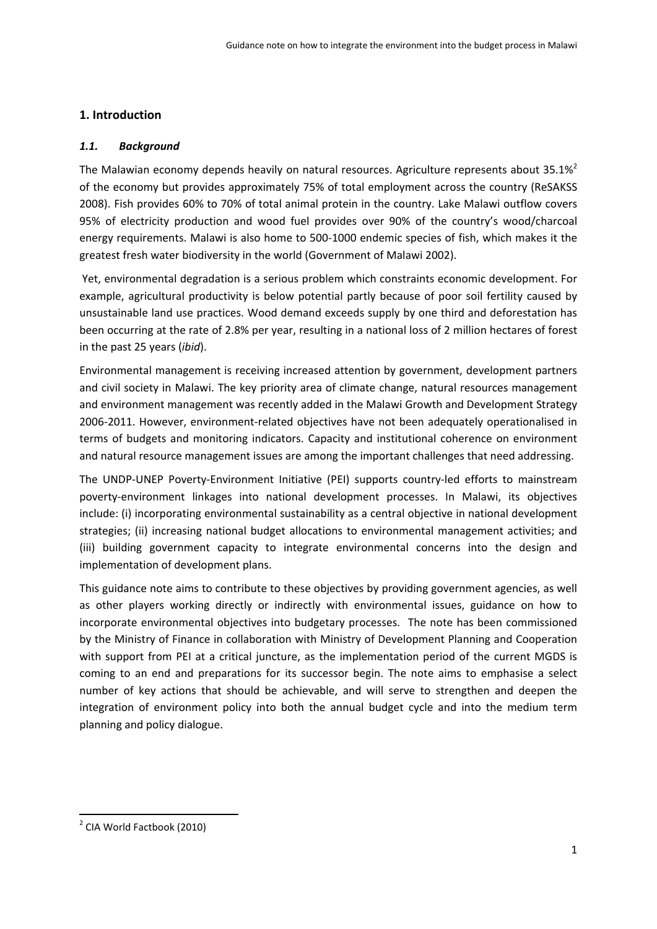# **1. Introduction**

## *1.1. Background*

The Malawian economy depends heavily on natural resources. Agriculture represents about  $35.1\%$ <sup>2</sup> of the economy but provides approximately 75% of total employment across the country (ReSAKSS 2008). Fish provides 60% to 70% of total animal protein in the country. Lake Malawi outflow covers 95% of electricity production and wood fuel provides over 90% of the country's wood/charcoal energy requirements. Malawi is also home to 500‐1000 endemic species of fish, which makes it the greatest fresh water biodiversity in the world (Government of Malawi 2002).

Yet, environmental degradation is a serious problem which constraints economic development. For example, agricultural productivity is below potential partly because of poor soil fertility caused by unsustainable land use practices. Wood demand exceeds supply by one third and deforestation has been occurring at the rate of 2.8% per year, resulting in a national loss of 2 million hectares of forest in the past 25 years (*ibid*).

Environmental management is receiving increased attention by government, development partners and civil society in Malawi. The key priority area of climate change, natural resources management and environment management was recently added in the Malawi Growth and Development Strategy 2006‐2011. However, environment‐related objectives have not been adequately operationalised in terms of budgets and monitoring indicators. Capacity and institutional coherence on environment and natural resource management issues are among the important challenges that need addressing.

The UNDP‐UNEP Poverty‐Environment Initiative (PEI) supports country‐led efforts to mainstream poverty‐environment linkages into national development processes. In Malawi, its objectives include: (i) incorporating environmental sustainability as a central objective in national development strategies; (ii) increasing national budget allocations to environmental management activities; and (iii) building government capacity to integrate environmental concerns into the design and implementation of development plans.

This guidance note aims to contribute to these objectives by providing government agencies, as well as other players working directly or indirectly with environmental issues, guidance on how to incorporate environmental objectives into budgetary processes. The note has been commissioned by the Ministry of Finance in collaboration with Ministry of Development Planning and Cooperation with support from PEI at a critical juncture, as the implementation period of the current MGDS is coming to an end and preparations for its successor begin. The note aims to emphasise a select number of key actions that should be achievable, and will serve to strengthen and deepen the integration of environment policy into both the annual budget cycle and into the medium term planning and policy dialogue.

<sup>2</sup> CIA World Factbook (2010)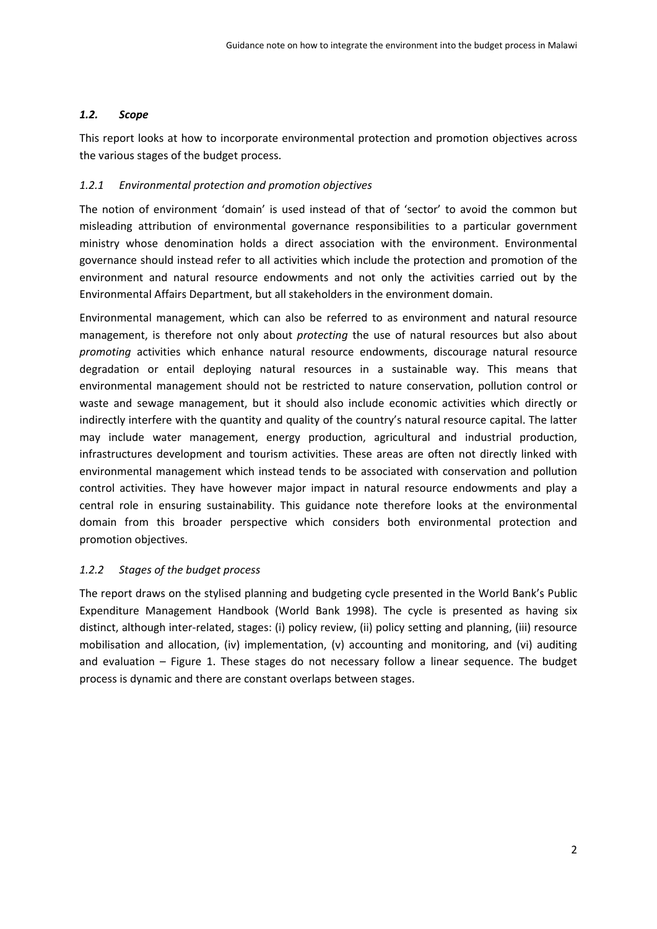# *1.2. Scope*

This report looks at how to incorporate environmental protection and promotion objectives across the various stages of the budget process.

# *1.2.1 Environmental protection and promotion objectives*

The notion of environment 'domain' is used instead of that of 'sector' to avoid the common but misleading attribution of environmental governance responsibilities to a particular government ministry whose denomination holds a direct association with the environment. Environmental governance should instead refer to all activities which include the protection and promotion of the environment and natural resource endowments and not only the activities carried out by the Environmental Affairs Department, but all stakeholders in the environment domain.

Environmental management, which can also be referred to as environment and natural resource management, is therefore not only about *protecting* the use of natural resources but also about *promoting* activities which enhance natural resource endowments, discourage natural resource degradation or entail deploying natural resources in a sustainable way. This means that environmental management should not be restricted to nature conservation, pollution control or waste and sewage management, but it should also include economic activities which directly or indirectly interfere with the quantity and quality of the country's natural resource capital. The latter may include water management, energy production, agricultural and industrial production, infrastructures development and tourism activities. These areas are often not directly linked with environmental management which instead tends to be associated with conservation and pollution control activities. They have however major impact in natural resource endowments and play a central role in ensuring sustainability. This guidance note therefore looks at the environmental domain from this broader perspective which considers both environmental protection and promotion objectives.

# *1.2.2 Stages of the budget process*

The report draws on the stylised planning and budgeting cycle presented in the World Bank's Public Expenditure Management Handbook (World Bank 1998). The cycle is presented as having six distinct, although inter‐related, stages: (i) policy review, (ii) policy setting and planning, (iii) resource mobilisation and allocation, (iv) implementation, (v) accounting and monitoring, and (vi) auditing and evaluation – Figure 1. These stages do not necessary follow a linear sequence. The budget process is dynamic and there are constant overlaps between stages.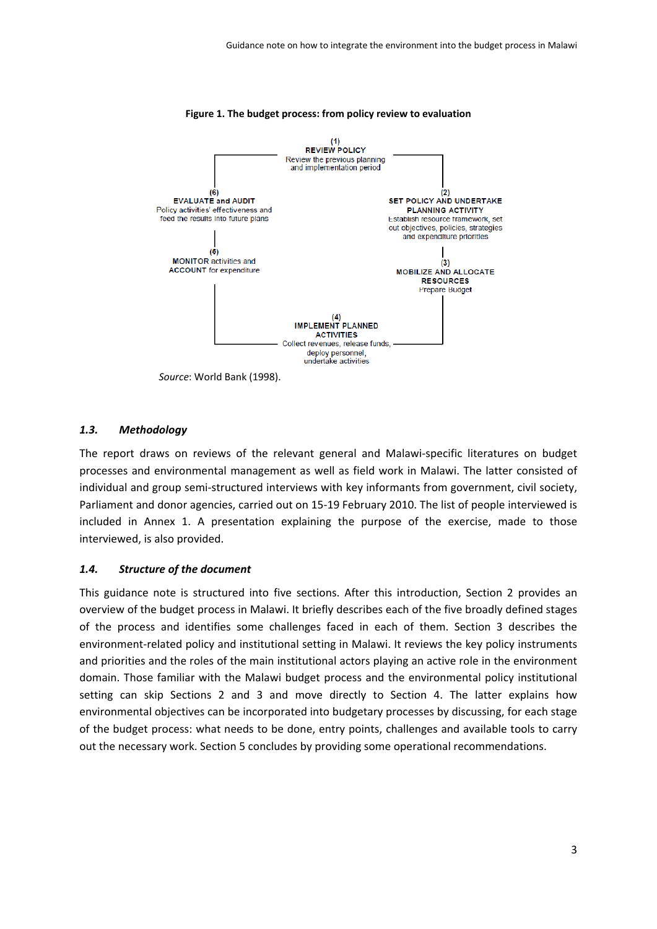

#### **Figure 1. The budget process: from policy review to evaluation**

#### *1.3. Methodology*

The report draws on reviews of the relevant general and Malawi‐specific literatures on budget processes and environmental management as well as field work in Malawi. The latter consisted of individual and group semi‐structured interviews with key informants from government, civil society, Parliament and donor agencies, carried out on 15‐19 February 2010. The list of people interviewed is included in Annex 1. A presentation explaining the purpose of the exercise, made to those interviewed, is also provided.

#### *1.4. Structure of the document*

This guidance note is structured into five sections. After this introduction, Section 2 provides an overview of the budget process in Malawi. It briefly describes each of the five broadly defined stages of the process and identifies some challenges faced in each of them. Section 3 describes the environment-related policy and institutional setting in Malawi. It reviews the key policy instruments and priorities and the roles of the main institutional actors playing an active role in the environment domain. Those familiar with the Malawi budget process and the environmental policy institutional setting can skip Sections 2 and 3 and move directly to Section 4. The latter explains how environmental objectives can be incorporated into budgetary processes by discussing, for each stage of the budget process: what needs to be done, entry points, challenges and available tools to carry out the necessary work. Section 5 concludes by providing some operational recommendations.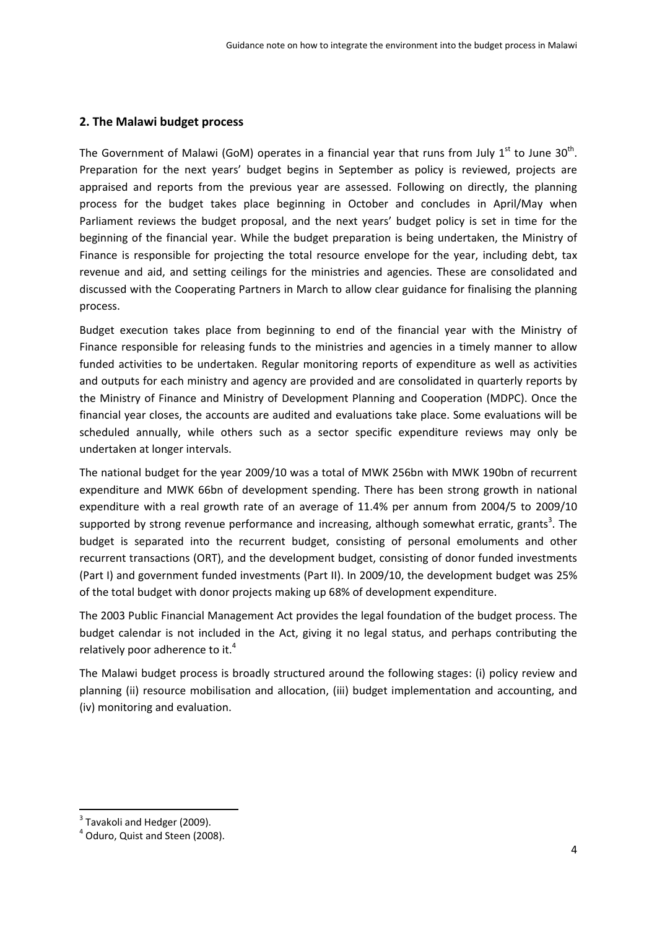## **2. The Malawi budget process**

The Government of Malawi (GoM) operates in a financial year that runs from July  $1^{st}$  to June 30<sup>th</sup>. Preparation for the next years' budget begins in September as policy is reviewed, projects are appraised and reports from the previous year are assessed. Following on directly, the planning process for the budget takes place beginning in October and concludes in April/May when Parliament reviews the budget proposal, and the next years' budget policy is set in time for the beginning of the financial year. While the budget preparation is being undertaken, the Ministry of Finance is responsible for projecting the total resource envelope for the year, including debt, tax revenue and aid, and setting ceilings for the ministries and agencies. These are consolidated and discussed with the Cooperating Partners in March to allow clear guidance for finalising the planning process.

Budget execution takes place from beginning to end of the financial year with the Ministry of Finance responsible for releasing funds to the ministries and agencies in a timely manner to allow funded activities to be undertaken. Regular monitoring reports of expenditure as well as activities and outputs for each ministry and agency are provided and are consolidated in quarterly reports by the Ministry of Finance and Ministry of Development Planning and Cooperation (MDPC). Once the financial year closes, the accounts are audited and evaluations take place. Some evaluations will be scheduled annually, while others such as a sector specific expenditure reviews may only be undertaken at longer intervals.

The national budget for the year 2009/10 was a total of MWK 256bn with MWK 190bn of recurrent expenditure and MWK 66bn of development spending. There has been strong growth in national expenditure with a real growth rate of an average of 11.4% per annum from 2004/5 to 2009/10 supported by strong revenue performance and increasing, although somewhat erratic, grants<sup>3</sup>. The budget is separated into the recurrent budget, consisting of personal emoluments and other recurrent transactions (ORT), and the development budget, consisting of donor funded investments (Part I) and government funded investments (Part II). In 2009/10, the development budget was 25% of the total budget with donor projects making up 68% of development expenditure.

The 2003 Public Financial Management Act provides the legal foundation of the budget process. The budget calendar is not included in the Act, giving it no legal status, and perhaps contributing the relatively poor adherence to it.<sup>4</sup>

The Malawi budget process is broadly structured around the following stages: (i) policy review and planning (ii) resource mobilisation and allocation, (iii) budget implementation and accounting, and (iv) monitoring and evaluation.

 $3$  Tavakoli and Hedger (2009).<br> $4$  Oduro, Quist and Steen (2008).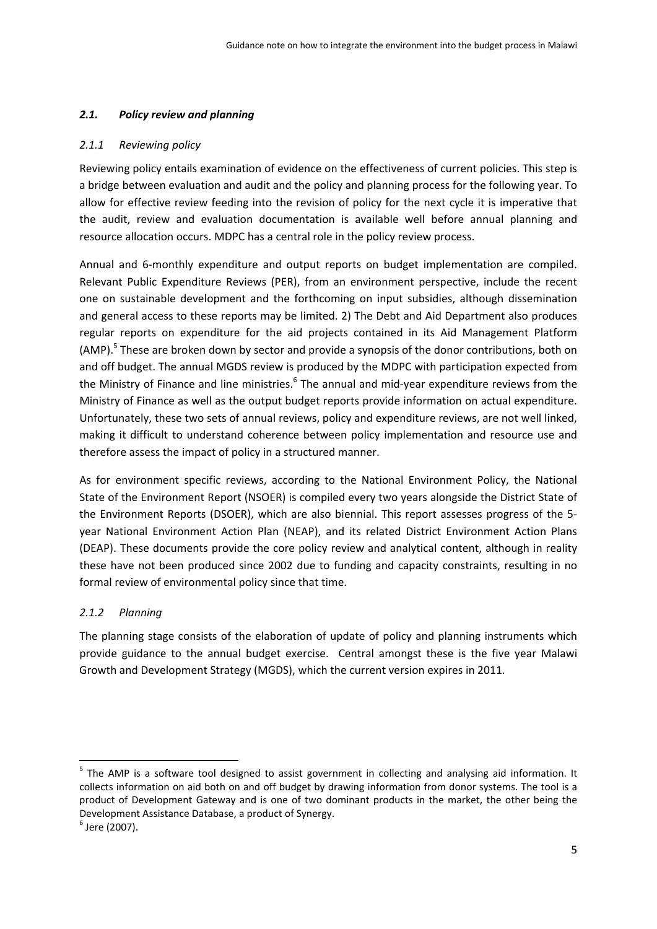# *2.1. Policy review and planning*

## *2.1.1 Reviewing policy*

Reviewing policy entails examination of evidence on the effectiveness of current policies. This step is a bridge between evaluation and audit and the policy and planning process for the following year. To allow for effective review feeding into the revision of policy for the next cycle it is imperative that the audit, review and evaluation documentation is available well before annual planning and resource allocation occurs. MDPC has a central role in the policy review process.

Annual and 6‐monthly expenditure and output reports on budget implementation are compiled. Relevant Public Expenditure Reviews (PER), from an environment perspective, include the recent one on sustainable development and the forthcoming on input subsidies, although dissemination and general access to these reports may be limited. 2) The Debt and Aid Department also produces regular reports on expenditure for the aid projects contained in its Aid Management Platform (AMP).<sup>5</sup> These are broken down by sector and provide a synopsis of the donor contributions, both on and off budget. The annual MGDS review is produced by the MDPC with participation expected from the Ministry of Finance and line ministries.<sup>6</sup> The annual and mid-year expenditure reviews from the Ministry of Finance as well as the output budget reports provide information on actual expenditure. Unfortunately, these two sets of annual reviews, policy and expenditure reviews, are not well linked, making it difficult to understand coherence between policy implementation and resource use and therefore assess the impact of policy in a structured manner.

As for environment specific reviews, according to the National Environment Policy, the National State of the Environment Report (NSOER) is compiled every two years alongside the District State of the Environment Reports (DSOER), which are also biennial. This report assesses progress of the 5‐ year National Environment Action Plan (NEAP), and its related District Environment Action Plans (DEAP). These documents provide the core policy review and analytical content, although in reality these have not been produced since 2002 due to funding and capacity constraints, resulting in no formal review of environmental policy since that time.

# *2.1.2 Planning*

The planning stage consists of the elaboration of update of policy and planning instruments which provide guidance to the annual budget exercise. Central amongst these is the five year Malawi Growth and Development Strategy (MGDS), which the current version expires in 2011.

<sup>&</sup>lt;sup>5</sup> The AMP is a software tool designed to assist government in collecting and analysing aid information. It collects information on aid both on and off budget by drawing information from donor systems. The tool is a product of Development Gateway and is one of two dominant products in the market, the other being the Development Assistance Database, a product of Synergy.<br><sup>6</sup> Jere (2007).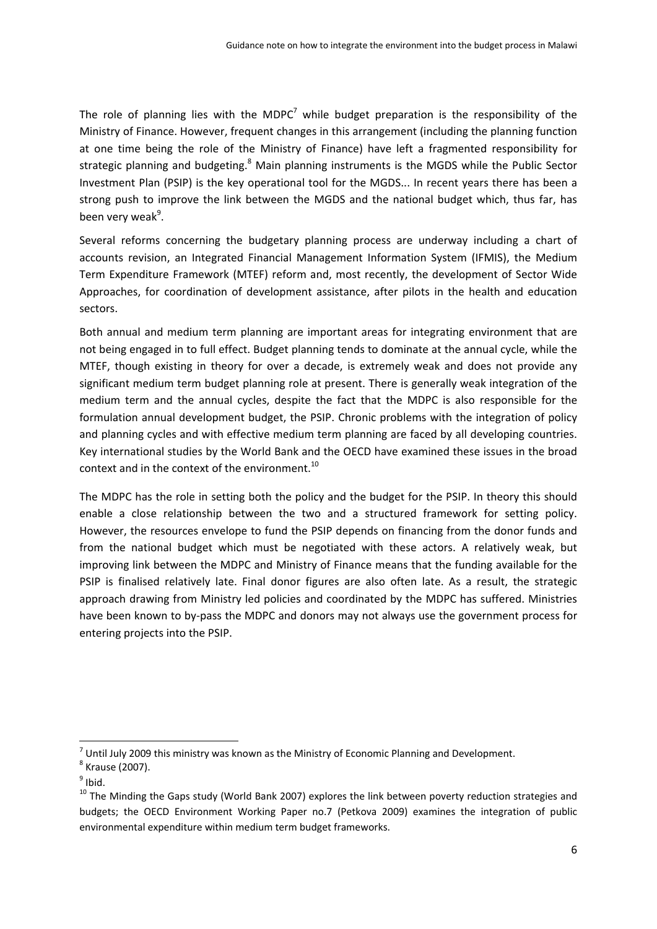The role of planning lies with the MDPC<sup>7</sup> while budget preparation is the responsibility of the Ministry of Finance. However, frequent changes in this arrangement (including the planning function at one time being the role of the Ministry of Finance) have left a fragmented responsibility for strategic planning and budgeting.<sup>8</sup> Main planning instruments is the MGDS while the Public Sector Investment Plan (PSIP) is the key operational tool for the MGDS... In recent years there has been a strong push to improve the link between the MGDS and the national budget which, thus far, has been very weak<sup>9</sup>.

Several reforms concerning the budgetary planning process are underway including a chart of accounts revision, an Integrated Financial Management Information System (IFMIS), the Medium Term Expenditure Framework (MTEF) reform and, most recently, the development of Sector Wide Approaches, for coordination of development assistance, after pilots in the health and education sectors.

Both annual and medium term planning are important areas for integrating environment that are not being engaged in to full effect. Budget planning tends to dominate at the annual cycle, while the MTEF, though existing in theory for over a decade, is extremely weak and does not provide any significant medium term budget planning role at present. There is generally weak integration of the medium term and the annual cycles, despite the fact that the MDPC is also responsible for the formulation annual development budget, the PSIP. Chronic problems with the integration of policy and planning cycles and with effective medium term planning are faced by all developing countries. Key international studies by the World Bank and the OECD have examined these issues in the broad context and in the context of the environment.<sup>10</sup>

The MDPC has the role in setting both the policy and the budget for the PSIP. In theory this should enable a close relationship between the two and a structured framework for setting policy. However, the resources envelope to fund the PSIP depends on financing from the donor funds and from the national budget which must be negotiated with these actors. A relatively weak, but improving link between the MDPC and Ministry of Finance means that the funding available for the PSIP is finalised relatively late. Final donor figures are also often late. As a result, the strategic approach drawing from Ministry led policies and coordinated by the MDPC has suffered. Ministries have been known to by-pass the MDPC and donors may not always use the government process for entering projects into the PSIP.

<sup>&</sup>lt;sup>7</sup> Until July 2009 this ministry was known as the Ministry of Economic Planning and Development. <sup>8</sup> Krause (2007).

 $<sup>9</sup>$  Ibid.</sup>

 $10$  The Minding the Gaps study (World Bank 2007) explores the link between poverty reduction strategies and budgets; the OECD Environment Working Paper no.7 (Petkova 2009) examines the integration of public environmental expenditure within medium term budget frameworks.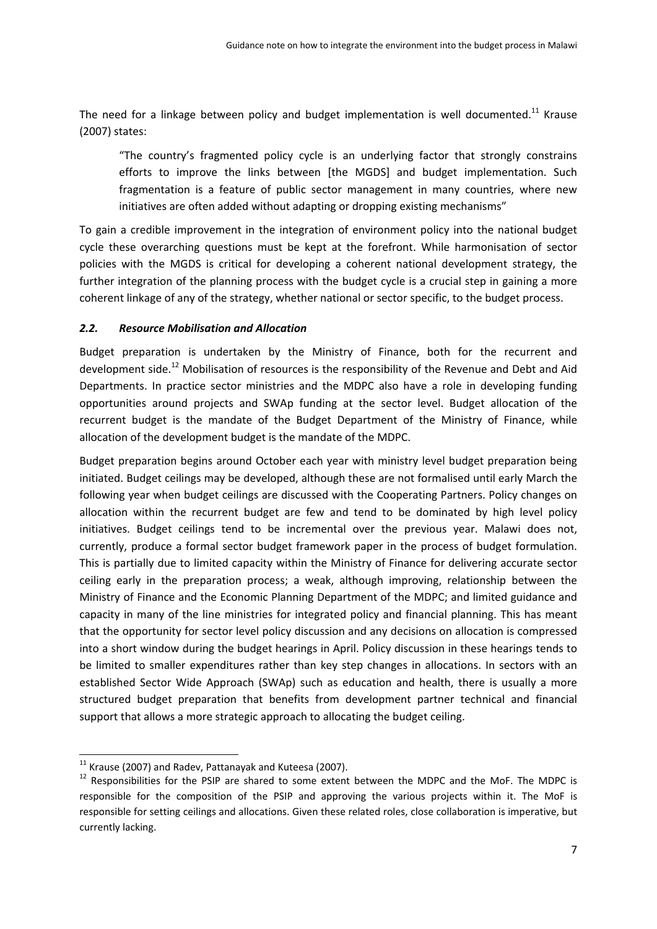The need for a linkage between policy and budget implementation is well documented.<sup>11</sup> Krause (2007) states:

"The country's fragmented policy cycle is an underlying factor that strongly constrains efforts to improve the links between [the MGDS] and budget implementation. Such fragmentation is a feature of public sector management in many countries, where new initiatives are often added without adapting or dropping existing mechanisms"

To gain a credible improvement in the integration of environment policy into the national budget cycle these overarching questions must be kept at the forefront. While harmonisation of sector policies with the MGDS is critical for developing a coherent national development strategy, the further integration of the planning process with the budget cycle is a crucial step in gaining a more coherent linkage of any of the strategy, whether national or sector specific, to the budget process.

#### *2.2. Resource Mobilisation and Allocation*

Budget preparation is undertaken by the Ministry of Finance, both for the recurrent and development side.<sup>12</sup> Mobilisation of resources is the responsibility of the Revenue and Debt and Aid Departments. In practice sector ministries and the MDPC also have a role in developing funding opportunities around projects and SWAp funding at the sector level. Budget allocation of the recurrent budget is the mandate of the Budget Department of the Ministry of Finance, while allocation of the development budget is the mandate of the MDPC.

Budget preparation begins around October each year with ministry level budget preparation being initiated. Budget ceilings may be developed, although these are not formalised until early March the following year when budget ceilings are discussed with the Cooperating Partners. Policy changes on allocation within the recurrent budget are few and tend to be dominated by high level policy initiatives. Budget ceilings tend to be incremental over the previous year. Malawi does not, currently, produce a formal sector budget framework paper in the process of budget formulation. This is partially due to limited capacity within the Ministry of Finance for delivering accurate sector ceiling early in the preparation process; a weak, although improving, relationship between the Ministry of Finance and the Economic Planning Department of the MDPC; and limited guidance and capacity in many of the line ministries for integrated policy and financial planning. This has meant that the opportunity for sector level policy discussion and any decisions on allocation is compressed into a short window during the budget hearings in April. Policy discussion in these hearings tends to be limited to smaller expenditures rather than key step changes in allocations. In sectors with an established Sector Wide Approach (SWAp) such as education and health, there is usually a more structured budget preparation that benefits from development partner technical and financial support that allows a more strategic approach to allocating the budget ceiling.

 $11$  Krause (2007) and Radev, Pattanayak and Kuteesa (2007).

 $12$  Responsibilities for the PSIP are shared to some extent between the MDPC and the MoF. The MDPC is responsible for the composition of the PSIP and approving the various projects within it. The MoF is responsible for setting ceilings and allocations. Given these related roles, close collaboration is imperative, but currently lacking.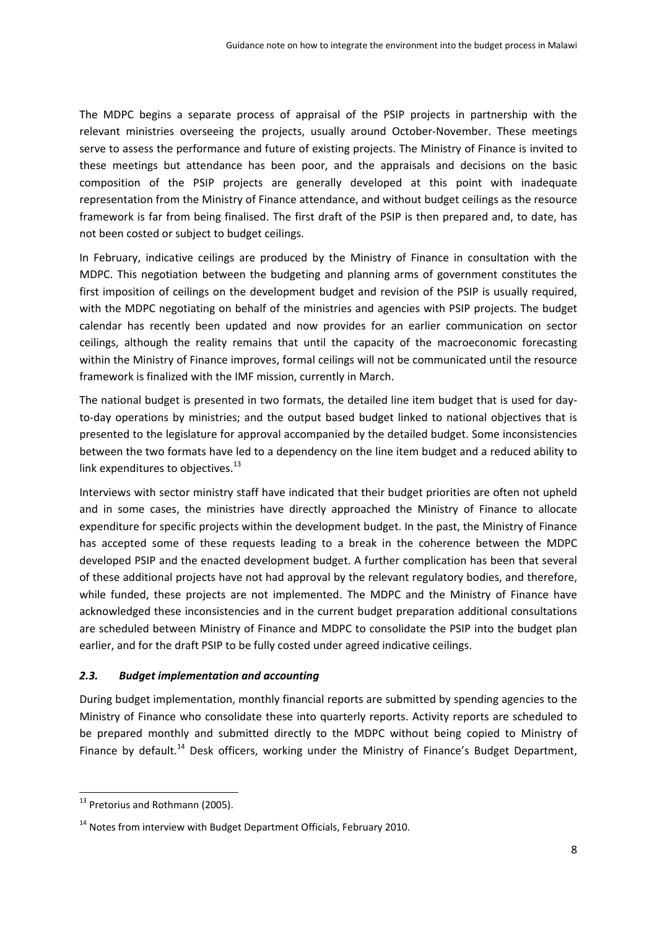The MDPC begins a separate process of appraisal of the PSIP projects in partnership with the relevant ministries overseeing the projects, usually around October‐November. These meetings serve to assess the performance and future of existing projects. The Ministry of Finance is invited to these meetings but attendance has been poor, and the appraisals and decisions on the basic composition of the PSIP projects are generally developed at this point with inadequate representation from the Ministry of Finance attendance, and without budget ceilings as the resource framework is far from being finalised. The first draft of the PSIP is then prepared and, to date, has not been costed or subject to budget ceilings.

In February, indicative ceilings are produced by the Ministry of Finance in consultation with the MDPC. This negotiation between the budgeting and planning arms of government constitutes the first imposition of ceilings on the development budget and revision of the PSIP is usually required, with the MDPC negotiating on behalf of the ministries and agencies with PSIP projects. The budget calendar has recently been updated and now provides for an earlier communication on sector ceilings, although the reality remains that until the capacity of the macroeconomic forecasting within the Ministry of Finance improves, formal ceilings will not be communicated until the resource framework is finalized with the IMF mission, currently in March.

The national budget is presented in two formats, the detailed line item budget that is used for day‐ to-day operations by ministries; and the output based budget linked to national objectives that is presented to the legislature for approval accompanied by the detailed budget. Some inconsistencies between the two formats have led to a dependency on the line item budget and a reduced ability to link expenditures to objectives. $^{13}$ 

Interviews with sector ministry staff have indicated that their budget priorities are often not upheld and in some cases, the ministries have directly approached the Ministry of Finance to allocate expenditure for specific projects within the development budget. In the past, the Ministry of Finance has accepted some of these requests leading to a break in the coherence between the MDPC developed PSIP and the enacted development budget. A further complication has been that several of these additional projects have not had approval by the relevant regulatory bodies, and therefore, while funded, these projects are not implemented. The MDPC and the Ministry of Finance have acknowledged these inconsistencies and in the current budget preparation additional consultations are scheduled between Ministry of Finance and MDPC to consolidate the PSIP into the budget plan earlier, and for the draft PSIP to be fully costed under agreed indicative ceilings.

## *2.3. Budget implementation and accounting*

During budget implementation, monthly financial reports are submitted by spending agencies to the Ministry of Finance who consolidate these into quarterly reports. Activity reports are scheduled to be prepared monthly and submitted directly to the MDPC without being copied to Ministry of Finance by default.<sup>14</sup> Desk officers, working under the Ministry of Finance's Budget Department,

 <sup>13</sup> Pretorius and Rothmann (2005).

<sup>&</sup>lt;sup>14</sup> Notes from interview with Budget Department Officials, February 2010.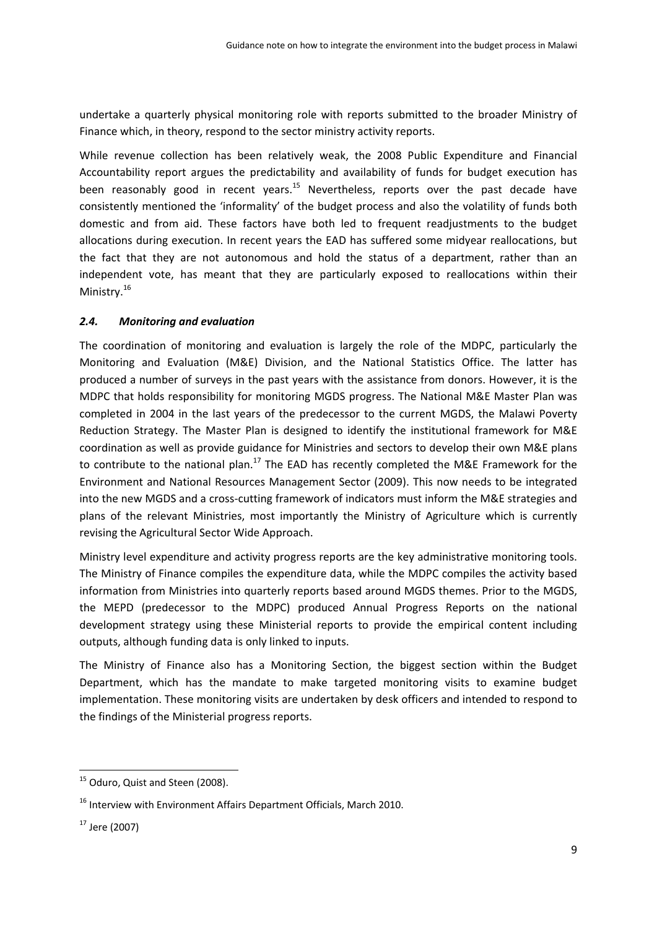undertake a quarterly physical monitoring role with reports submitted to the broader Ministry of Finance which, in theory, respond to the sector ministry activity reports.

While revenue collection has been relatively weak, the 2008 Public Expenditure and Financial Accountability report argues the predictability and availability of funds for budget execution has been reasonably good in recent years.<sup>15</sup> Nevertheless, reports over the past decade have consistently mentioned the 'informality' of the budget process and also the volatility of funds both domestic and from aid. These factors have both led to frequent readjustments to the budget allocations during execution. In recent years the EAD has suffered some midyear reallocations, but the fact that they are not autonomous and hold the status of a department, rather than an independent vote, has meant that they are particularly exposed to reallocations within their Ministry.<sup>16</sup>

## *2.4. Monitoring and evaluation*

The coordination of monitoring and evaluation is largely the role of the MDPC, particularly the Monitoring and Evaluation (M&E) Division, and the National Statistics Office. The latter has produced a number of surveys in the past years with the assistance from donors. However, it is the MDPC that holds responsibility for monitoring MGDS progress. The National M&E Master Plan was completed in 2004 in the last years of the predecessor to the current MGDS, the Malawi Poverty Reduction Strategy. The Master Plan is designed to identify the institutional framework for M&E coordination as well as provide guidance for Ministries and sectors to develop their own M&E plans to contribute to the national plan.<sup>17</sup> The EAD has recently completed the M&E Framework for the Environment and National Resources Management Sector (2009). This now needs to be integrated into the new MGDS and a cross‐cutting framework of indicators must inform the M&E strategies and plans of the relevant Ministries, most importantly the Ministry of Agriculture which is currently revising the Agricultural Sector Wide Approach.

Ministry level expenditure and activity progress reports are the key administrative monitoring tools. The Ministry of Finance compiles the expenditure data, while the MDPC compiles the activity based information from Ministries into quarterly reports based around MGDS themes. Prior to the MGDS, the MEPD (predecessor to the MDPC) produced Annual Progress Reports on the national development strategy using these Ministerial reports to provide the empirical content including outputs, although funding data is only linked to inputs.

The Ministry of Finance also has a Monitoring Section, the biggest section within the Budget Department, which has the mandate to make targeted monitoring visits to examine budget implementation. These monitoring visits are undertaken by desk officers and intended to respond to the findings of the Ministerial progress reports.

 <sup>15</sup> Oduro, Quist and Steen (2008).

<sup>&</sup>lt;sup>16</sup> Interview with Environment Affairs Department Officials, March 2010.

 $17$  Jere (2007)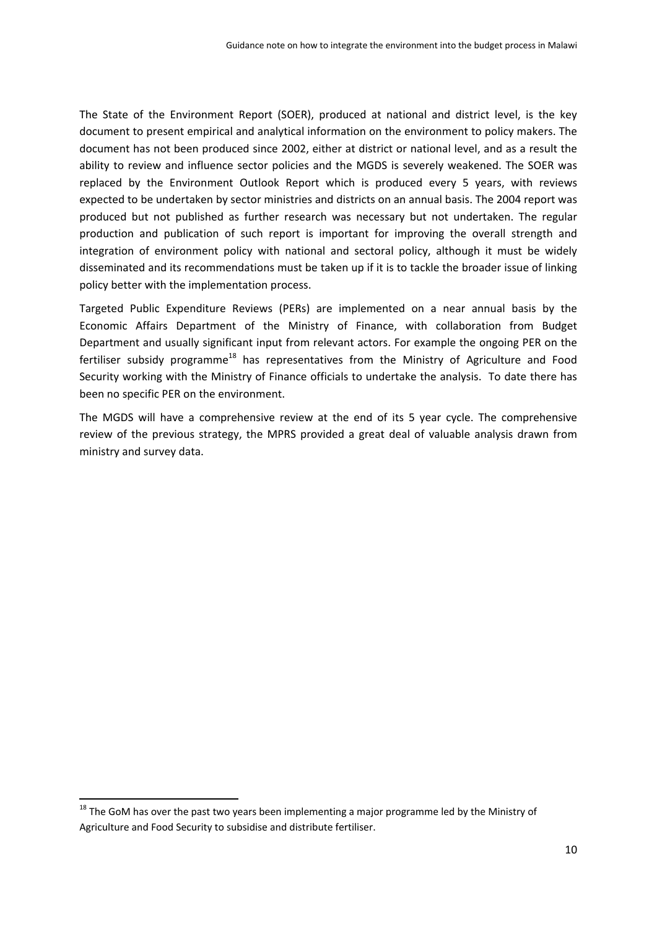The State of the Environment Report (SOER), produced at national and district level, is the key document to present empirical and analytical information on the environment to policy makers. The document has not been produced since 2002, either at district or national level, and as a result the ability to review and influence sector policies and the MGDS is severely weakened. The SOER was replaced by the Environment Outlook Report which is produced every 5 years, with reviews expected to be undertaken by sector ministries and districts on an annual basis. The 2004 report was produced but not published as further research was necessary but not undertaken. The regular production and publication of such report is important for improving the overall strength and integration of environment policy with national and sectoral policy, although it must be widely disseminated and its recommendations must be taken up if it is to tackle the broader issue of linking policy better with the implementation process.

Targeted Public Expenditure Reviews (PERs) are implemented on a near annual basis by the Economic Affairs Department of the Ministry of Finance, with collaboration from Budget Department and usually significant input from relevant actors. For example the ongoing PER on the fertiliser subsidy programme<sup>18</sup> has representatives from the Ministry of Agriculture and Food Security working with the Ministry of Finance officials to undertake the analysis. To date there has been no specific PER on the environment.

The MGDS will have a comprehensive review at the end of its 5 year cycle. The comprehensive review of the previous strategy, the MPRS provided a great deal of valuable analysis drawn from ministry and survey data.

 $18$  The GoM has over the past two years been implementing a major programme led by the Ministry of Agriculture and Food Security to subsidise and distribute fertiliser.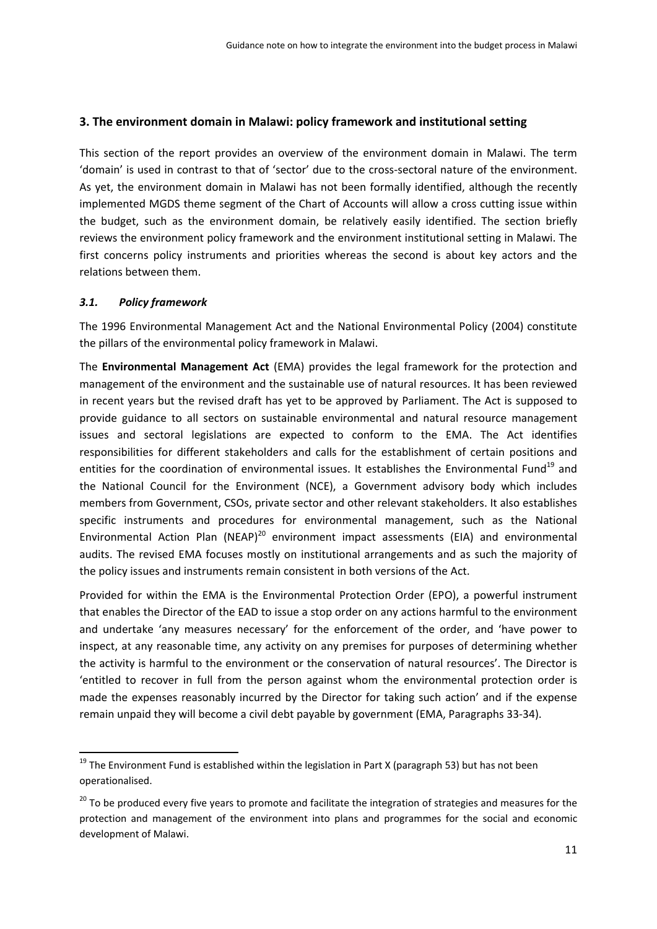# **3. The environment domain in Malawi: policy framework and institutional setting**

This section of the report provides an overview of the environment domain in Malawi. The term 'domain' is used in contrast to that of 'sector' due to the cross‐sectoral nature of the environment. As yet, the environment domain in Malawi has not been formally identified, although the recently implemented MGDS theme segment of the Chart of Accounts will allow a cross cutting issue within the budget, such as the environment domain, be relatively easily identified. The section briefly reviews the environment policy framework and the environment institutional setting in Malawi. The first concerns policy instruments and priorities whereas the second is about key actors and the relations between them.

## *3.1. Policy framework*

The 1996 Environmental Management Act and the National Environmental Policy (2004) constitute the pillars of the environmental policy framework in Malawi.

The **Environmental Management Act** (EMA) provides the legal framework for the protection and management of the environment and the sustainable use of natural resources. It has been reviewed in recent years but the revised draft has yet to be approved by Parliament. The Act is supposed to provide guidance to all sectors on sustainable environmental and natural resource management issues and sectoral legislations are expected to conform to the EMA. The Act identifies responsibilities for different stakeholders and calls for the establishment of certain positions and entities for the coordination of environmental issues. It establishes the Environmental Fund<sup>19</sup> and the National Council for the Environment (NCE), a Government advisory body which includes members from Government, CSOs, private sector and other relevant stakeholders. It also establishes specific instruments and procedures for environmental management, such as the National Environmental Action Plan (NEAP)<sup>20</sup> environment impact assessments (EIA) and environmental audits. The revised EMA focuses mostly on institutional arrangements and as such the majority of the policy issues and instruments remain consistent in both versions of the Act.

Provided for within the EMA is the Environmental Protection Order (EPO), a powerful instrument that enables the Director of the EAD to issue a stop order on any actions harmful to the environment and undertake 'any measures necessary' for the enforcement of the order, and 'have power to inspect, at any reasonable time, any activity on any premises for purposes of determining whether the activity is harmful to the environment or the conservation of natural resources'. The Director is 'entitled to recover in full from the person against whom the environmental protection order is made the expenses reasonably incurred by the Director for taking such action' and if the expense remain unpaid they will become a civil debt payable by government (EMA, Paragraphs 33‐34).

 $19$  The Environment Fund is established within the legislation in Part X (paragraph 53) but has not been operationalised.

<sup>&</sup>lt;sup>20</sup> To be produced every five years to promote and facilitate the integration of strategies and measures for the protection and management of the environment into plans and programmes for the social and economic development of Malawi.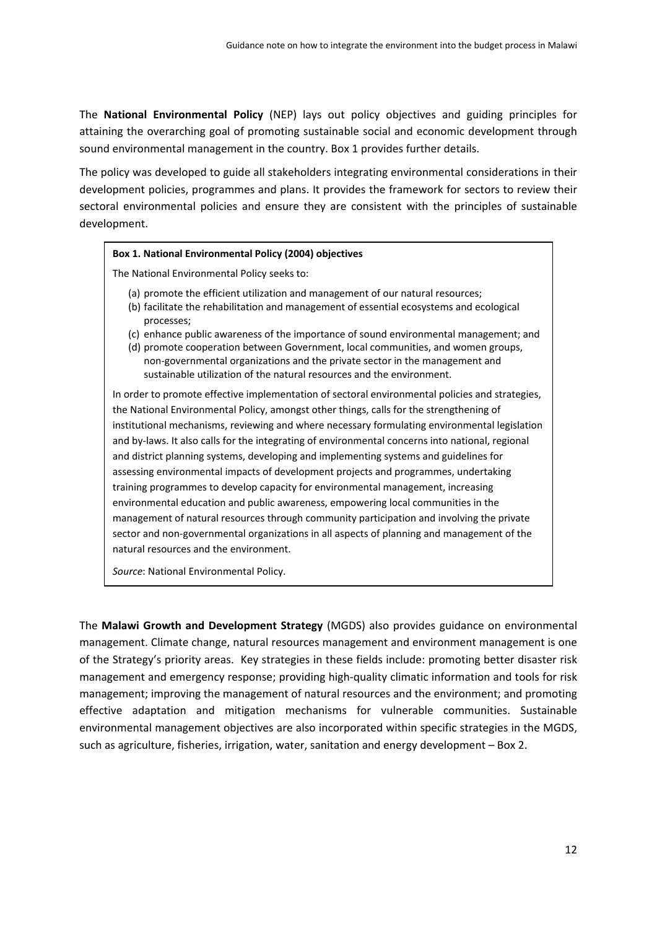The **National Environmental Policy** (NEP) lays out policy objectives and guiding principles for attaining the overarching goal of promoting sustainable social and economic development through sound environmental management in the country. Box 1 provides further details.

The policy was developed to guide all stakeholders integrating environmental considerations in their development policies, programmes and plans. It provides the framework for sectors to review their sectoral environmental policies and ensure they are consistent with the principles of sustainable development.

#### **Box 1. National Environmental Policy (2004) objectives**

The National Environmental Policy seeks to:

- (a) promote the efficient utilization and management of our natural resources;
- (b) facilitate the rehabilitation and management of essential ecosystems and ecological processes;
- (c) enhance public awareness of the importance of sound environmental management; and
- (d) promote cooperation between Government, local communities, and women groups, non‐governmental organizations and the private sector in the management and sustainable utilization of the natural resources and the environment.

In order to promote effective implementation of sectoral environmental policies and strategies, the National Environmental Policy, amongst other things, calls for the strengthening of institutional mechanisms, reviewing and where necessary formulating environmental legislation and by-laws. It also calls for the integrating of environmental concerns into national, regional and district planning systems, developing and implementing systems and guidelines for assessing environmental impacts of development projects and programmes, undertaking training programmes to develop capacity for environmental management, increasing environmental education and public awareness, empowering local communities in the management of natural resources through community participation and involving the private sector and non-governmental organizations in all aspects of planning and management of the natural resources and the environment.

*Source*: National Environmental Policy.

The **Malawi Growth and Development Strategy** (MGDS) also provides guidance on environmental management. Climate change, natural resources management and environment management is one of the Strategy's priority areas. Key strategies in these fields include: promoting better disaster risk management and emergency response; providing high‐quality climatic information and tools for risk management; improving the management of natural resources and the environment; and promoting effective adaptation and mitigation mechanisms for vulnerable communities. Sustainable environmental management objectives are also incorporated within specific strategies in the MGDS, such as agriculture, fisheries, irrigation, water, sanitation and energy development – Box 2.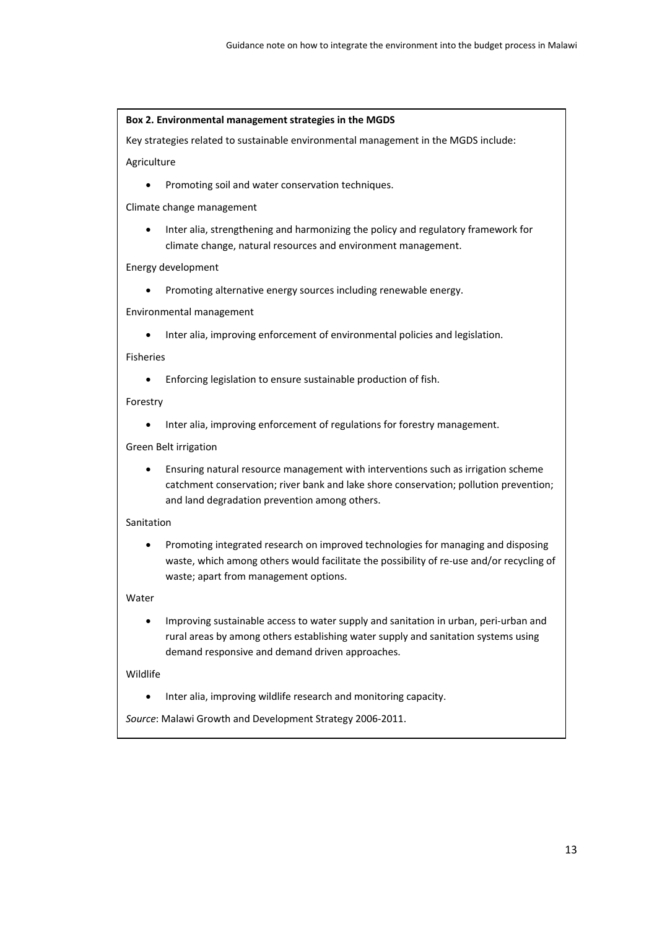#### **Box 2. Environmental management strategies in the MGDS**

Key strategies related to sustainable environmental management in the MGDS include:

Agriculture

• Promoting soil and water conservation techniques.

Climate change management

 Inter alia, strengthening and harmonizing the policy and regulatory framework for climate change, natural resources and environment management.

#### Energy development

Promoting alternative energy sources including renewable energy.

Environmental management

Inter alia, improving enforcement of environmental policies and legislation.

Fisheries

Enforcing legislation to ensure sustainable production of fish.

#### Forestry

Inter alia, improving enforcement of regulations for forestry management.

Green Belt irrigation

 Ensuring natural resource management with interventions such as irrigation scheme catchment conservation; river bank and lake shore conservation; pollution prevention; and land degradation prevention among others.

#### Sanitation

 Promoting integrated research on improved technologies for managing and disposing waste, which among others would facilitate the possibility of re-use and/or recycling of waste; apart from management options.

#### Water

 Improving sustainable access to water supply and sanitation in urban, peri‐urban and rural areas by among others establishing water supply and sanitation systems using demand responsive and demand driven approaches.

#### Wildlife

Inter alia, improving wildlife research and monitoring capacity.

*Source*: Malawi Growth and Development Strategy 2006‐2011.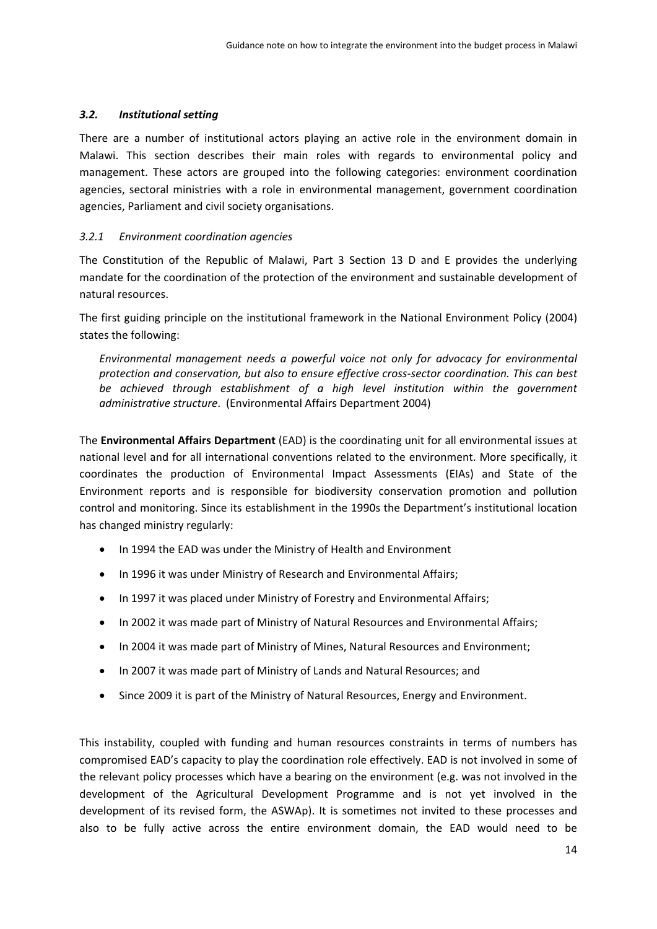## *3.2. Institutional setting*

There are a number of institutional actors playing an active role in the environment domain in Malawi. This section describes their main roles with regards to environmental policy and management. These actors are grouped into the following categories: environment coordination agencies, sectoral ministries with a role in environmental management, government coordination agencies, Parliament and civil society organisations.

# *3.2.1 Environment coordination agencies*

The Constitution of the Republic of Malawi, Part 3 Section 13 D and E provides the underlying mandate for the coordination of the protection of the environment and sustainable development of natural resources.

The first guiding principle on the institutional framework in the National Environment Policy (2004) states the following:

*Environmental management needs a powerful voice not only for advocacy for environmental protection and conservation, but also to ensure effective cross‐sector coordination. This can best be achieved through establishment of a high level institution within the government administrative structure*. (Environmental Affairs Department 2004)

The **Environmental Affairs Department** (EAD) is the coordinating unit for all environmental issues at national level and for all international conventions related to the environment. More specifically, it coordinates the production of Environmental Impact Assessments (EIAs) and State of the Environment reports and is responsible for biodiversity conservation promotion and pollution control and monitoring. Since its establishment in the 1990s the Department's institutional location has changed ministry regularly:

- In 1994 the EAD was under the Ministry of Health and Environment
- In 1996 it was under Ministry of Research and Environmental Affairs;
- In 1997 it was placed under Ministry of Forestry and Environmental Affairs;
- In 2002 it was made part of Ministry of Natural Resources and Environmental Affairs;
- In 2004 it was made part of Ministry of Mines, Natural Resources and Environment;
- In 2007 it was made part of Ministry of Lands and Natural Resources; and
- Since 2009 it is part of the Ministry of Natural Resources, Energy and Environment.

This instability, coupled with funding and human resources constraints in terms of numbers has compromised EAD's capacity to play the coordination role effectively. EAD is not involved in some of the relevant policy processes which have a bearing on the environment (e.g. was not involved in the development of the Agricultural Development Programme and is not yet involved in the development of its revised form, the ASWAp). It is sometimes not invited to these processes and also to be fully active across the entire environment domain, the EAD would need to be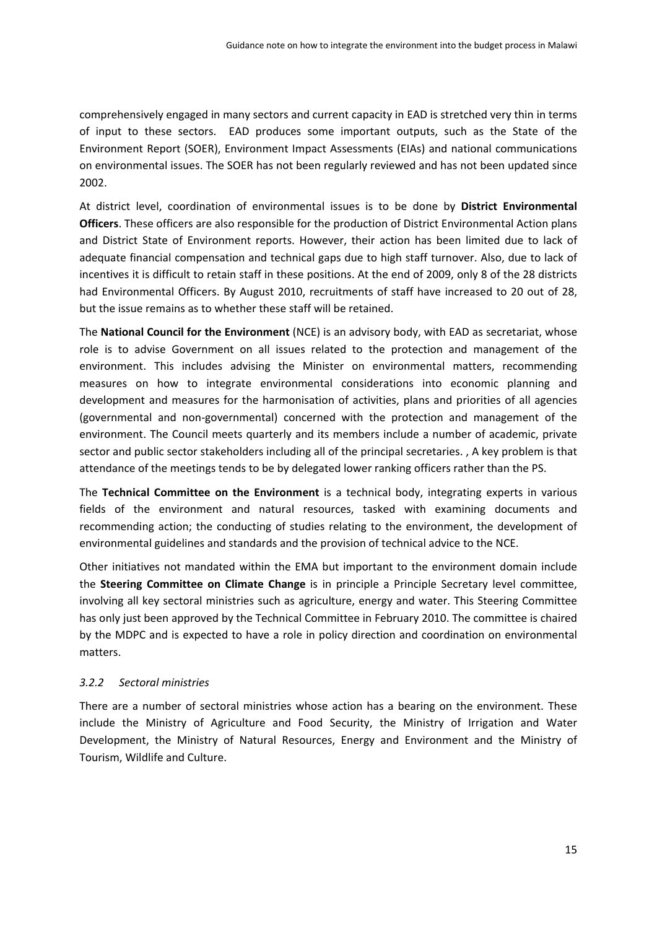comprehensively engaged in many sectors and current capacity in EAD is stretched very thin in terms of input to these sectors. EAD produces some important outputs, such as the State of the Environment Report (SOER), Environment Impact Assessments (EIAs) and national communications on environmental issues. The SOER has not been regularly reviewed and has not been updated since 2002.

At district level, coordination of environmental issues is to be done by **District Environmental Officers**. These officers are also responsible for the production of District Environmental Action plans and District State of Environment reports. However, their action has been limited due to lack of adequate financial compensation and technical gaps due to high staff turnover. Also, due to lack of incentives it is difficult to retain staff in these positions. At the end of 2009, only 8 of the 28 districts had Environmental Officers. By August 2010, recruitments of staff have increased to 20 out of 28, but the issue remains as to whether these staff will be retained.

The **National Council for the Environment** (NCE) is an advisory body, with EAD as secretariat, whose role is to advise Government on all issues related to the protection and management of the environment. This includes advising the Minister on environmental matters, recommending measures on how to integrate environmental considerations into economic planning and development and measures for the harmonisation of activities, plans and priorities of all agencies (governmental and non‐governmental) concerned with the protection and management of the environment. The Council meets quarterly and its members include a number of academic, private sector and public sector stakeholders including all of the principal secretaries. , A key problem is that attendance of the meetings tends to be by delegated lower ranking officers rather than the PS.

The **Technical Committee on the Environment** is a technical body, integrating experts in various fields of the environment and natural resources, tasked with examining documents and recommending action; the conducting of studies relating to the environment, the development of environmental guidelines and standards and the provision of technical advice to the NCE.

Other initiatives not mandated within the EMA but important to the environment domain include the **Steering Committee on Climate Change** is in principle a Principle Secretary level committee, involving all key sectoral ministries such as agriculture, energy and water. This Steering Committee has only just been approved by the Technical Committee in February 2010. The committee is chaired by the MDPC and is expected to have a role in policy direction and coordination on environmental matters.

# *3.2.2 Sectoral ministries*

There are a number of sectoral ministries whose action has a bearing on the environment. These include the Ministry of Agriculture and Food Security, the Ministry of Irrigation and Water Development, the Ministry of Natural Resources, Energy and Environment and the Ministry of Tourism, Wildlife and Culture.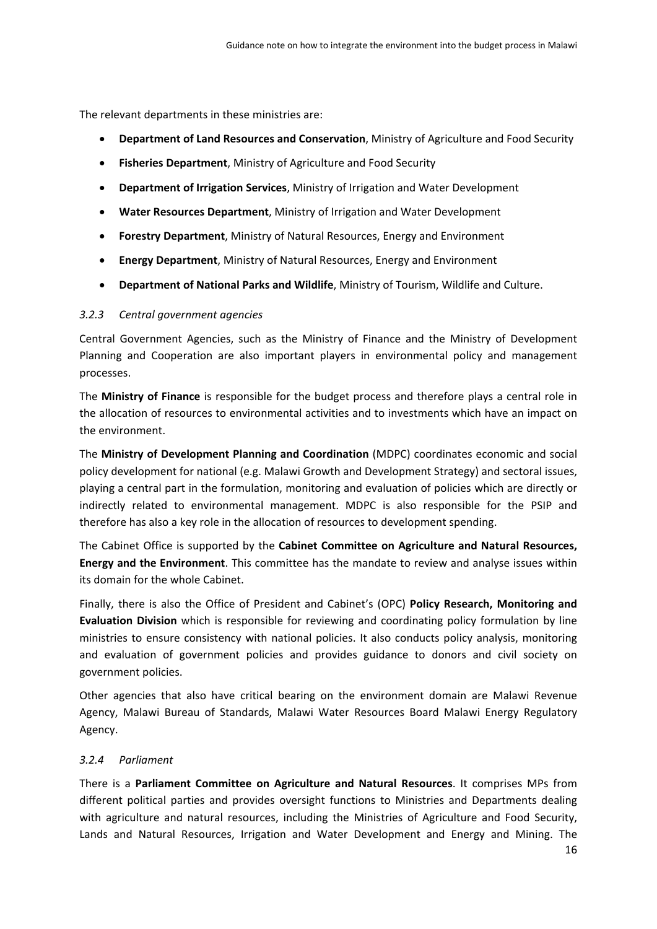The relevant departments in these ministries are:

- **Department of Land Resources and Conservation**, Ministry of Agriculture and Food Security
- **Fisheries Department**, Ministry of Agriculture and Food Security
- **Department of Irrigation Services**, Ministry of Irrigation and Water Development
- **Water Resources Department**, Ministry of Irrigation and Water Development
- **Forestry Department**, Ministry of Natural Resources, Energy and Environment
- **Energy Department**, Ministry of Natural Resources, Energy and Environment
- **Department of National Parks and Wildlife**, Ministry of Tourism, Wildlife and Culture.

## *3.2.3 Central government agencies*

Central Government Agencies, such as the Ministry of Finance and the Ministry of Development Planning and Cooperation are also important players in environmental policy and management processes.

The **Ministry of Finance** is responsible for the budget process and therefore plays a central role in the allocation of resources to environmental activities and to investments which have an impact on the environment.

The **Ministry of Development Planning and Coordination** (MDPC) coordinates economic and social policy development for national (e.g. Malawi Growth and Development Strategy) and sectoral issues, playing a central part in the formulation, monitoring and evaluation of policies which are directly or indirectly related to environmental management. MDPC is also responsible for the PSIP and therefore has also a key role in the allocation of resources to development spending.

The Cabinet Office is supported by the **Cabinet Committee on Agriculture and Natural Resources, Energy and the Environment**. This committee has the mandate to review and analyse issues within its domain for the whole Cabinet.

Finally, there is also the Office of President and Cabinet's (OPC) **Policy Research, Monitoring and Evaluation Division** which is responsible for reviewing and coordinating policy formulation by line ministries to ensure consistency with national policies. It also conducts policy analysis, monitoring and evaluation of government policies and provides guidance to donors and civil society on government policies.

Other agencies that also have critical bearing on the environment domain are Malawi Revenue Agency, Malawi Bureau of Standards, Malawi Water Resources Board Malawi Energy Regulatory Agency.

## *3.2.4 Parliament*

There is a **Parliament Committee on Agriculture and Natural Resources**. It comprises MPs from different political parties and provides oversight functions to Ministries and Departments dealing with agriculture and natural resources, including the Ministries of Agriculture and Food Security, Lands and Natural Resources, Irrigation and Water Development and Energy and Mining. The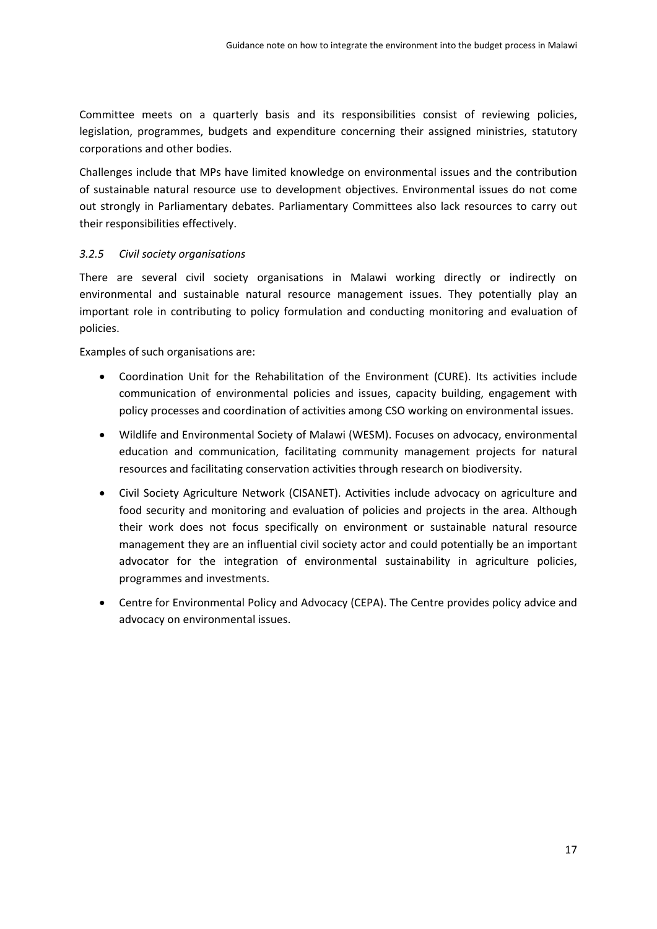Committee meets on a quarterly basis and its responsibilities consist of reviewing policies, legislation, programmes, budgets and expenditure concerning their assigned ministries, statutory corporations and other bodies.

Challenges include that MPs have limited knowledge on environmental issues and the contribution of sustainable natural resource use to development objectives. Environmental issues do not come out strongly in Parliamentary debates. Parliamentary Committees also lack resources to carry out their responsibilities effectively.

## *3.2.5 Civil society organisations*

There are several civil society organisations in Malawi working directly or indirectly on environmental and sustainable natural resource management issues. They potentially play an important role in contributing to policy formulation and conducting monitoring and evaluation of policies.

Examples of such organisations are:

- Coordination Unit for the Rehabilitation of the Environment (CURE). Its activities include communication of environmental policies and issues, capacity building, engagement with policy processes and coordination of activities among CSO working on environmental issues.
- Wildlife and Environmental Society of Malawi (WESM). Focuses on advocacy, environmental education and communication, facilitating community management projects for natural resources and facilitating conservation activities through research on biodiversity.
- Civil Society Agriculture Network (CISANET). Activities include advocacy on agriculture and food security and monitoring and evaluation of policies and projects in the area. Although their work does not focus specifically on environment or sustainable natural resource management they are an influential civil society actor and could potentially be an important advocator for the integration of environmental sustainability in agriculture policies, programmes and investments.
- Centre for Environmental Policy and Advocacy (CEPA). The Centre provides policy advice and advocacy on environmental issues.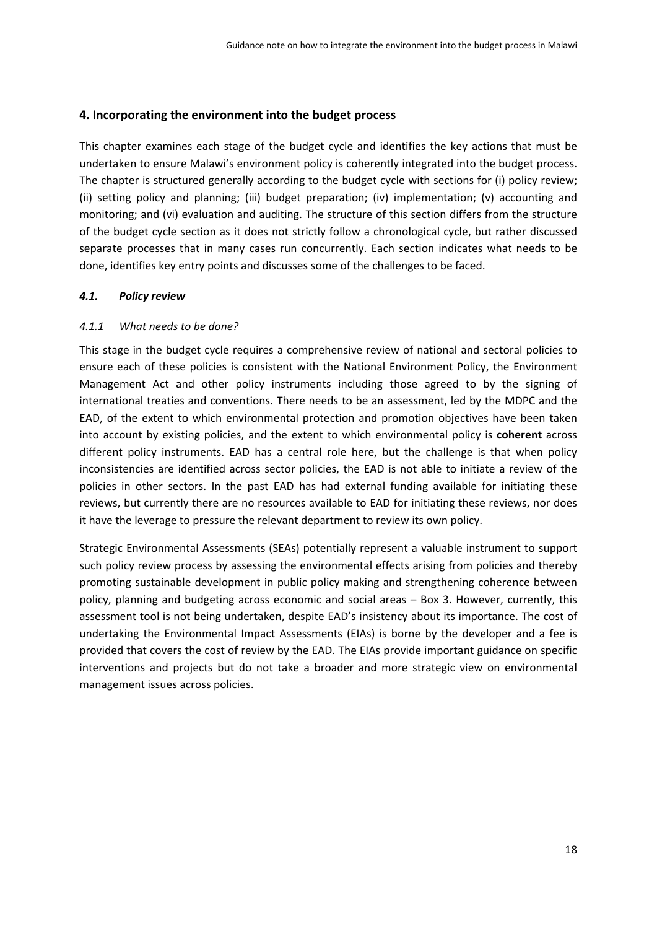## **4. Incorporating the environment into the budget process**

This chapter examines each stage of the budget cycle and identifies the key actions that must be undertaken to ensure Malawi's environment policy is coherently integrated into the budget process. The chapter is structured generally according to the budget cycle with sections for (i) policy review; (ii) setting policy and planning; (iii) budget preparation; (iv) implementation; (v) accounting and monitoring; and (vi) evaluation and auditing. The structure of this section differs from the structure of the budget cycle section as it does not strictly follow a chronological cycle, but rather discussed separate processes that in many cases run concurrently. Each section indicates what needs to be done, identifies key entry points and discusses some of the challenges to be faced.

## *4.1. Policy review*

## *4.1.1 What needs to be done?*

This stage in the budget cycle requires a comprehensive review of national and sectoral policies to ensure each of these policies is consistent with the National Environment Policy, the Environment Management Act and other policy instruments including those agreed to by the signing of international treaties and conventions. There needs to be an assessment, led by the MDPC and the EAD, of the extent to which environmental protection and promotion objectives have been taken into account by existing policies, and the extent to which environmental policy is **coherent** across different policy instruments. EAD has a central role here, but the challenge is that when policy inconsistencies are identified across sector policies, the EAD is not able to initiate a review of the policies in other sectors. In the past EAD has had external funding available for initiating these reviews, but currently there are no resources available to EAD for initiating these reviews, nor does it have the leverage to pressure the relevant department to review its own policy.

Strategic Environmental Assessments (SEAs) potentially represent a valuable instrument to support such policy review process by assessing the environmental effects arising from policies and thereby promoting sustainable development in public policy making and strengthening coherence between policy, planning and budgeting across economic and social areas – Box 3. However, currently, this assessment tool is not being undertaken, despite EAD's insistency about its importance. The cost of undertaking the Environmental Impact Assessments (EIAs) is borne by the developer and a fee is provided that covers the cost of review by the EAD. The EIAs provide important guidance on specific interventions and projects but do not take a broader and more strategic view on environmental management issues across policies.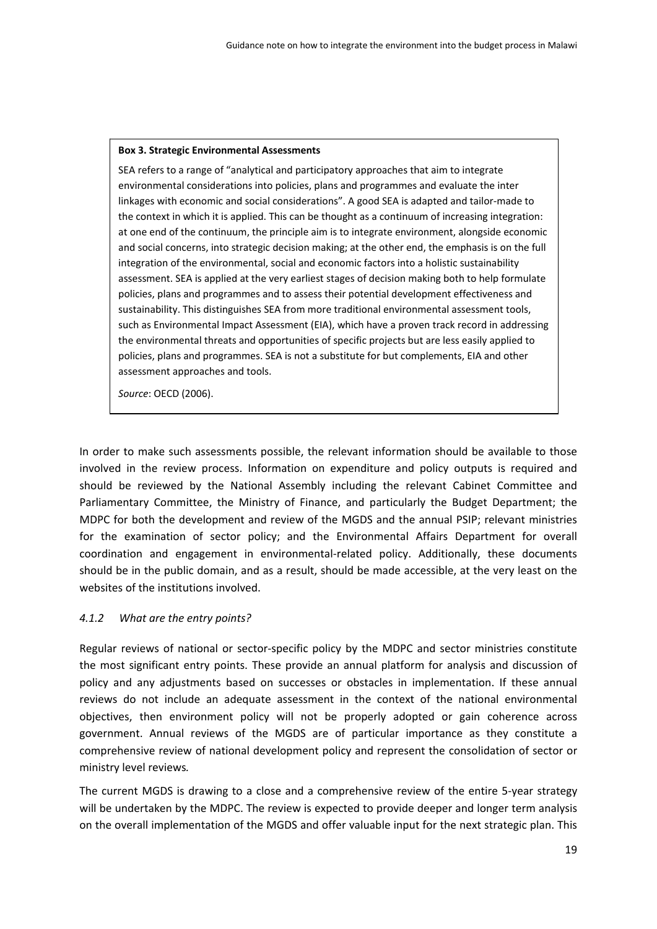#### **Box 3. Strategic Environmental Assessments**

SEA refers to a range of "analytical and participatory approaches that aim to integrate environmental considerations into policies, plans and programmes and evaluate the inter linkages with economic and social considerations". A good SEA is adapted and tailor‐made to the context in which it is applied. This can be thought as a continuum of increasing integration: at one end of the continuum, the principle aim is to integrate environment, alongside economic and social concerns, into strategic decision making; at the other end, the emphasis is on the full integration of the environmental, social and economic factors into a holistic sustainability assessment. SEA is applied at the very earliest stages of decision making both to help formulate policies, plans and programmes and to assess their potential development effectiveness and sustainability. This distinguishes SEA from more traditional environmental assessment tools, such as Environmental Impact Assessment (EIA), which have a proven track record in addressing the environmental threats and opportunities of specific projects but are less easily applied to policies, plans and programmes. SEA is not a substitute for but complements, EIA and other assessment approaches and tools.

*Source*: OECD (2006).

In order to make such assessments possible, the relevant information should be available to those involved in the review process. Information on expenditure and policy outputs is required and should be reviewed by the National Assembly including the relevant Cabinet Committee and Parliamentary Committee, the Ministry of Finance, and particularly the Budget Department; the MDPC for both the development and review of the MGDS and the annual PSIP; relevant ministries for the examination of sector policy; and the Environmental Affairs Department for overall coordination and engagement in environmental‐related policy. Additionally, these documents should be in the public domain, and as a result, should be made accessible, at the very least on the websites of the institutions involved.

## *4.1.2 What are the entry points?*

Regular reviews of national or sector‐specific policy by the MDPC and sector ministries constitute the most significant entry points. These provide an annual platform for analysis and discussion of policy and any adjustments based on successes or obstacles in implementation. If these annual reviews do not include an adequate assessment in the context of the national environmental objectives, then environment policy will not be properly adopted or gain coherence across government. Annual reviews of the MGDS are of particular importance as they constitute a comprehensive review of national development policy and represent the consolidation of sector or ministry level reviews*.*

The current MGDS is drawing to a close and a comprehensive review of the entire 5‐year strategy will be undertaken by the MDPC. The review is expected to provide deeper and longer term analysis on the overall implementation of the MGDS and offer valuable input for the next strategic plan. This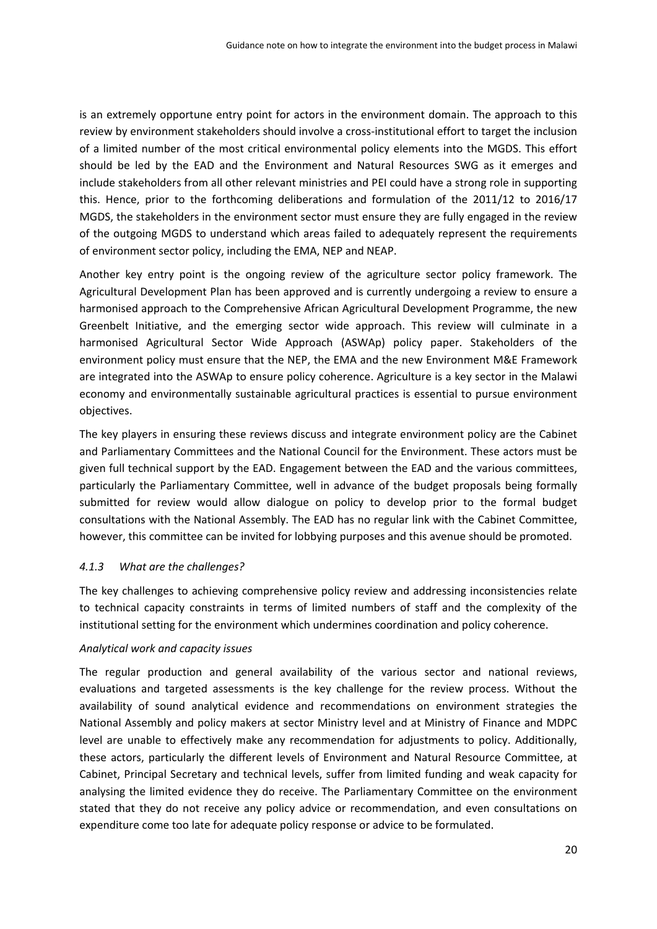is an extremely opportune entry point for actors in the environment domain. The approach to this review by environment stakeholders should involve a cross-institutional effort to target the inclusion of a limited number of the most critical environmental policy elements into the MGDS. This effort should be led by the EAD and the Environment and Natural Resources SWG as it emerges and include stakeholders from all other relevant ministries and PEI could have a strong role in supporting this. Hence, prior to the forthcoming deliberations and formulation of the 2011/12 to 2016/17 MGDS, the stakeholders in the environment sector must ensure they are fully engaged in the review of the outgoing MGDS to understand which areas failed to adequately represent the requirements of environment sector policy, including the EMA, NEP and NEAP.

Another key entry point is the ongoing review of the agriculture sector policy framework. The Agricultural Development Plan has been approved and is currently undergoing a review to ensure a harmonised approach to the Comprehensive African Agricultural Development Programme, the new Greenbelt Initiative, and the emerging sector wide approach. This review will culminate in a harmonised Agricultural Sector Wide Approach (ASWAp) policy paper. Stakeholders of the environment policy must ensure that the NEP, the EMA and the new Environment M&E Framework are integrated into the ASWAp to ensure policy coherence. Agriculture is a key sector in the Malawi economy and environmentally sustainable agricultural practices is essential to pursue environment objectives.

The key players in ensuring these reviews discuss and integrate environment policy are the Cabinet and Parliamentary Committees and the National Council for the Environment. These actors must be given full technical support by the EAD. Engagement between the EAD and the various committees, particularly the Parliamentary Committee, well in advance of the budget proposals being formally submitted for review would allow dialogue on policy to develop prior to the formal budget consultations with the National Assembly. The EAD has no regular link with the Cabinet Committee, however, this committee can be invited for lobbying purposes and this avenue should be promoted.

## *4.1.3 What are the challenges?*

The key challenges to achieving comprehensive policy review and addressing inconsistencies relate to technical capacity constraints in terms of limited numbers of staff and the complexity of the institutional setting for the environment which undermines coordination and policy coherence.

## *Analytical work and capacity issues*

The regular production and general availability of the various sector and national reviews, evaluations and targeted assessments is the key challenge for the review process. Without the availability of sound analytical evidence and recommendations on environment strategies the National Assembly and policy makers at sector Ministry level and at Ministry of Finance and MDPC level are unable to effectively make any recommendation for adjustments to policy. Additionally, these actors, particularly the different levels of Environment and Natural Resource Committee, at Cabinet, Principal Secretary and technical levels, suffer from limited funding and weak capacity for analysing the limited evidence they do receive. The Parliamentary Committee on the environment stated that they do not receive any policy advice or recommendation, and even consultations on expenditure come too late for adequate policy response or advice to be formulated.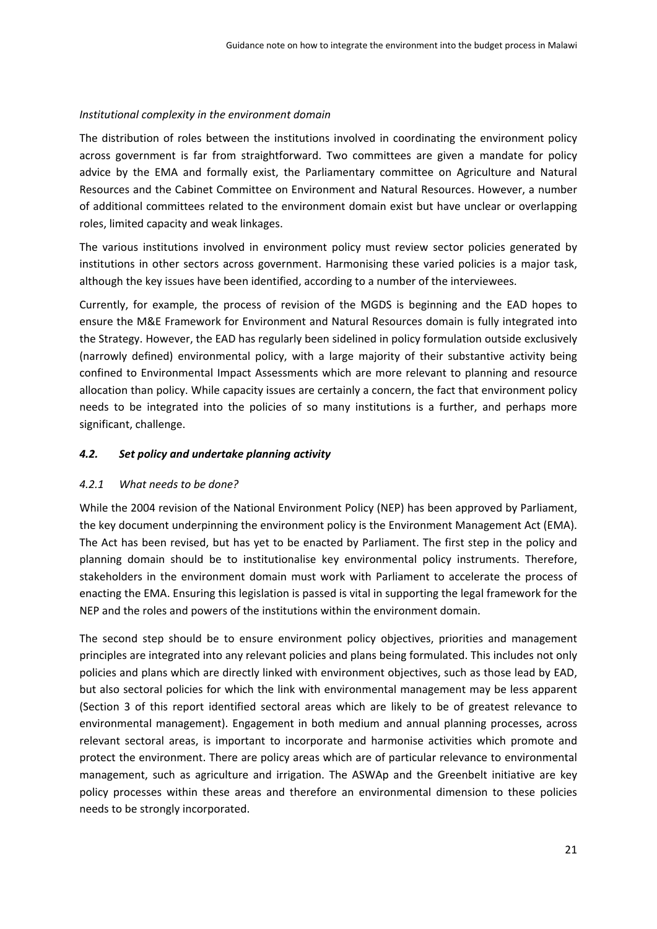#### *Institutional complexity in the environment domain*

The distribution of roles between the institutions involved in coordinating the environment policy across government is far from straightforward. Two committees are given a mandate for policy advice by the EMA and formally exist, the Parliamentary committee on Agriculture and Natural Resources and the Cabinet Committee on Environment and Natural Resources. However, a number of additional committees related to the environment domain exist but have unclear or overlapping roles, limited capacity and weak linkages.

The various institutions involved in environment policy must review sector policies generated by institutions in other sectors across government. Harmonising these varied policies is a major task, although the key issues have been identified, according to a number of the interviewees.

Currently, for example, the process of revision of the MGDS is beginning and the EAD hopes to ensure the M&E Framework for Environment and Natural Resources domain is fully integrated into the Strategy. However, the EAD has regularly been sidelined in policy formulation outside exclusively (narrowly defined) environmental policy, with a large majority of their substantive activity being confined to Environmental Impact Assessments which are more relevant to planning and resource allocation than policy. While capacity issues are certainly a concern, the fact that environment policy needs to be integrated into the policies of so many institutions is a further, and perhaps more significant, challenge.

## *4.2. Set policy and undertake planning activity*

## *4.2.1 What needs to be done?*

While the 2004 revision of the National Environment Policy (NEP) has been approved by Parliament, the key document underpinning the environment policy is the Environment Management Act (EMA). The Act has been revised, but has yet to be enacted by Parliament. The first step in the policy and planning domain should be to institutionalise key environmental policy instruments. Therefore, stakeholders in the environment domain must work with Parliament to accelerate the process of enacting the EMA. Ensuring this legislation is passed is vital in supporting the legal framework for the NEP and the roles and powers of the institutions within the environment domain.

The second step should be to ensure environment policy objectives, priorities and management principles are integrated into any relevant policies and plans being formulated. This includes not only policies and plans which are directly linked with environment objectives, such as those lead by EAD, but also sectoral policies for which the link with environmental management may be less apparent (Section 3 of this report identified sectoral areas which are likely to be of greatest relevance to environmental management). Engagement in both medium and annual planning processes, across relevant sectoral areas, is important to incorporate and harmonise activities which promote and protect the environment. There are policy areas which are of particular relevance to environmental management, such as agriculture and irrigation. The ASWAp and the Greenbelt initiative are key policy processes within these areas and therefore an environmental dimension to these policies needs to be strongly incorporated.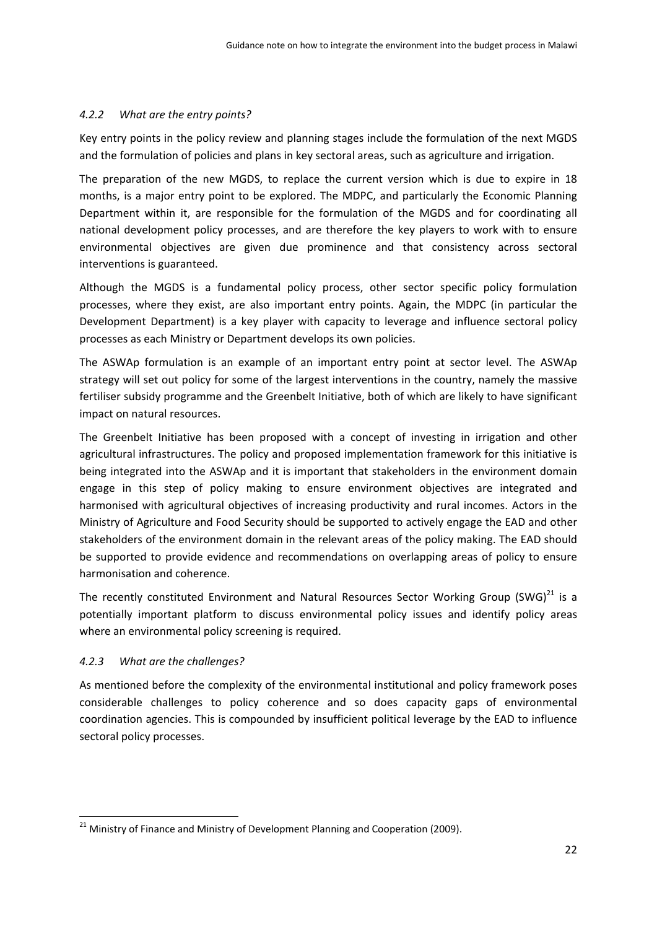## *4.2.2 What are the entry points?*

Key entry points in the policy review and planning stages include the formulation of the next MGDS and the formulation of policies and plans in key sectoral areas, such as agriculture and irrigation.

The preparation of the new MGDS, to replace the current version which is due to expire in 18 months, is a major entry point to be explored. The MDPC, and particularly the Economic Planning Department within it, are responsible for the formulation of the MGDS and for coordinating all national development policy processes, and are therefore the key players to work with to ensure environmental objectives are given due prominence and that consistency across sectoral interventions is guaranteed.

Although the MGDS is a fundamental policy process, other sector specific policy formulation processes, where they exist, are also important entry points. Again, the MDPC (in particular the Development Department) is a key player with capacity to leverage and influence sectoral policy processes as each Ministry or Department develops its own policies.

The ASWAp formulation is an example of an important entry point at sector level. The ASWAp strategy will set out policy for some of the largest interventions in the country, namely the massive fertiliser subsidy programme and the Greenbelt Initiative, both of which are likely to have significant impact on natural resources.

The Greenbelt Initiative has been proposed with a concept of investing in irrigation and other agricultural infrastructures. The policy and proposed implementation framework for this initiative is being integrated into the ASWAp and it is important that stakeholders in the environment domain engage in this step of policy making to ensure environment objectives are integrated and harmonised with agricultural objectives of increasing productivity and rural incomes. Actors in the Ministry of Agriculture and Food Security should be supported to actively engage the EAD and other stakeholders of the environment domain in the relevant areas of the policy making. The EAD should be supported to provide evidence and recommendations on overlapping areas of policy to ensure harmonisation and coherence.

The recently constituted Environment and Natural Resources Sector Working Group (SWG) $^{21}$  is a potentially important platform to discuss environmental policy issues and identify policy areas where an environmental policy screening is required.

# *4.2.3 What are the challenges?*

As mentioned before the complexity of the environmental institutional and policy framework poses considerable challenges to policy coherence and so does capacity gaps of environmental coordination agencies. This is compounded by insufficient political leverage by the EAD to influence sectoral policy processes.

<sup>&</sup>lt;sup>21</sup> Ministry of Finance and Ministry of Development Planning and Cooperation (2009).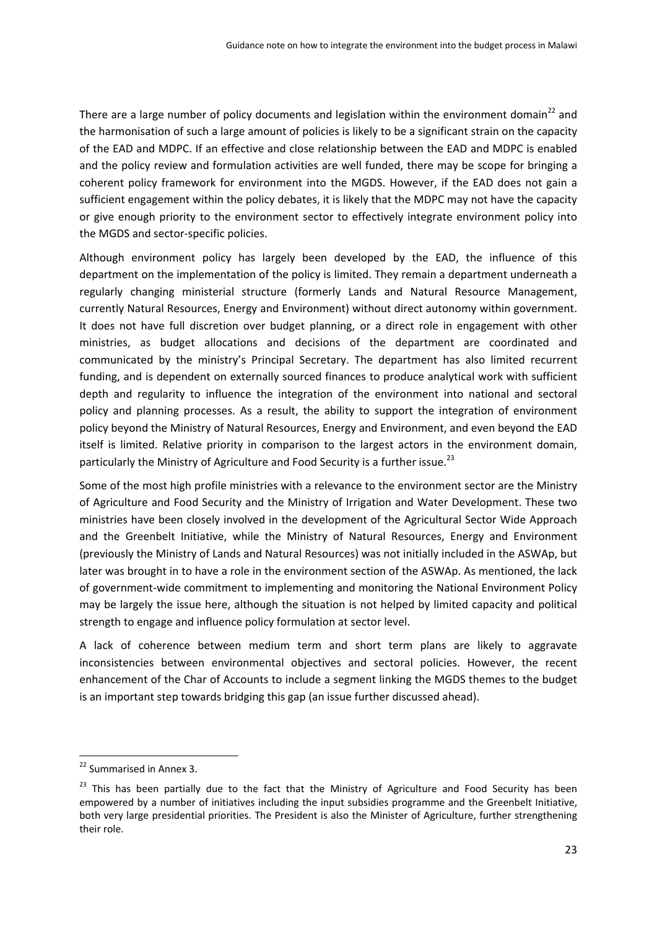There are a large number of policy documents and legislation within the environment domain<sup>22</sup> and the harmonisation of such a large amount of policies is likely to be a significant strain on the capacity of the EAD and MDPC. If an effective and close relationship between the EAD and MDPC is enabled and the policy review and formulation activities are well funded, there may be scope for bringing a coherent policy framework for environment into the MGDS. However, if the EAD does not gain a sufficient engagement within the policy debates, it is likely that the MDPC may not have the capacity or give enough priority to the environment sector to effectively integrate environment policy into the MGDS and sector‐specific policies.

Although environment policy has largely been developed by the EAD, the influence of this department on the implementation of the policy is limited. They remain a department underneath a regularly changing ministerial structure (formerly Lands and Natural Resource Management, currently Natural Resources, Energy and Environment) without direct autonomy within government. It does not have full discretion over budget planning, or a direct role in engagement with other ministries, as budget allocations and decisions of the department are coordinated and communicated by the ministry's Principal Secretary. The department has also limited recurrent funding, and is dependent on externally sourced finances to produce analytical work with sufficient depth and regularity to influence the integration of the environment into national and sectoral policy and planning processes. As a result, the ability to support the integration of environment policy beyond the Ministry of Natural Resources, Energy and Environment, and even beyond the EAD itself is limited. Relative priority in comparison to the largest actors in the environment domain, particularly the Ministry of Agriculture and Food Security is a further issue.<sup>23</sup>

Some of the most high profile ministries with a relevance to the environment sector are the Ministry of Agriculture and Food Security and the Ministry of Irrigation and Water Development. These two ministries have been closely involved in the development of the Agricultural Sector Wide Approach and the Greenbelt Initiative, while the Ministry of Natural Resources, Energy and Environment (previously the Ministry of Lands and Natural Resources) was not initially included in the ASWAp, but later was brought in to have a role in the environment section of the ASWAp. As mentioned, the lack of government‐wide commitment to implementing and monitoring the National Environment Policy may be largely the issue here, although the situation is not helped by limited capacity and political strength to engage and influence policy formulation at sector level.

A lack of coherence between medium term and short term plans are likely to aggravate inconsistencies between environmental objectives and sectoral policies. However, the recent enhancement of the Char of Accounts to include a segment linking the MGDS themes to the budget is an important step towards bridging this gap (an issue further discussed ahead).

<sup>&</sup>lt;sup>22</sup> Summarised in Annex 3.

<sup>&</sup>lt;sup>23</sup> This has been partially due to the fact that the Ministry of Agriculture and Food Security has been empowered by a number of initiatives including the input subsidies programme and the Greenbelt Initiative, both very large presidential priorities. The President is also the Minister of Agriculture, further strengthening their role.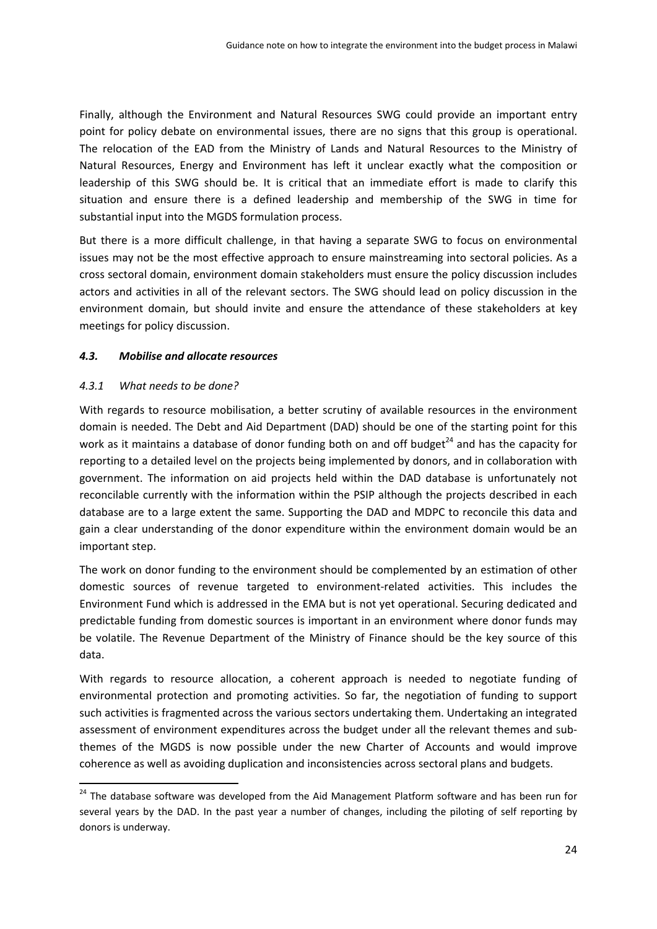Finally, although the Environment and Natural Resources SWG could provide an important entry point for policy debate on environmental issues, there are no signs that this group is operational. The relocation of the EAD from the Ministry of Lands and Natural Resources to the Ministry of Natural Resources, Energy and Environment has left it unclear exactly what the composition or leadership of this SWG should be. It is critical that an immediate effort is made to clarify this situation and ensure there is a defined leadership and membership of the SWG in time for substantial input into the MGDS formulation process.

But there is a more difficult challenge, in that having a separate SWG to focus on environmental issues may not be the most effective approach to ensure mainstreaming into sectoral policies. As a cross sectoral domain, environment domain stakeholders must ensure the policy discussion includes actors and activities in all of the relevant sectors. The SWG should lead on policy discussion in the environment domain, but should invite and ensure the attendance of these stakeholders at key meetings for policy discussion.

## *4.3. Mobilise and allocate resources*

#### *4.3.1 What needs to be done?*

With regards to resource mobilisation, a better scrutiny of available resources in the environment domain is needed. The Debt and Aid Department (DAD) should be one of the starting point for this work as it maintains a database of donor funding both on and off budget<sup>24</sup> and has the capacity for reporting to a detailed level on the projects being implemented by donors, and in collaboration with government. The information on aid projects held within the DAD database is unfortunately not reconcilable currently with the information within the PSIP although the projects described in each database are to a large extent the same. Supporting the DAD and MDPC to reconcile this data and gain a clear understanding of the donor expenditure within the environment domain would be an important step.

The work on donor funding to the environment should be complemented by an estimation of other domestic sources of revenue targeted to environment‐related activities. This includes the Environment Fund which is addressed in the EMA but is not yet operational. Securing dedicated and predictable funding from domestic sources is important in an environment where donor funds may be volatile. The Revenue Department of the Ministry of Finance should be the key source of this data.

With regards to resource allocation, a coherent approach is needed to negotiate funding of environmental protection and promoting activities. So far, the negotiation of funding to support such activities is fragmented across the various sectors undertaking them. Undertaking an integrated assessment of environment expenditures across the budget under all the relevant themes and subthemes of the MGDS is now possible under the new Charter of Accounts and would improve coherence as well as avoiding duplication and inconsistencies across sectoral plans and budgets.

<sup>&</sup>lt;sup>24</sup> The database software was developed from the Aid Management Platform software and has been run for several years by the DAD. In the past year a number of changes, including the piloting of self reporting by donors is underway.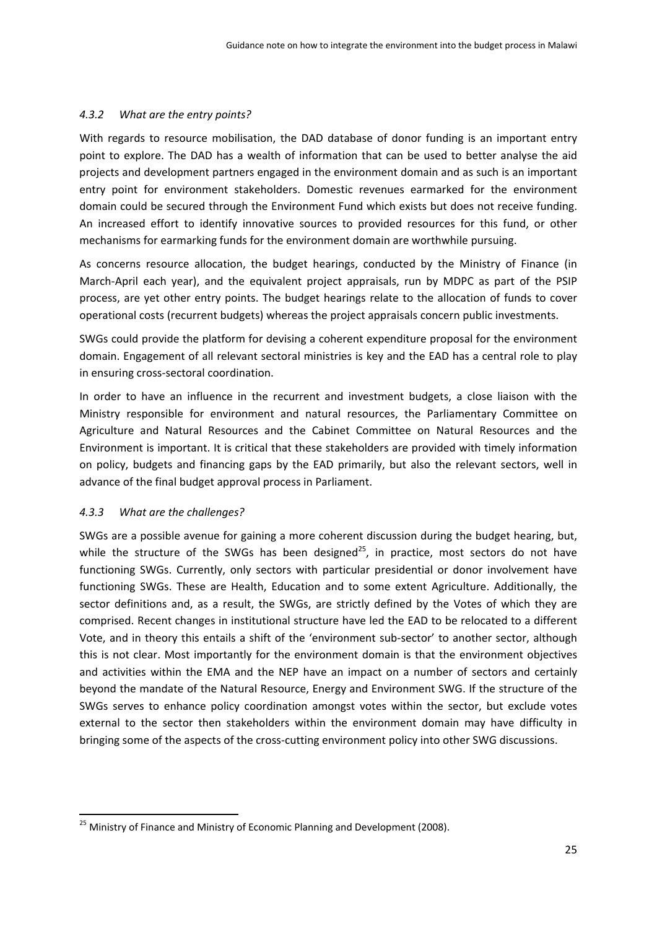#### *4.3.2 What are the entry points?*

With regards to resource mobilisation, the DAD database of donor funding is an important entry point to explore. The DAD has a wealth of information that can be used to better analyse the aid projects and development partners engaged in the environment domain and as such is an important entry point for environment stakeholders. Domestic revenues earmarked for the environment domain could be secured through the Environment Fund which exists but does not receive funding. An increased effort to identify innovative sources to provided resources for this fund, or other mechanisms for earmarking funds for the environment domain are worthwhile pursuing.

As concerns resource allocation, the budget hearings, conducted by the Ministry of Finance (in March‐April each year), and the equivalent project appraisals, run by MDPC as part of the PSIP process, are yet other entry points. The budget hearings relate to the allocation of funds to cover operational costs (recurrent budgets) whereas the project appraisals concern public investments.

SWGs could provide the platform for devising a coherent expenditure proposal for the environment domain. Engagement of all relevant sectoral ministries is key and the EAD has a central role to play in ensuring cross‐sectoral coordination.

In order to have an influence in the recurrent and investment budgets, a close liaison with the Ministry responsible for environment and natural resources, the Parliamentary Committee on Agriculture and Natural Resources and the Cabinet Committee on Natural Resources and the Environment is important. It is critical that these stakeholders are provided with timely information on policy, budgets and financing gaps by the EAD primarily, but also the relevant sectors, well in advance of the final budget approval process in Parliament.

## *4.3.3 What are the challenges?*

SWGs are a possible avenue for gaining a more coherent discussion during the budget hearing, but, while the structure of the SWGs has been designed<sup>25</sup>, in practice, most sectors do not have functioning SWGs. Currently, only sectors with particular presidential or donor involvement have functioning SWGs. These are Health, Education and to some extent Agriculture. Additionally, the sector definitions and, as a result, the SWGs, are strictly defined by the Votes of which they are comprised. Recent changes in institutional structure have led the EAD to be relocated to a different Vote, and in theory this entails a shift of the 'environment sub‐sector' to another sector, although this is not clear. Most importantly for the environment domain is that the environment objectives and activities within the EMA and the NEP have an impact on a number of sectors and certainly beyond the mandate of the Natural Resource, Energy and Environment SWG. If the structure of the SWGs serves to enhance policy coordination amongst votes within the sector, but exclude votes external to the sector then stakeholders within the environment domain may have difficulty in bringing some of the aspects of the cross‐cutting environment policy into other SWG discussions.

<sup>&</sup>lt;sup>25</sup> Ministry of Finance and Ministry of Economic Planning and Development (2008).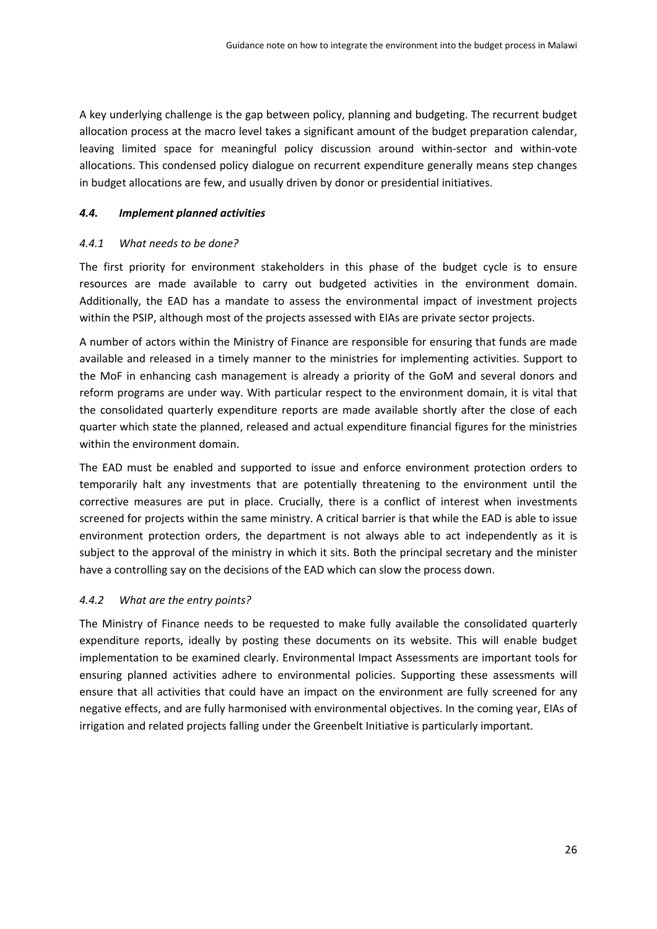A key underlying challenge is the gap between policy, planning and budgeting. The recurrent budget allocation process at the macro level takes a significant amount of the budget preparation calendar, leaving limited space for meaningful policy discussion around within‐sector and within‐vote allocations. This condensed policy dialogue on recurrent expenditure generally means step changes in budget allocations are few, and usually driven by donor or presidential initiatives.

#### *4.4. Implement planned activities*

#### *4.4.1 What needs to be done?*

The first priority for environment stakeholders in this phase of the budget cycle is to ensure resources are made available to carry out budgeted activities in the environment domain. Additionally, the EAD has a mandate to assess the environmental impact of investment projects within the PSIP, although most of the projects assessed with EIAs are private sector projects.

A number of actors within the Ministry of Finance are responsible for ensuring that funds are made available and released in a timely manner to the ministries for implementing activities. Support to the MoF in enhancing cash management is already a priority of the GoM and several donors and reform programs are under way. With particular respect to the environment domain, it is vital that the consolidated quarterly expenditure reports are made available shortly after the close of each quarter which state the planned, released and actual expenditure financial figures for the ministries within the environment domain

The EAD must be enabled and supported to issue and enforce environment protection orders to temporarily halt any investments that are potentially threatening to the environment until the corrective measures are put in place. Crucially, there is a conflict of interest when investments screened for projects within the same ministry. A critical barrier is that while the EAD is able to issue environment protection orders, the department is not always able to act independently as it is subject to the approval of the ministry in which it sits. Both the principal secretary and the minister have a controlling say on the decisions of the EAD which can slow the process down.

## *4.4.2 What are the entry points?*

The Ministry of Finance needs to be requested to make fully available the consolidated quarterly expenditure reports, ideally by posting these documents on its website. This will enable budget implementation to be examined clearly. Environmental Impact Assessments are important tools for ensuring planned activities adhere to environmental policies. Supporting these assessments will ensure that all activities that could have an impact on the environment are fully screened for any negative effects, and are fully harmonised with environmental objectives. In the coming year, EIAs of irrigation and related projects falling under the Greenbelt Initiative is particularly important.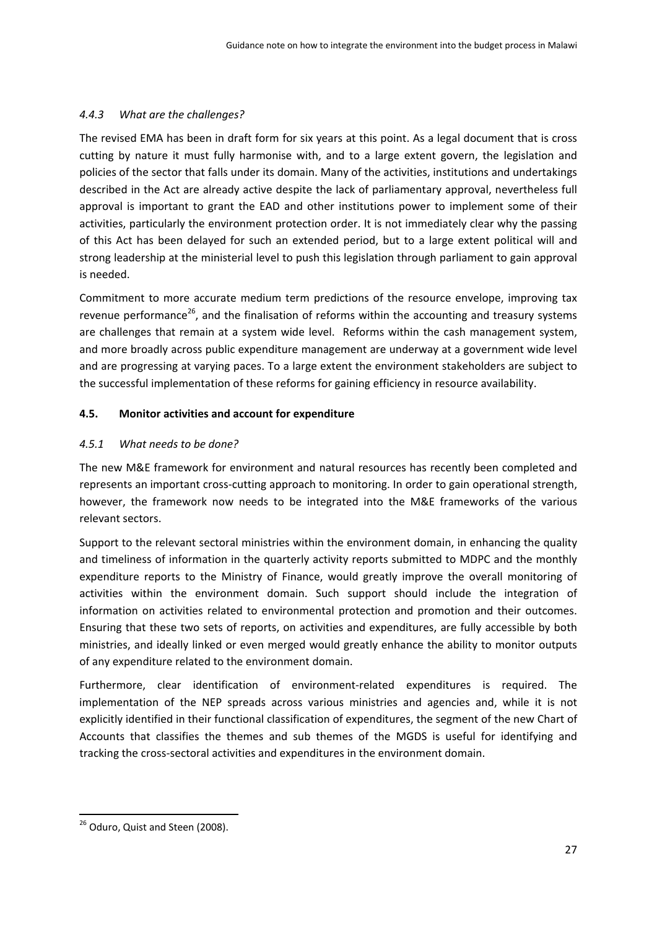## *4.4.3 What are the challenges?*

The revised EMA has been in draft form for six years at this point. As a legal document that is cross cutting by nature it must fully harmonise with, and to a large extent govern, the legislation and policies of the sector that falls under its domain. Many of the activities, institutions and undertakings described in the Act are already active despite the lack of parliamentary approval, nevertheless full approval is important to grant the EAD and other institutions power to implement some of their activities, particularly the environment protection order. It is not immediately clear why the passing of this Act has been delayed for such an extended period, but to a large extent political will and strong leadership at the ministerial level to push this legislation through parliament to gain approval is needed.

Commitment to more accurate medium term predictions of the resource envelope, improving tax revenue performance<sup>26</sup>, and the finalisation of reforms within the accounting and treasury systems are challenges that remain at a system wide level. Reforms within the cash management system, and more broadly across public expenditure management are underway at a government wide level and are progressing at varying paces. To a large extent the environment stakeholders are subject to the successful implementation of these reforms for gaining efficiency in resource availability.

# **4.5. Monitor activities and account for expenditure**

## *4.5.1 What needs to be done?*

The new M&E framework for environment and natural resources has recently been completed and represents an important cross‐cutting approach to monitoring. In order to gain operational strength, however, the framework now needs to be integrated into the M&E frameworks of the various relevant sectors.

Support to the relevant sectoral ministries within the environment domain, in enhancing the quality and timeliness of information in the quarterly activity reports submitted to MDPC and the monthly expenditure reports to the Ministry of Finance, would greatly improve the overall monitoring of activities within the environment domain. Such support should include the integration of information on activities related to environmental protection and promotion and their outcomes. Ensuring that these two sets of reports, on activities and expenditures, are fully accessible by both ministries, and ideally linked or even merged would greatly enhance the ability to monitor outputs of any expenditure related to the environment domain.

Furthermore, clear identification of environment-related expenditures is required. The implementation of the NEP spreads across various ministries and agencies and, while it is not explicitly identified in their functional classification of expenditures, the segment of the new Chart of Accounts that classifies the themes and sub themes of the MGDS is useful for identifying and tracking the cross‐sectoral activities and expenditures in the environment domain.

 <sup>26</sup> Oduro, Quist and Steen (2008).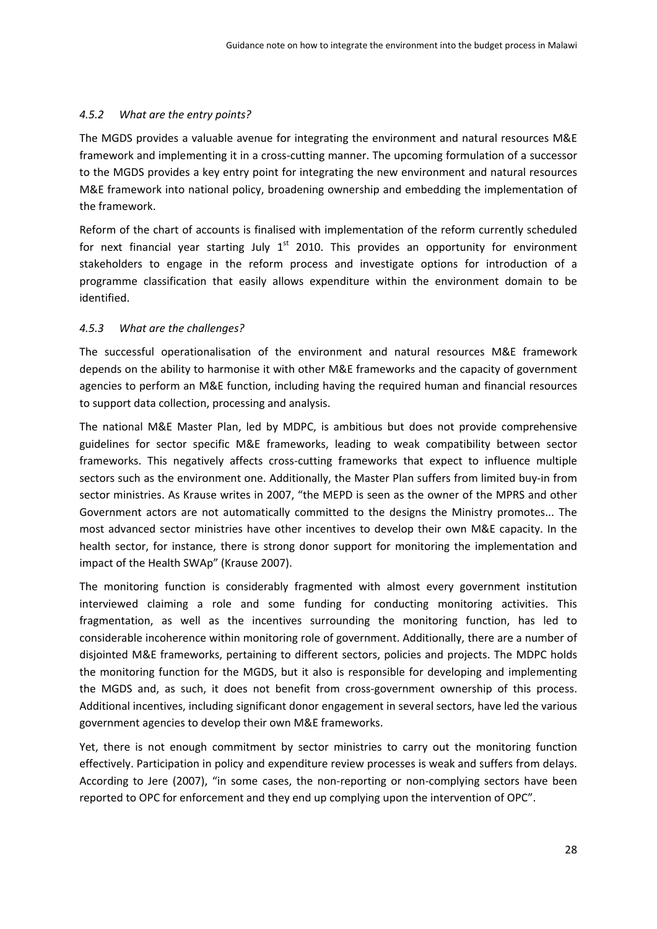#### *4.5.2 What are the entry points?*

The MGDS provides a valuable avenue for integrating the environment and natural resources M&E framework and implementing it in a cross‐cutting manner. The upcoming formulation of a successor to the MGDS provides a key entry point for integrating the new environment and natural resources M&E framework into national policy, broadening ownership and embedding the implementation of the framework.

Reform of the chart of accounts is finalised with implementation of the reform currently scheduled for next financial year starting July  $1<sup>st</sup>$  2010. This provides an opportunity for environment stakeholders to engage in the reform process and investigate options for introduction of a programme classification that easily allows expenditure within the environment domain to be identified.

#### *4.5.3 What are the challenges?*

The successful operationalisation of the environment and natural resources M&E framework depends on the ability to harmonise it with other M&E frameworks and the capacity of government agencies to perform an M&E function, including having the required human and financial resources to support data collection, processing and analysis.

The national M&E Master Plan, led by MDPC, is ambitious but does not provide comprehensive guidelines for sector specific M&E frameworks, leading to weak compatibility between sector frameworks. This negatively affects cross-cutting frameworks that expect to influence multiple sectors such as the environment one. Additionally, the Master Plan suffers from limited buy-in from sector ministries. As Krause writes in 2007, "the MEPD is seen as the owner of the MPRS and other Government actors are not automatically committed to the designs the Ministry promotes... The most advanced sector ministries have other incentives to develop their own M&E capacity. In the health sector, for instance, there is strong donor support for monitoring the implementation and impact of the Health SWAp" (Krause 2007).

The monitoring function is considerably fragmented with almost every government institution interviewed claiming a role and some funding for conducting monitoring activities. This fragmentation, as well as the incentives surrounding the monitoring function, has led to considerable incoherence within monitoring role of government. Additionally, there are a number of disjointed M&E frameworks, pertaining to different sectors, policies and projects. The MDPC holds the monitoring function for the MGDS, but it also is responsible for developing and implementing the MGDS and, as such, it does not benefit from cross‐government ownership of this process. Additional incentives, including significant donor engagement in several sectors, have led the various government agencies to develop their own M&E frameworks.

Yet, there is not enough commitment by sector ministries to carry out the monitoring function effectively. Participation in policy and expenditure review processes is weak and suffers from delays. According to Jere (2007), "in some cases, the non‐reporting or non‐complying sectors have been reported to OPC for enforcement and they end up complying upon the intervention of OPC".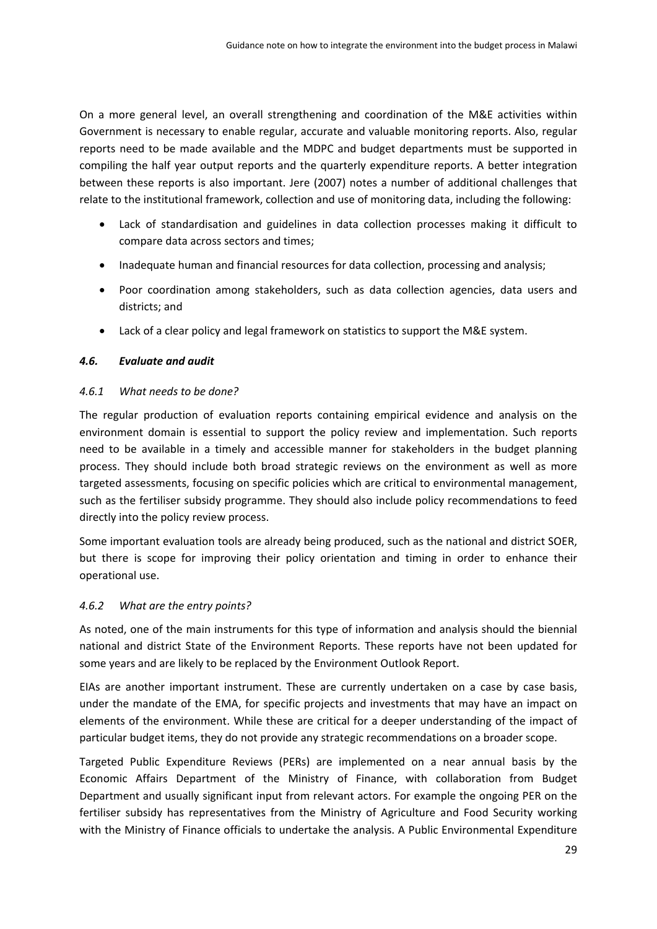On a more general level, an overall strengthening and coordination of the M&E activities within Government is necessary to enable regular, accurate and valuable monitoring reports. Also, regular reports need to be made available and the MDPC and budget departments must be supported in compiling the half year output reports and the quarterly expenditure reports. A better integration between these reports is also important. Jere (2007) notes a number of additional challenges that relate to the institutional framework, collection and use of monitoring data, including the following:

- Lack of standardisation and guidelines in data collection processes making it difficult to compare data across sectors and times;
- Inadequate human and financial resources for data collection, processing and analysis;
- Poor coordination among stakeholders, such as data collection agencies, data users and districts; and
- Lack of a clear policy and legal framework on statistics to support the M&E system.

# *4.6. Evaluate and audit*

## *4.6.1 What needs to be done?*

The regular production of evaluation reports containing empirical evidence and analysis on the environment domain is essential to support the policy review and implementation. Such reports need to be available in a timely and accessible manner for stakeholders in the budget planning process. They should include both broad strategic reviews on the environment as well as more targeted assessments, focusing on specific policies which are critical to environmental management, such as the fertiliser subsidy programme. They should also include policy recommendations to feed directly into the policy review process.

Some important evaluation tools are already being produced, such as the national and district SOER, but there is scope for improving their policy orientation and timing in order to enhance their operational use.

# *4.6.2 What are the entry points?*

As noted, one of the main instruments for this type of information and analysis should the biennial national and district State of the Environment Reports. These reports have not been updated for some years and are likely to be replaced by the Environment Outlook Report.

EIAs are another important instrument. These are currently undertaken on a case by case basis, under the mandate of the EMA, for specific projects and investments that may have an impact on elements of the environment. While these are critical for a deeper understanding of the impact of particular budget items, they do not provide any strategic recommendations on a broader scope.

Targeted Public Expenditure Reviews (PERs) are implemented on a near annual basis by the Economic Affairs Department of the Ministry of Finance, with collaboration from Budget Department and usually significant input from relevant actors. For example the ongoing PER on the fertiliser subsidy has representatives from the Ministry of Agriculture and Food Security working with the Ministry of Finance officials to undertake the analysis. A Public Environmental Expenditure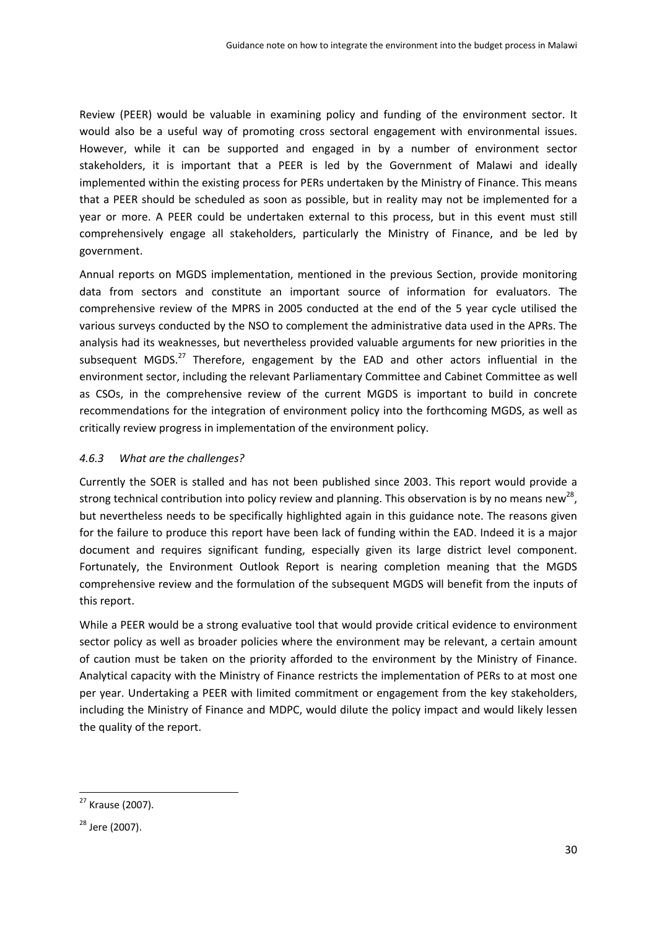Review (PEER) would be valuable in examining policy and funding of the environment sector. It would also be a useful way of promoting cross sectoral engagement with environmental issues. However, while it can be supported and engaged in by a number of environment sector stakeholders, it is important that a PEER is led by the Government of Malawi and ideally implemented within the existing process for PERs undertaken by the Ministry of Finance. This means that a PEER should be scheduled as soon as possible, but in reality may not be implemented for a year or more. A PEER could be undertaken external to this process, but in this event must still comprehensively engage all stakeholders, particularly the Ministry of Finance, and be led by government.

Annual reports on MGDS implementation, mentioned in the previous Section, provide monitoring data from sectors and constitute an important source of information for evaluators. The comprehensive review of the MPRS in 2005 conducted at the end of the 5 year cycle utilised the various surveys conducted by the NSO to complement the administrative data used in the APRs. The analysis had its weaknesses, but nevertheless provided valuable arguments for new priorities in the subsequent MGDS.<sup>27</sup> Therefore, engagement by the EAD and other actors influential in the environment sector, including the relevant Parliamentary Committee and Cabinet Committee as well as CSOs, in the comprehensive review of the current MGDS is important to build in concrete recommendations for the integration of environment policy into the forthcoming MGDS, as well as critically review progress in implementation of the environment policy.

## *4.6.3 What are the challenges?*

Currently the SOER is stalled and has not been published since 2003. This report would provide a strong technical contribution into policy review and planning. This observation is by no means new<sup>28</sup>, but nevertheless needs to be specifically highlighted again in this guidance note. The reasons given for the failure to produce this report have been lack of funding within the EAD. Indeed it is a major document and requires significant funding, especially given its large district level component. Fortunately, the Environment Outlook Report is nearing completion meaning that the MGDS comprehensive review and the formulation of the subsequent MGDS will benefit from the inputs of this report.

While a PEER would be a strong evaluative tool that would provide critical evidence to environment sector policy as well as broader policies where the environment may be relevant, a certain amount of caution must be taken on the priority afforded to the environment by the Ministry of Finance. Analytical capacity with the Ministry of Finance restricts the implementation of PERs to at most one per year. Undertaking a PEER with limited commitment or engagement from the key stakeholders, including the Ministry of Finance and MDPC, would dilute the policy impact and would likely lessen the quality of the report.

<sup>27</sup> Krause (2007).

<sup>28</sup> Jere (2007).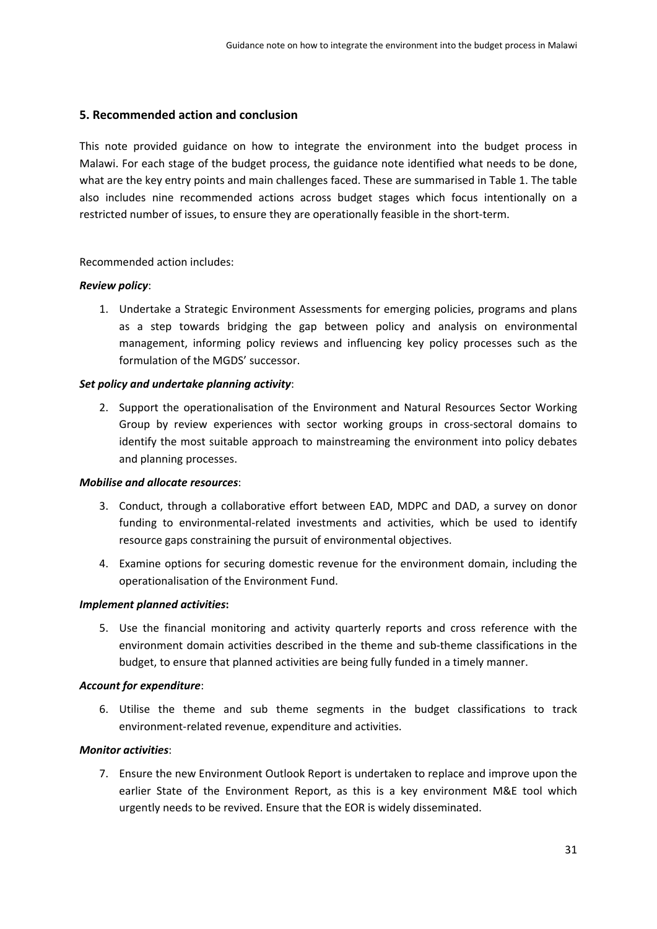## **5. Recommended action and conclusion**

This note provided guidance on how to integrate the environment into the budget process in Malawi. For each stage of the budget process, the guidance note identified what needs to be done, what are the key entry points and main challenges faced. These are summarised in Table 1. The table also includes nine recommended actions across budget stages which focus intentionally on a restricted number of issues, to ensure they are operationally feasible in the short-term.

#### Recommended action includes:

#### *Review policy*:

1. Undertake a Strategic Environment Assessments for emerging policies, programs and plans as a step towards bridging the gap between policy and analysis on environmental management, informing policy reviews and influencing key policy processes such as the formulation of the MGDS' successor.

#### *Set policy and undertake planning activity*:

2. Support the operationalisation of the Environment and Natural Resources Sector Working Group by review experiences with sector working groups in cross‐sectoral domains to identify the most suitable approach to mainstreaming the environment into policy debates and planning processes.

#### *Mobilise and allocate resources*:

- 3. Conduct, through a collaborative effort between EAD, MDPC and DAD, a survey on donor funding to environmental-related investments and activities, which be used to identify resource gaps constraining the pursuit of environmental objectives.
- 4. Examine options for securing domestic revenue for the environment domain, including the operationalisation of the Environment Fund.

#### *Implement planned activities***:**

5. Use the financial monitoring and activity quarterly reports and cross reference with the environment domain activities described in the theme and sub‐theme classifications in the budget, to ensure that planned activities are being fully funded in a timely manner.

#### *Account for expenditure*:

6. Utilise the theme and sub theme segments in the budget classifications to track environment‐related revenue, expenditure and activities.

#### *Monitor activities*:

7. Ensure the new Environment Outlook Report is undertaken to replace and improve upon the earlier State of the Environment Report, as this is a key environment M&E tool which urgently needs to be revived. Ensure that the EOR is widely disseminated.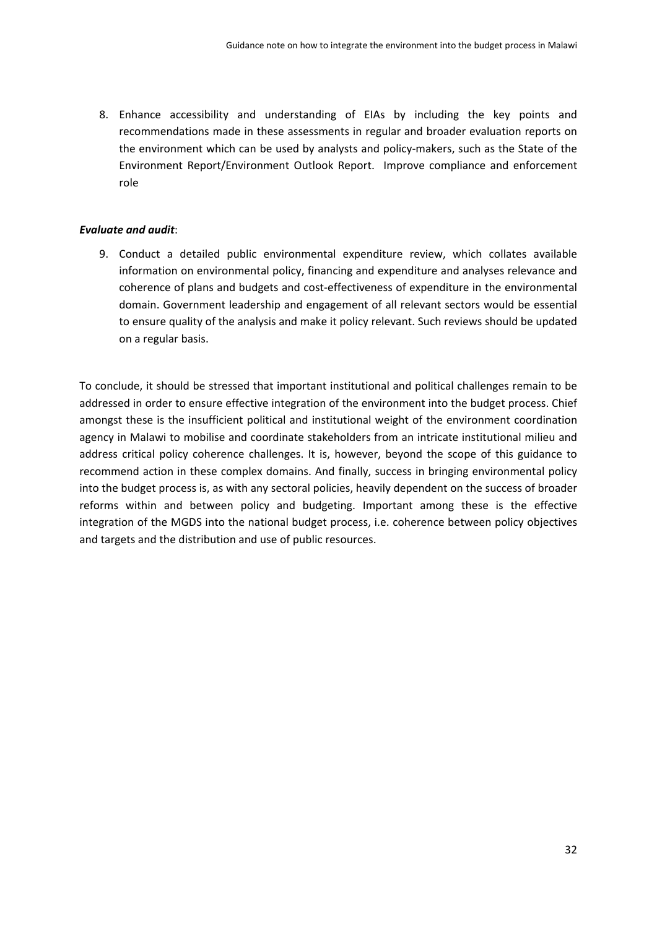8. Enhance accessibility and understanding of EIAs by including the key points and recommendations made in these assessments in regular and broader evaluation reports on the environment which can be used by analysts and policy‐makers, such as the State of the Environment Report/Environment Outlook Report. Improve compliance and enforcement role

#### *Evaluate and audit*:

9. Conduct a detailed public environmental expenditure review, which collates available information on environmental policy, financing and expenditure and analyses relevance and coherence of plans and budgets and cost‐effectiveness of expenditure in the environmental domain. Government leadership and engagement of all relevant sectors would be essential to ensure quality of the analysis and make it policy relevant. Such reviews should be updated on a regular basis.

To conclude, it should be stressed that important institutional and political challenges remain to be addressed in order to ensure effective integration of the environment into the budget process. Chief amongst these is the insufficient political and institutional weight of the environment coordination agency in Malawi to mobilise and coordinate stakeholders from an intricate institutional milieu and address critical policy coherence challenges. It is, however, beyond the scope of this guidance to recommend action in these complex domains. And finally, success in bringing environmental policy into the budget process is, as with any sectoral policies, heavily dependent on the success of broader reforms within and between policy and budgeting. Important among these is the effective integration of the MGDS into the national budget process, i.e. coherence between policy objectives and targets and the distribution and use of public resources.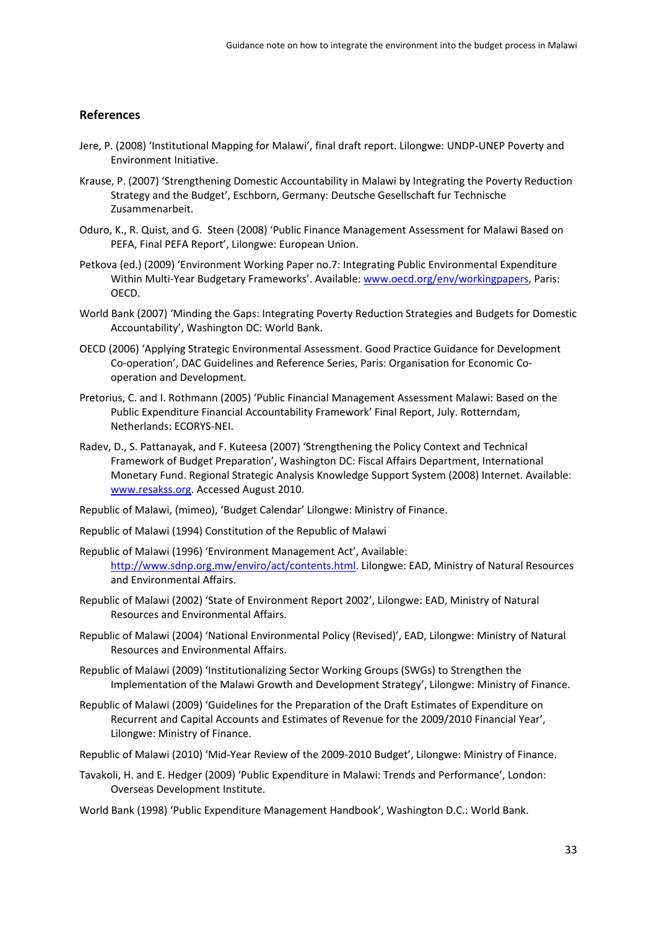#### **References**

- Jere, P. (2008) 'Institutional Mapping for Malawi', final draft report. Lilongwe: UNDP‐UNEP Poverty and Environment Initiative.
- Krause, P. (2007) 'Strengthening Domestic Accountability in Malawi by Integrating the Poverty Reduction Strategy and the Budget', Eschborn, Germany: Deutsche Gesellschaft fur Technische Zusammenarbeit.
- Oduro, K., R. Quist, and G. Steen (2008) 'Public Finance Management Assessment for Malawi Based on PEFA, Final PEFA Report', Lilongwe: European Union.
- Petkova (ed.) (2009) 'Environment Working Paper no.7: Integrating Public Environmental Expenditure Within Multi-Year Budgetary Frameworks'. Available: www.oecd.org/env/workingpapers, Paris: OECD.
- World Bank (2007) 'Minding the Gaps: Integrating Poverty Reduction Strategies and Budgets for Domestic Accountability', Washington DC: World Bank.
- OECD (2006) 'Applying Strategic Environmental Assessment. Good Practice Guidance for Development Co-operation', DAC Guidelines and Reference Series, Paris: Organisation for Economic Cooperation and Development.
- Pretorius, C. and I. Rothmann (2005) 'Public Financial Management Assessment Malawi: Based on the Public Expenditure Financial Accountability Framework' Final Report, July. Rotterndam, Netherlands: ECORYS‐NEI.
- Radev, D., S. Pattanayak, and F. Kuteesa (2007) 'Strengthening the Policy Context and Technical Framework of Budget Preparation', Washington DC: Fiscal Affairs Department, International Monetary Fund. Regional Strategic Analysis Knowledge Support System (2008) Internet. Available: www.resakss.org. Accessed August 2010.

Republic of Malawi, (mimeo), 'Budget Calendar' Lilongwe: Ministry of Finance.

- Republic of Malawi (1994) Constitution of the Republic of Malawi
- Republic of Malawi (1996) 'Environment Management Act', Available: http://www.sdnp.org.mw/enviro/act/contents.html. Lilongwe: EAD, Ministry of Natural Resources and Environmental Affairs.
- Republic of Malawi (2002) 'State of Environment Report 2002', Lilongwe: EAD, Ministry of Natural Resources and Environmental Affairs.
- Republic of Malawi (2004) 'National Environmental Policy (Revised)', EAD, Lilongwe: Ministry of Natural Resources and Environmental Affairs.
- Republic of Malawi (2009) 'Institutionalizing Sector Working Groups (SWGs) to Strengthen the Implementation of the Malawi Growth and Development Strategy', Lilongwe: Ministry of Finance.
- Republic of Malawi (2009) 'Guidelines for the Preparation of the Draft Estimates of Expenditure on Recurrent and Capital Accounts and Estimates of Revenue for the 2009/2010 Financial Year', Lilongwe: Ministry of Finance.
- Republic of Malawi (2010) 'Mid‐Year Review of the 2009‐2010 Budget', Lilongwe: Ministry of Finance.
- Tavakoli, H. and E. Hedger (2009) 'Public Expenditure in Malawi: Trends and Performance', London: Overseas Development Institute.

World Bank (1998) 'Public Expenditure Management Handbook', Washington D.C.: World Bank.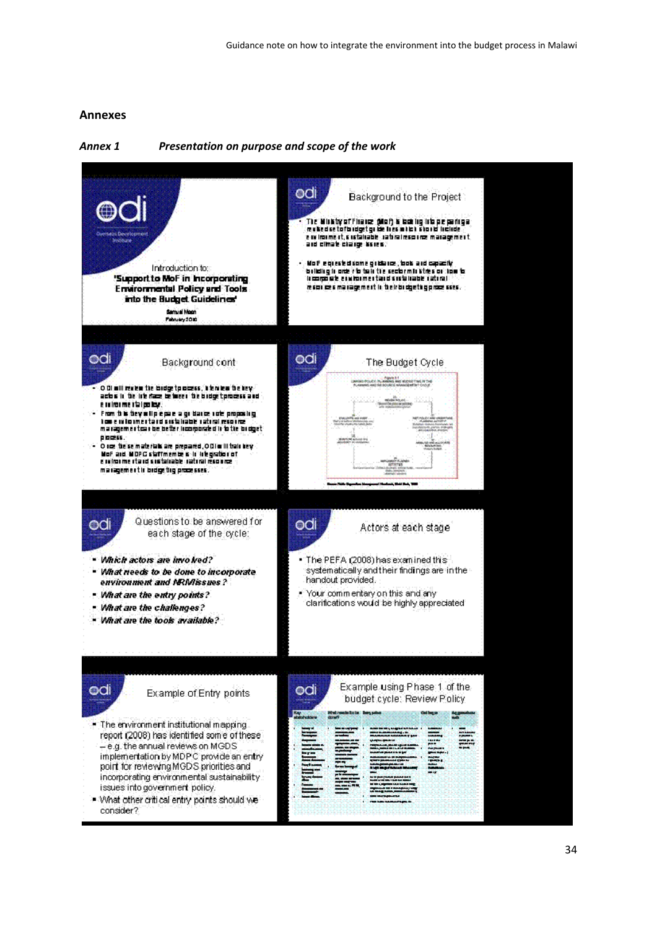## **Annexes**

## *Annex 1 Presentation on purpose and scope of the work*

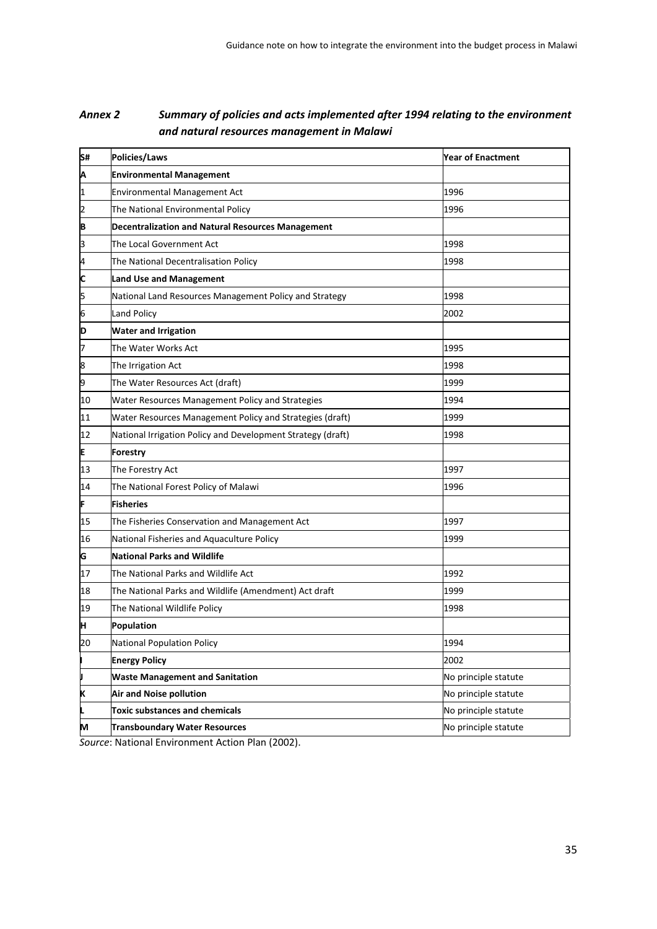# *Annex 2 Summary of policies and acts implemented after 1994 relating to the environment and natural resources management in Malawi*

| S# | Policies/Laws                                               | <b>Year of Enactment</b> |
|----|-------------------------------------------------------------|--------------------------|
| Α  | <b>Environmental Management</b>                             |                          |
| 1  | <b>Environmental Management Act</b>                         | 1996                     |
| 2  | The National Environmental Policy                           | 1996                     |
| B  | <b>Decentralization and Natural Resources Management</b>    |                          |
| 3  | The Local Government Act                                    | 1998                     |
| 4  | The National Decentralisation Policy                        | 1998                     |
| C  | <b>Land Use and Management</b>                              |                          |
| 5  | National Land Resources Management Policy and Strategy      | 1998                     |
| 6  | <b>Land Policy</b>                                          | 2002                     |
| D  | <b>Water and Irrigation</b>                                 |                          |
| 7  | The Water Works Act                                         | 1995                     |
| 8  | The Irrigation Act                                          | 1998                     |
| 9  | The Water Resources Act (draft)                             | 1999                     |
| 10 | Water Resources Management Policy and Strategies            | 1994                     |
| 11 | Water Resources Management Policy and Strategies (draft)    | 1999                     |
| 12 | National Irrigation Policy and Development Strategy (draft) | 1998                     |
| E  | Forestry                                                    |                          |
| 13 | The Forestry Act                                            | 1997                     |
| 14 | The National Forest Policy of Malawi                        | 1996                     |
| F  | <b>Fisheries</b>                                            |                          |
| 15 | The Fisheries Conservation and Management Act               | 1997                     |
| 16 | National Fisheries and Aquaculture Policy                   | 1999                     |
| G  | <b>National Parks and Wildlife</b>                          |                          |
| 17 | The National Parks and Wildlife Act                         | 1992                     |
| 18 | The National Parks and Wildlife (Amendment) Act draft       | 1999                     |
| 19 | The National Wildlife Policy                                | 1998                     |
| Η  | <b>Population</b>                                           |                          |
| 20 | <b>National Population Policy</b>                           | 1994                     |
|    | <b>Energy Policy</b>                                        | 2002                     |
| U  | <b>Waste Management and Sanitation</b>                      | No principle statute     |
| Κ  | Air and Noise pollution                                     | No principle statute     |
|    | <b>Toxic substances and chemicals</b>                       | No principle statute     |
| M  | <b>Transboundary Water Resources</b>                        | No principle statute     |

*Source*: National Environment Action Plan (2002).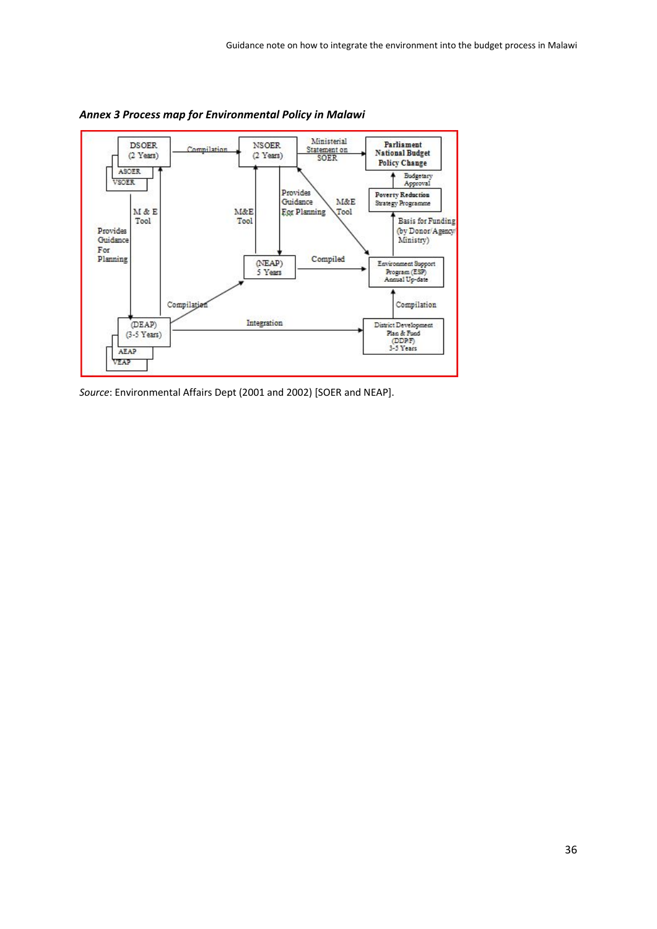

*Annex 3 Process map for Environmental Policy in Malawi*

*Source*: Environmental Affairs Dept (2001 and 2002) [SOER and NEAP].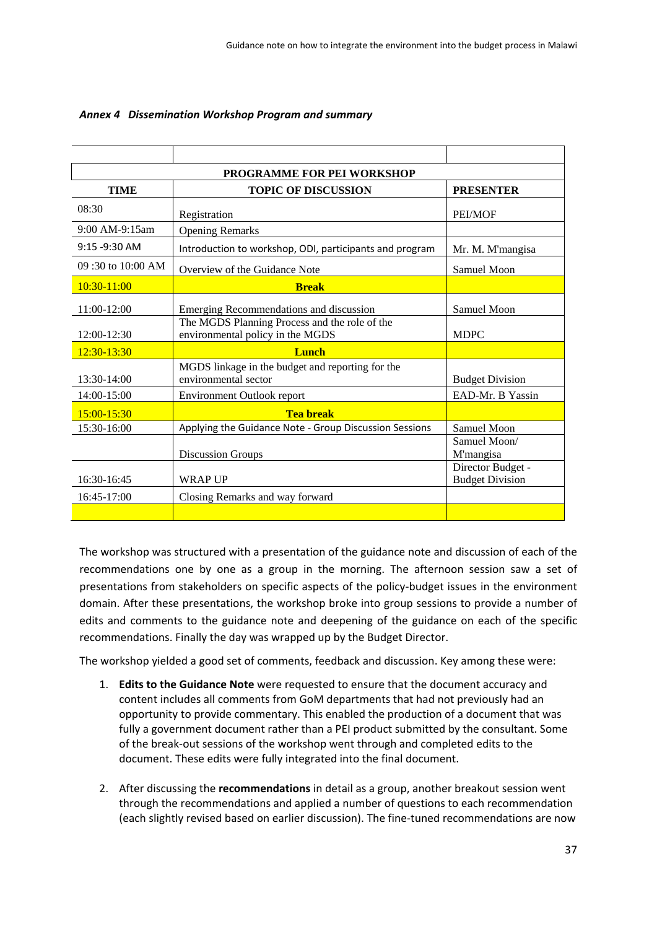| PROGRAMME FOR PEI WORKSHOP |                                                                                   |                                             |  |  |  |  |
|----------------------------|-----------------------------------------------------------------------------------|---------------------------------------------|--|--|--|--|
| <b>TIME</b>                | <b>TOPIC OF DISCUSSION</b>                                                        | <b>PRESENTER</b>                            |  |  |  |  |
| 08:30                      | Registration                                                                      | PEI/MOF                                     |  |  |  |  |
| 9:00 AM-9:15am             | <b>Opening Remarks</b>                                                            |                                             |  |  |  |  |
| $9:15 - 9:30$ AM           | Introduction to workshop, ODI, participants and program                           | Mr. M. M'mangisa                            |  |  |  |  |
| 09:30 to 10:00 AM          | Overview of the Guidance Note                                                     | Samuel Moon                                 |  |  |  |  |
| 10:30-11:00                | <b>Break</b>                                                                      |                                             |  |  |  |  |
| 11:00-12:00                | Emerging Recommendations and discussion                                           | Samuel Moon                                 |  |  |  |  |
| 12:00-12:30                | The MGDS Planning Process and the role of the<br>environmental policy in the MGDS | <b>MDPC</b>                                 |  |  |  |  |
| $12:30 - 13:30$            | <b>Lunch</b>                                                                      |                                             |  |  |  |  |
| $13:30-14:00$              | MGDS linkage in the budget and reporting for the<br>environmental sector          | <b>Budget Division</b>                      |  |  |  |  |
| 14:00-15:00                | Environment Outlook report                                                        | EAD-Mr. B Yassin                            |  |  |  |  |
| $15:00 - 15:30$            | <b>Tea break</b>                                                                  |                                             |  |  |  |  |
| 15:30-16:00                | Applying the Guidance Note - Group Discussion Sessions                            | Samuel Moon                                 |  |  |  |  |
|                            | <b>Discussion Groups</b>                                                          | Samuel Moon/<br>M'mangisa                   |  |  |  |  |
| 16:30-16:45                | <b>WRAP UP</b>                                                                    | Director Budget -<br><b>Budget Division</b> |  |  |  |  |
| 16:45-17:00                | Closing Remarks and way forward                                                   |                                             |  |  |  |  |
|                            |                                                                                   |                                             |  |  |  |  |

#### *Annex 4 Dissemination Workshop Program and summary*

The workshop was structured with a presentation of the guidance note and discussion of each of the recommendations one by one as a group in the morning. The afternoon session saw a set of presentations from stakeholders on specific aspects of the policy-budget issues in the environment domain. After these presentations, the workshop broke into group sessions to provide a number of edits and comments to the guidance note and deepening of the guidance on each of the specific recommendations. Finally the day was wrapped up by the Budget Director.

The workshop yielded a good set of comments, feedback and discussion. Key among these were:

- 1. **Edits to the Guidance Note** were requested to ensure that the document accuracy and content includes all comments from GoM departments that had not previously had an opportunity to provide commentary. This enabled the production of a document that was fully a government document rather than a PEI product submitted by the consultant. Some of the break‐out sessions of the workshop went through and completed edits to the document. These edits were fully integrated into the final document.
- 2. After discussing the **recommendations** in detail as a group, another breakout session went through the recommendations and applied a number of questions to each recommendation (each slightly revised based on earlier discussion). The fine‐tuned recommendations are now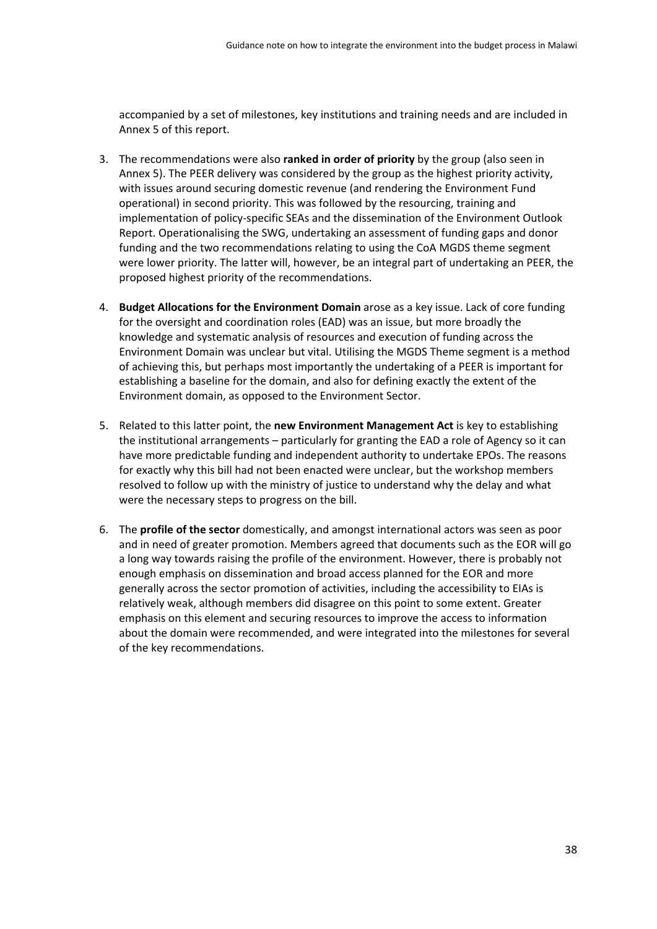accompanied by a set of milestones, key institutions and training needs and are included in Annex 5 of this report.

- 3. The recommendations were also **ranked in order of priority** by the group (also seen in Annex 5). The PEER delivery was considered by the group as the highest priority activity, with issues around securing domestic revenue (and rendering the Environment Fund operational) in second priority. This was followed by the resourcing, training and implementation of policy-specific SEAs and the dissemination of the Environment Outlook Report. Operationalising the SWG, undertaking an assessment of funding gaps and donor funding and the two recommendations relating to using the CoA MGDS theme segment were lower priority. The latter will, however, be an integral part of undertaking an PEER, the proposed highest priority of the recommendations.
- 4. **Budget Allocations for the Environment Domain** arose as a key issue. Lack of core funding for the oversight and coordination roles (EAD) was an issue, but more broadly the knowledge and systematic analysis of resources and execution of funding across the Environment Domain was unclear but vital. Utilising the MGDS Theme segment is a method of achieving this, but perhaps most importantly the undertaking of a PEER is important for establishing a baseline for the domain, and also for defining exactly the extent of the Environment domain, as opposed to the Environment Sector.
- 5. Related to this latter point, the **new Environment Management Act** is key to establishing the institutional arrangements – particularly for granting the EAD a role of Agency so it can have more predictable funding and independent authority to undertake EPOs. The reasons for exactly why this bill had not been enacted were unclear, but the workshop members resolved to follow up with the ministry of justice to understand why the delay and what were the necessary steps to progress on the bill.
- 6. The **profile of the sector** domestically, and amongst international actors was seen as poor and in need of greater promotion. Members agreed that documents such as the EOR will go a long way towards raising the profile of the environment. However, there is probably not enough emphasis on dissemination and broad access planned for the EOR and more generally across the sector promotion of activities, including the accessibility to EIAs is relatively weak, although members did disagree on this point to some extent. Greater emphasis on this element and securing resources to improve the access to information about the domain were recommended, and were integrated into the milestones for several of the key recommendations.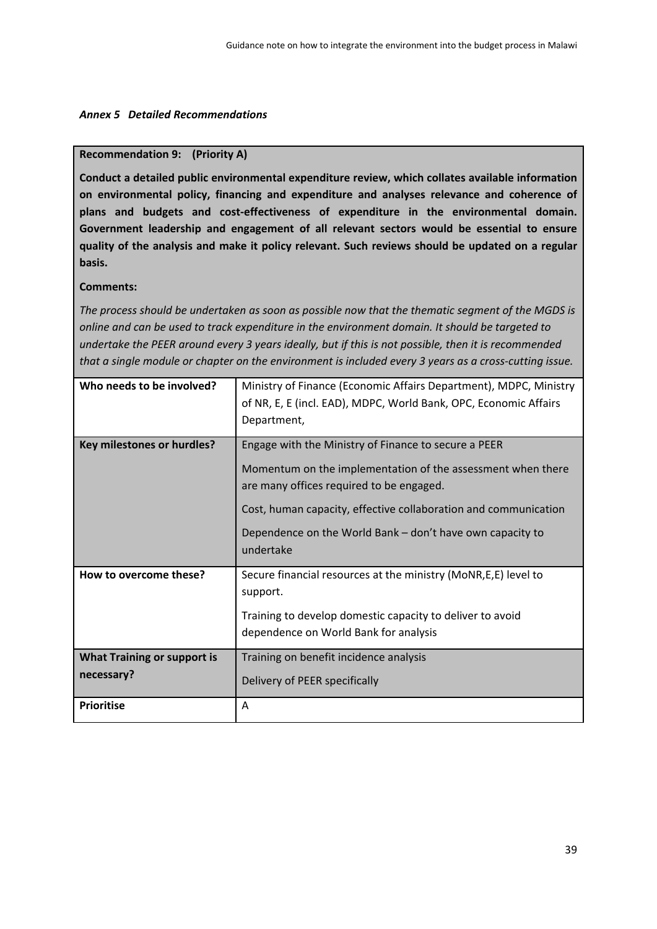#### *Annex 5 Detailed Recommendations*

#### **Recommendation 9: (Priority A)**

**Conduct a detailed public environmental expenditure review, which collates available information on environmental policy, financing and expenditure and analyses relevance and coherence of plans and budgets and cost‐effectiveness of expenditure in the environmental domain. Government leadership and engagement of all relevant sectors would be essential to ensure quality of the analysis and make it policy relevant. Such reviews should be updated on a regular basis.**

## **Comments:**

*The process should be undertaken as soon as possible now that the thematic segment of the MGDS is online and can be used to track expenditure in the environment domain. It should be targeted to* undertake the PEER around every 3 years ideally, but if this is not possible, then it is recommended that a single module or chapter on the environment is included every 3 years as a cross-cutting issue.

| Who needs to be involved?                        | Ministry of Finance (Economic Affairs Department), MDPC, Ministry<br>of NR, E, E (incl. EAD), MDPC, World Bank, OPC, Economic Affairs<br>Department,                                                                                                                                                         |
|--------------------------------------------------|--------------------------------------------------------------------------------------------------------------------------------------------------------------------------------------------------------------------------------------------------------------------------------------------------------------|
| <b>Key milestones or hurdles?</b>                | Engage with the Ministry of Finance to secure a PEER<br>Momentum on the implementation of the assessment when there<br>are many offices required to be engaged.<br>Cost, human capacity, effective collaboration and communication<br>Dependence on the World Bank – don't have own capacity to<br>undertake |
| How to overcome these?                           | Secure financial resources at the ministry (MoNR, E, E) level to<br>support.<br>Training to develop domestic capacity to deliver to avoid<br>dependence on World Bank for analysis                                                                                                                           |
| <b>What Training or support is</b><br>necessary? | Training on benefit incidence analysis<br>Delivery of PEER specifically                                                                                                                                                                                                                                      |
| <b>Prioritise</b>                                | A                                                                                                                                                                                                                                                                                                            |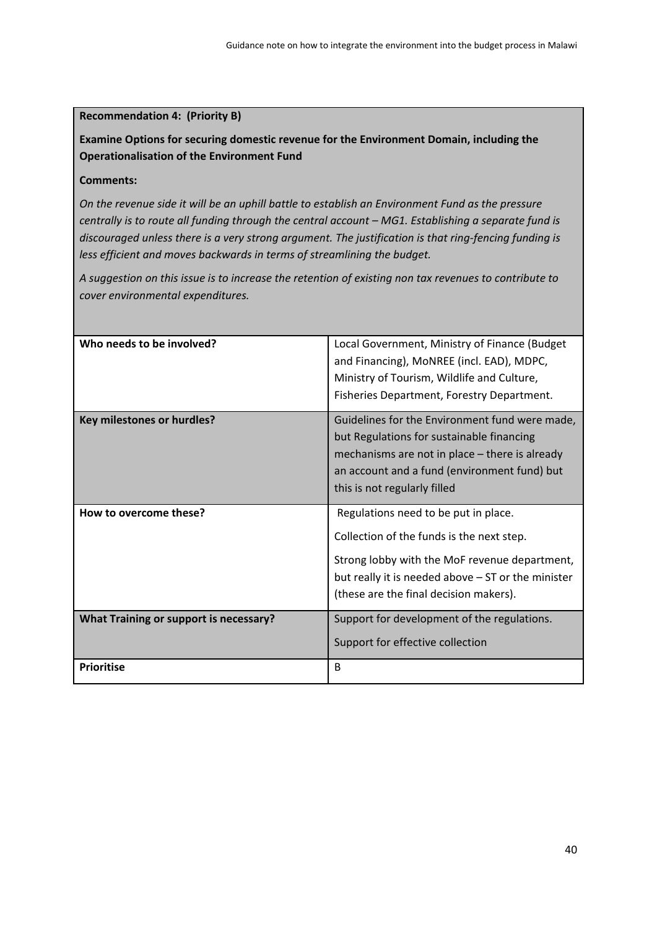## **Recommendation 4: (Priority B)**

**Examine Options for securing domestic revenue for the Environment Domain, including the Operationalisation of the Environment Fund**

#### **Comments:**

*On the revenue side it will be an uphill battle to establish an Environment Fund as the pressure centrally is to route all funding through the central account – MG1. Establishing a separate fund is discouraged unless there is a very strong argument. The justification is that ring‐fencing funding is less efficient and moves backwards in terms of streamlining the budget.*

A suggestion on this issue is to increase the retention of existing non tax revenues to contribute to *cover environmental expenditures.*

| Who needs to be involved?                     | Local Government, Ministry of Finance (Budget<br>and Financing), MoNREE (incl. EAD), MDPC,<br>Ministry of Tourism, Wildlife and Culture,<br>Fisheries Department, Forestry Department.                                             |
|-----------------------------------------------|------------------------------------------------------------------------------------------------------------------------------------------------------------------------------------------------------------------------------------|
| <b>Key milestones or hurdles?</b>             | Guidelines for the Environment fund were made,<br>but Regulations for sustainable financing<br>mechanisms are not in place – there is already<br>an account and a fund (environment fund) but<br>this is not regularly filled      |
| How to overcome these?                        | Regulations need to be put in place.<br>Collection of the funds is the next step.<br>Strong lobby with the MoF revenue department,<br>but really it is needed above - ST or the minister<br>(these are the final decision makers). |
| <b>What Training or support is necessary?</b> | Support for development of the regulations.<br>Support for effective collection                                                                                                                                                    |
| <b>Prioritise</b>                             | B                                                                                                                                                                                                                                  |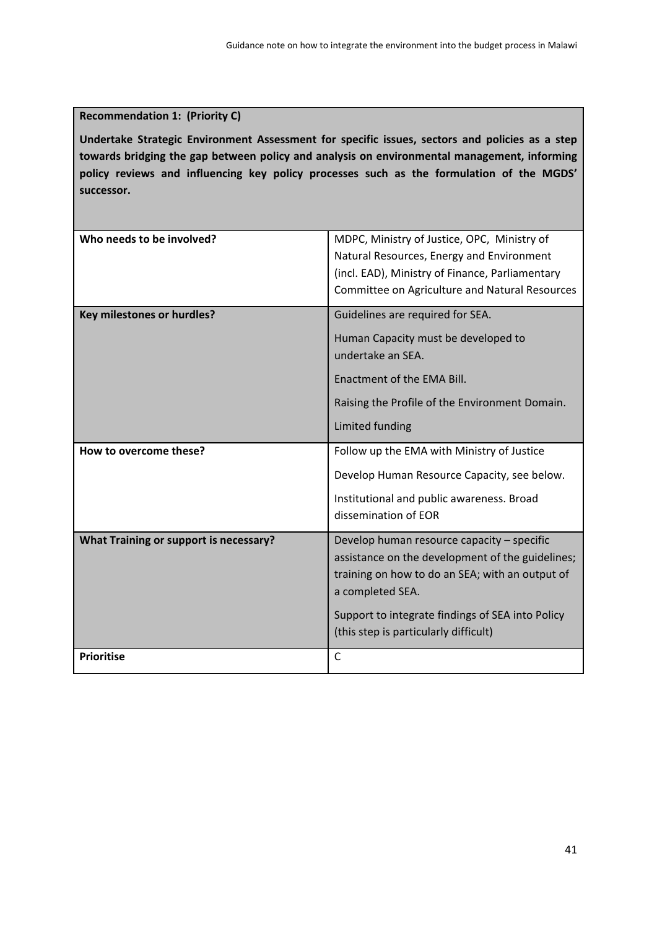# **Recommendation 1: (Priority C)**

**Undertake Strategic Environment Assessment for specific issues, sectors and policies as a step towards bridging the gap between policy and analysis on environmental management, informing policy reviews and influencing key policy processes such as the formulation of the MGDS' successor.**

| Who needs to be involved?                     | MDPC, Ministry of Justice, OPC, Ministry of<br>Natural Resources, Energy and Environment<br>(incl. EAD), Ministry of Finance, Parliamentary<br>Committee on Agriculture and Natural Resources                                                                      |
|-----------------------------------------------|--------------------------------------------------------------------------------------------------------------------------------------------------------------------------------------------------------------------------------------------------------------------|
| <b>Key milestones or hurdles?</b>             | Guidelines are required for SEA.<br>Human Capacity must be developed to<br>undertake an SEA.<br>Enactment of the EMA Bill.<br>Raising the Profile of the Environment Domain.<br>Limited funding                                                                    |
| How to overcome these?                        | Follow up the EMA with Ministry of Justice<br>Develop Human Resource Capacity, see below.<br>Institutional and public awareness. Broad<br>dissemination of EOR                                                                                                     |
| <b>What Training or support is necessary?</b> | Develop human resource capacity - specific<br>assistance on the development of the guidelines;<br>training on how to do an SEA; with an output of<br>a completed SEA.<br>Support to integrate findings of SEA into Policy<br>(this step is particularly difficult) |
| <b>Prioritise</b>                             | $\mathsf{C}$                                                                                                                                                                                                                                                       |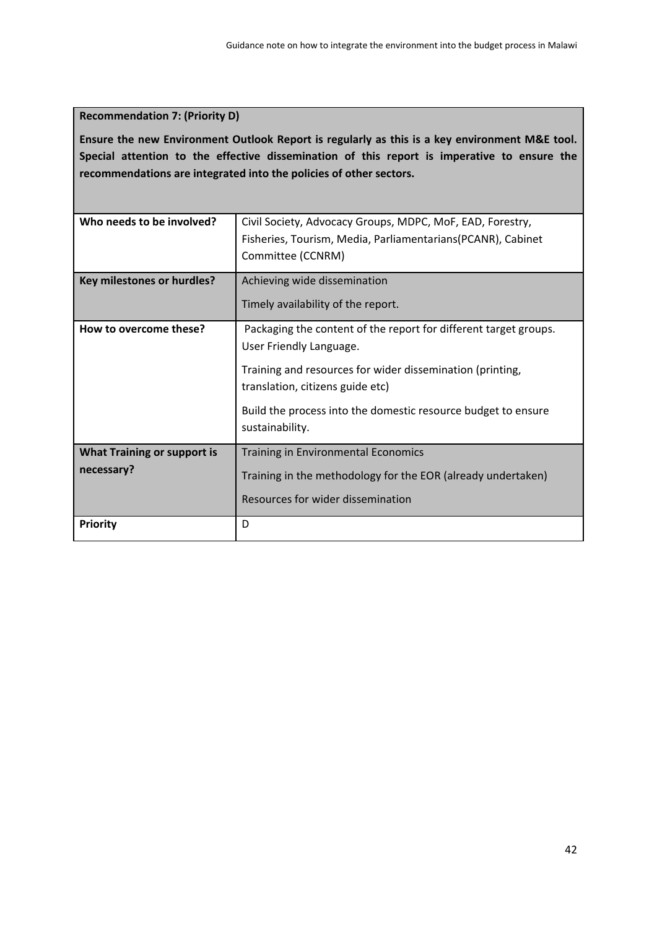# **Recommendation 7: (Priority D)**

**Ensure the new Environment Outlook Report is regularly as this is a key environment M&E tool. Special attention to the effective dissemination of this report is imperative to ensure the recommendations are integrated into the policies of other sectors.** 

| Who needs to be involved?                        | Civil Society, Advocacy Groups, MDPC, MoF, EAD, Forestry,<br>Fisheries, Tourism, Media, Parliamentarians(PCANR), Cabinet<br>Committee (CCNRM)                                                                                                                                    |
|--------------------------------------------------|----------------------------------------------------------------------------------------------------------------------------------------------------------------------------------------------------------------------------------------------------------------------------------|
| Key milestones or hurdles?                       | Achieving wide dissemination<br>Timely availability of the report.                                                                                                                                                                                                               |
| How to overcome these?                           | Packaging the content of the report for different target groups.<br>User Friendly Language.<br>Training and resources for wider dissemination (printing,<br>translation, citizens guide etc)<br>Build the process into the domestic resource budget to ensure<br>sustainability. |
| <b>What Training or support is</b><br>necessary? | Training in Environmental Economics<br>Training in the methodology for the EOR (already undertaken)<br>Resources for wider dissemination                                                                                                                                         |
| <b>Priority</b>                                  | D                                                                                                                                                                                                                                                                                |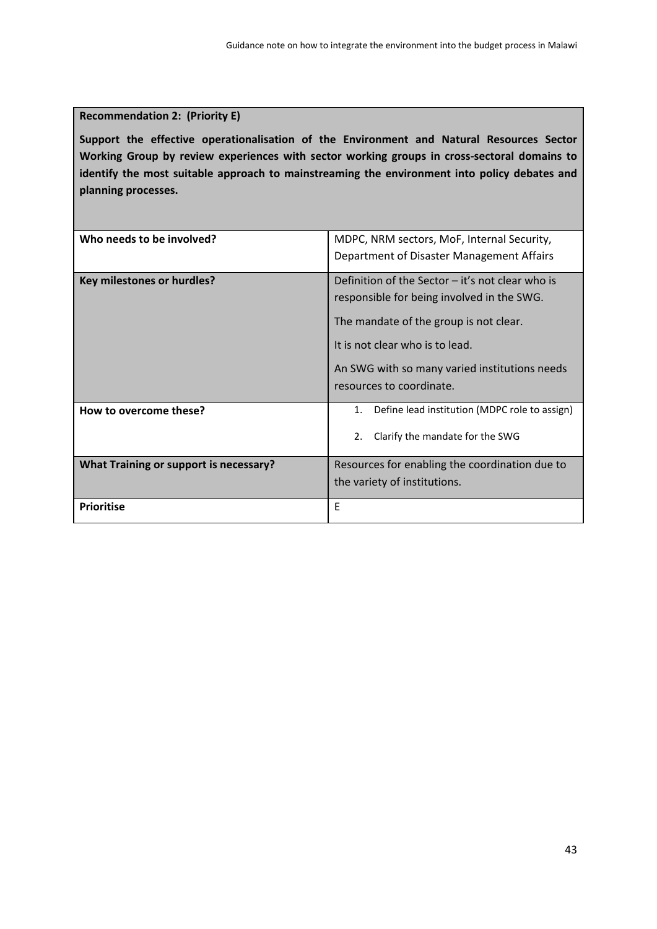# **Recommendation 2: (Priority E)**

**Support the effective operationalisation of the Environment and Natural Resources Sector Working Group by review experiences with sector working groups in cross‐sectoral domains to identify the most suitable approach to mainstreaming the environment into policy debates and planning processes.**

| Who needs to be involved?                     | MDPC, NRM sectors, MoF, Internal Security,<br>Department of Disaster Management Affairs                                                                                                                                                                    |
|-----------------------------------------------|------------------------------------------------------------------------------------------------------------------------------------------------------------------------------------------------------------------------------------------------------------|
| <b>Key milestones or hurdles?</b>             | Definition of the Sector $-$ it's not clear who is<br>responsible for being involved in the SWG.<br>The mandate of the group is not clear.<br>It is not clear who is to lead.<br>An SWG with so many varied institutions needs<br>resources to coordinate. |
| How to overcome these?                        | Define lead institution (MDPC role to assign)<br>1.<br>2.<br>Clarify the mandate for the SWG                                                                                                                                                               |
| <b>What Training or support is necessary?</b> | Resources for enabling the coordination due to<br>the variety of institutions.                                                                                                                                                                             |
| <b>Prioritise</b>                             | E                                                                                                                                                                                                                                                          |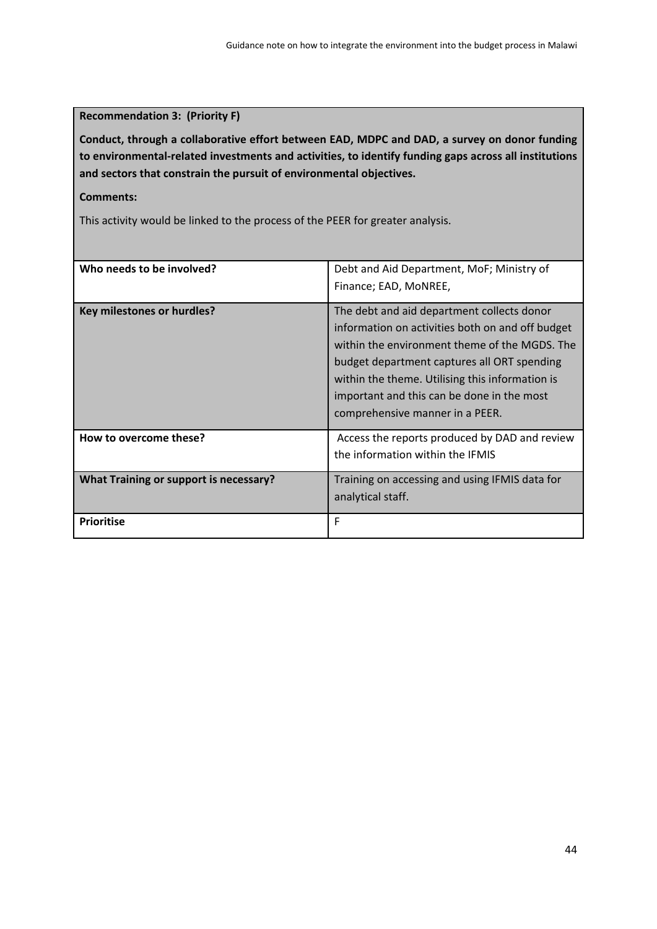# **Recommendation 3: (Priority F)**

**Conduct, through a collaborative effort between EAD, MDPC and DAD, a survey on donor funding to environmental‐related investments and activities, to identify funding gaps across all institutions and sectors that constrain the pursuit of environmental objectives.** 

## **Comments:**

This activity would be linked to the process of the PEER for greater analysis.

| Who needs to be involved?              | Debt and Aid Department, MoF; Ministry of<br>Finance; EAD, MoNREE,                                                                                                                                                                                                                                                                 |
|----------------------------------------|------------------------------------------------------------------------------------------------------------------------------------------------------------------------------------------------------------------------------------------------------------------------------------------------------------------------------------|
| <b>Key milestones or hurdles?</b>      | The debt and aid department collects donor<br>information on activities both on and off budget<br>within the environment theme of the MGDS. The<br>budget department captures all ORT spending<br>within the theme. Utilising this information is<br>important and this can be done in the most<br>comprehensive manner in a PEER. |
| How to overcome these?                 | Access the reports produced by DAD and review<br>the information within the IFMIS                                                                                                                                                                                                                                                  |
| What Training or support is necessary? | Training on accessing and using IFMIS data for<br>analytical staff.                                                                                                                                                                                                                                                                |
| <b>Prioritise</b>                      | F                                                                                                                                                                                                                                                                                                                                  |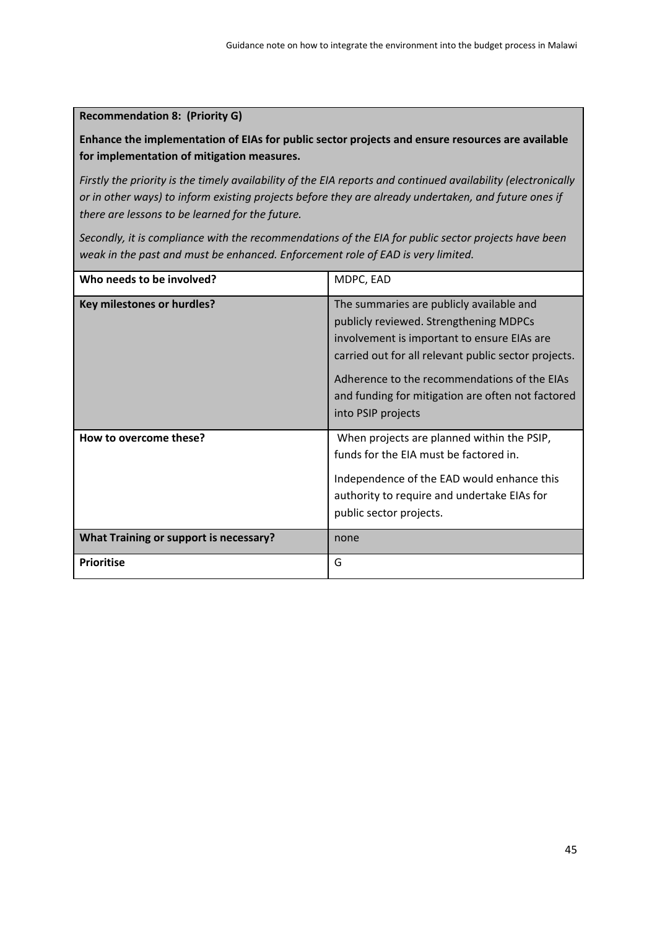**Recommendation 8: (Priority G)**

**Enhance the implementation of EIAs for public sector projects and ensure resources are available for implementation of mitigation measures.**

*Firstly the priority is the timely availability of the EIA reports and continued availability (electronically or in other ways) to inform existing projects before they are already undertaken, and future ones if there are lessons to be learned for the future.* 

*Secondly, it is compliance with the recommendations of the EIA for public sector projects have been weak in the past and must be enhanced. Enforcement role of EAD is very limited.*

| Who needs to be involved?              | MDPC, EAD                                                                                                                                                                                                                                                                                                            |
|----------------------------------------|----------------------------------------------------------------------------------------------------------------------------------------------------------------------------------------------------------------------------------------------------------------------------------------------------------------------|
| Key milestones or hurdles?             | The summaries are publicly available and<br>publicly reviewed. Strengthening MDPCs<br>involvement is important to ensure EIAs are<br>carried out for all relevant public sector projects.<br>Adherence to the recommendations of the EIAs<br>and funding for mitigation are often not factored<br>into PSIP projects |
| How to overcome these?                 | When projects are planned within the PSIP,<br>funds for the EIA must be factored in.<br>Independence of the EAD would enhance this<br>authority to require and undertake EIAs for<br>public sector projects.                                                                                                         |
| What Training or support is necessary? | none                                                                                                                                                                                                                                                                                                                 |
| <b>Prioritise</b>                      | G                                                                                                                                                                                                                                                                                                                    |